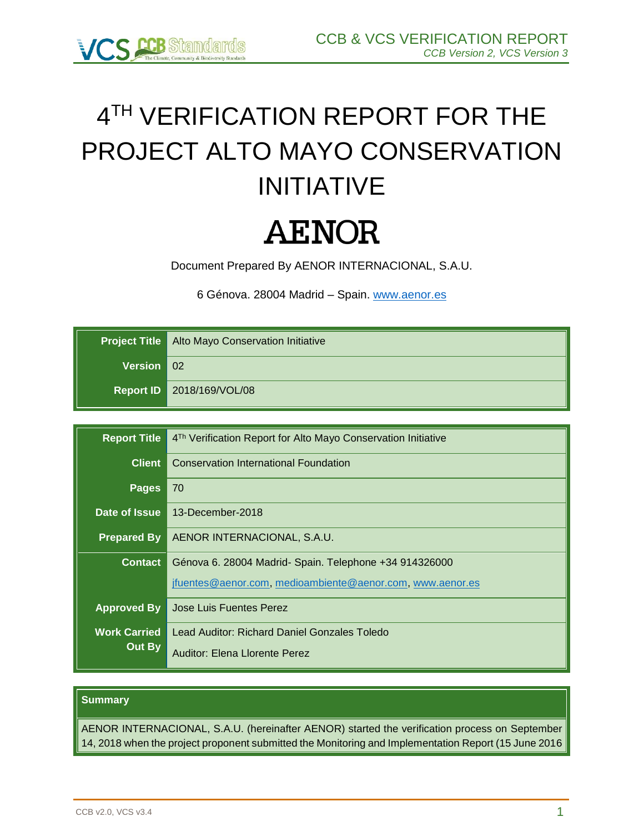

# 4 TH VERIFICATION REPORT FOR THE PROJECT ALTO MAYO CONSERVATION INITIATIVE

# **AENOR**

Document Prepared By AENOR INTERNACIONAL, S.A.U.

6 Génova. 28004 Madrid – Spain. [www.aenor.es](http://www.aenor.es/)

|              | <b>Project Title   Alto Mayo Conservation Initiative</b> |
|--------------|----------------------------------------------------------|
| Version   02 |                                                          |
|              | Report ID 2018/169/VOL/08                                |

| <b>Report Title</b> | 4 <sup>Th</sup> Verification Report for Alto Mayo Conservation Initiative |
|---------------------|---------------------------------------------------------------------------|
| <b>Client</b>       | <b>Conservation International Foundation</b>                              |
| <b>Pages</b>        | 70                                                                        |
| Date of Issue       | 13-December-2018                                                          |
| <b>Prepared By</b>  | AENOR INTERNACIONAL, S.A.U.                                               |
| <b>Contact</b>      | Génova 6. 28004 Madrid- Spain. Telephone +34 914326000                    |
|                     | jfuentes@aenor.com, medioambiente@aenor.com, www.aenor.es                 |
| <b>Approved By</b>  | Jose Luis Fuentes Perez                                                   |
| <b>Work Carried</b> | Lead Auditor: Richard Daniel Gonzales Toledo                              |
| Out By              | Auditor: Elena Llorente Perez                                             |

#### **Summary**

AENOR INTERNACIONAL, S.A.U. (hereinafter AENOR) started the verification process on September 14, 2018 when the project proponent submitted the Monitoring and Implementation Report (15 June 2016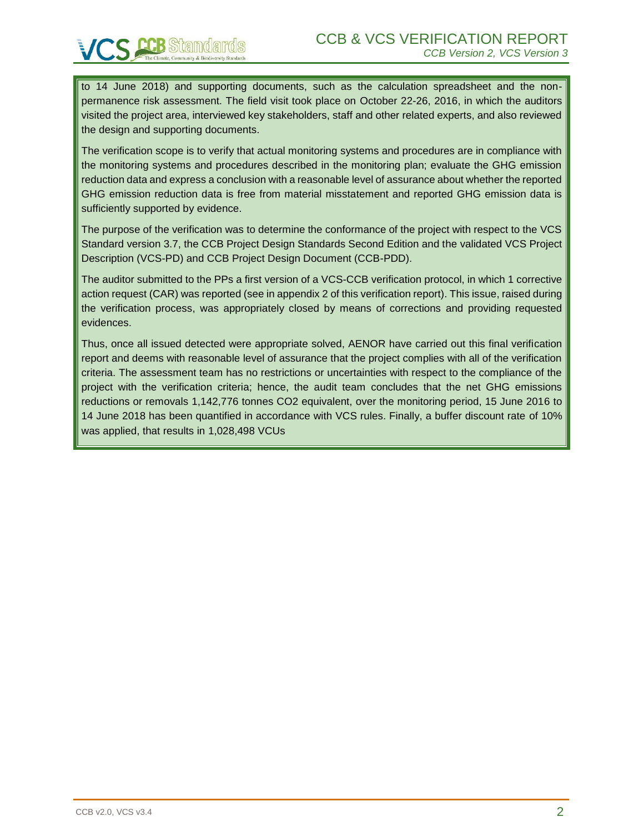to 14 June 2018) and supporting documents, such as the calculation spreadsheet and the nonpermanence risk assessment. The field visit took place on October 22-26, 2016, in which the auditors visited the project area, interviewed key stakeholders, staff and other related experts, and also reviewed the design and supporting documents.

The verification scope is to verify that actual monitoring systems and procedures are in compliance with the monitoring systems and procedures described in the monitoring plan; evaluate the GHG emission reduction data and express a conclusion with a reasonable level of assurance about whether the reported GHG emission reduction data is free from material misstatement and reported GHG emission data is sufficiently supported by evidence.

The purpose of the verification was to determine the conformance of the project with respect to the VCS Standard version 3.7, the CCB Project Design Standards Second Edition and the validated VCS Project Description (VCS-PD) and CCB Project Design Document (CCB-PDD).

The auditor submitted to the PPs a first version of a VCS-CCB verification protocol, in which 1 corrective action request (CAR) was reported (see in appendix 2 of this verification report). This issue, raised during the verification process, was appropriately closed by means of corrections and providing requested evidences.

Thus, once all issued detected were appropriate solved, AENOR have carried out this final verification report and deems with reasonable level of assurance that the project complies with all of the verification criteria. The assessment team has no restrictions or uncertainties with respect to the compliance of the project with the verification criteria; hence, the audit team concludes that the net GHG emissions reductions or removals 1,142,776 tonnes CO2 equivalent, over the monitoring period, 15 June 2016 to 14 June 2018 has been quantified in accordance with VCS rules. Finally, a buffer discount rate of 10% was applied, that results in 1,028,498 VCUs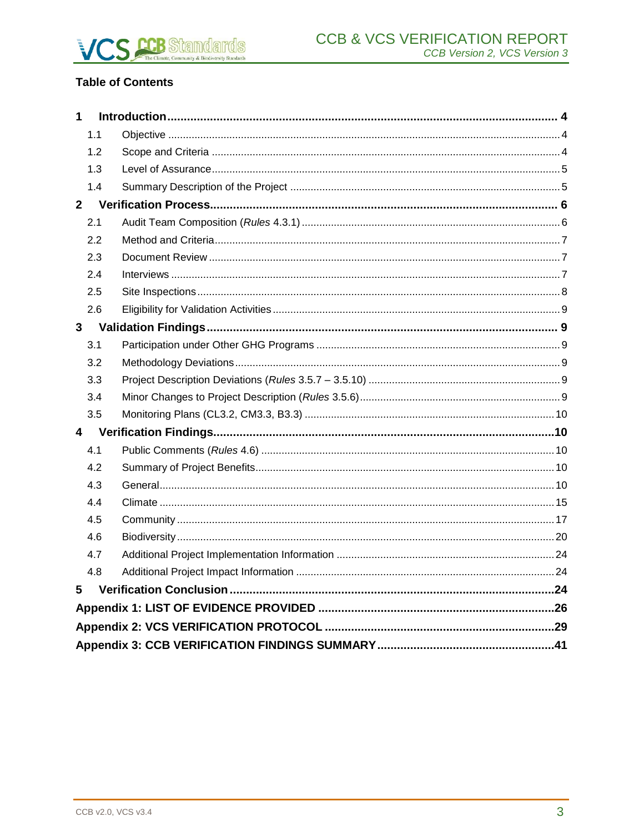# **Table of Contents**

| 1            |     |  |
|--------------|-----|--|
|              | 1.1 |  |
|              | 1.2 |  |
|              | 1.3 |  |
|              | 1.4 |  |
| $2^{\circ}$  |     |  |
|              | 2.1 |  |
|              | 2.2 |  |
|              | 2.3 |  |
|              | 2.4 |  |
|              | 2.5 |  |
|              | 2.6 |  |
| $\mathbf{3}$ |     |  |
|              | 3.1 |  |
|              | 3.2 |  |
|              | 3.3 |  |
|              | 3.4 |  |
|              | 3.5 |  |
| 4            |     |  |
|              | 4.1 |  |
|              | 4.2 |  |
|              | 4.3 |  |
|              | 4.4 |  |
|              | 4.5 |  |
|              | 4.6 |  |
|              | 4.7 |  |
|              | 4.8 |  |
| 5            |     |  |
|              |     |  |
|              |     |  |
|              |     |  |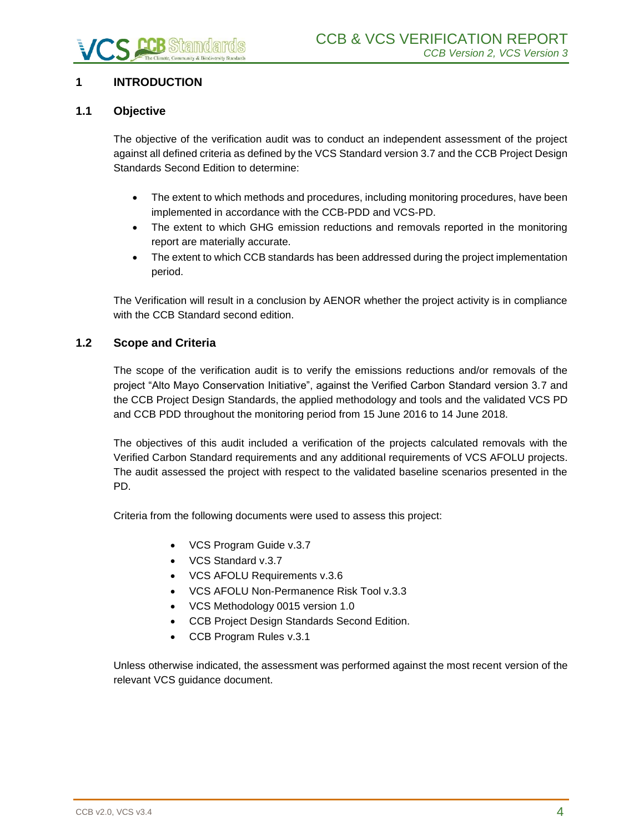# <span id="page-3-0"></span>**1 INTRODUCTION**

# <span id="page-3-1"></span>**1.1 Objective**

The objective of the verification audit was to conduct an independent assessment of the project against all defined criteria as defined by the VCS Standard version 3.7 and the CCB Project Design Standards Second Edition to determine:

- The extent to which methods and procedures, including monitoring procedures, have been implemented in accordance with the CCB-PDD and VCS-PD.
- The extent to which GHG emission reductions and removals reported in the monitoring report are materially accurate.
- The extent to which CCB standards has been addressed during the project implementation period.

The Verification will result in a conclusion by AENOR whether the project activity is in compliance with the CCB Standard second edition.

# <span id="page-3-2"></span>**1.2 Scope and Criteria**

The scope of the verification audit is to verify the emissions reductions and/or removals of the project "Alto Mayo Conservation Initiative", against the Verified Carbon Standard version 3.7 and the CCB Project Design Standards, the applied methodology and tools and the validated VCS PD and CCB PDD throughout the monitoring period from 15 June 2016 to 14 June 2018.

The objectives of this audit included a verification of the projects calculated removals with the Verified Carbon Standard requirements and any additional requirements of VCS AFOLU projects. The audit assessed the project with respect to the validated baseline scenarios presented in the PD.

Criteria from the following documents were used to assess this project:

- VCS Program Guide v.3.7
- VCS Standard v.3.7
- VCS AFOLU Requirements v.3.6
- VCS AFOLU Non-Permanence Risk Tool v.3.3
- VCS Methodology 0015 version 1.0
- CCB Project Design Standards Second Edition.
- CCB Program Rules v.3.1

Unless otherwise indicated, the assessment was performed against the most recent version of the relevant VCS guidance document.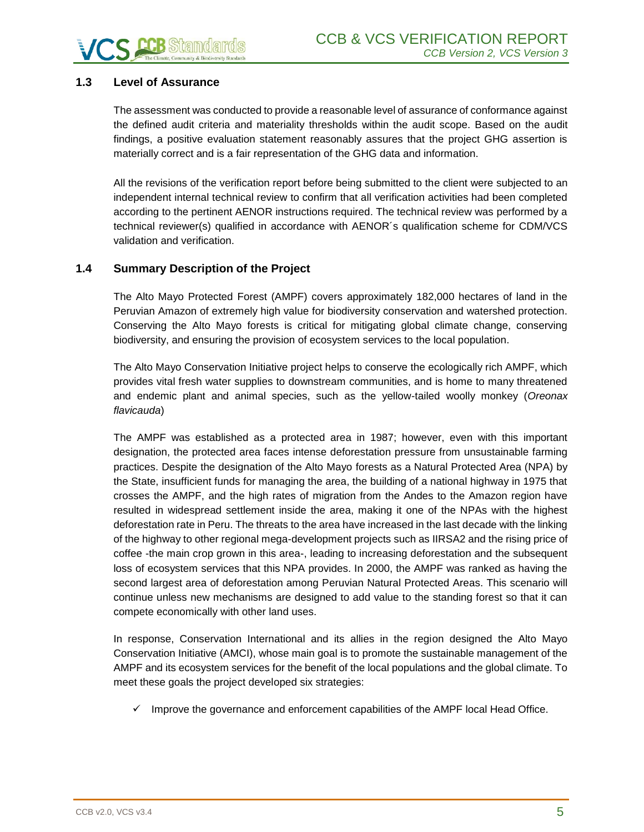# <span id="page-4-0"></span>**1.3 Level of Assurance**

The assessment was conducted to provide a reasonable level of assurance of conformance against the defined audit criteria and materiality thresholds within the audit scope. Based on the audit findings, a positive evaluation statement reasonably assures that the project GHG assertion is materially correct and is a fair representation of the GHG data and information.

All the revisions of the verification report before being submitted to the client were subjected to an independent internal technical review to confirm that all verification activities had been completed according to the pertinent AENOR instructions required. The technical review was performed by a technical reviewer(s) qualified in accordance with AENOR´s qualification scheme for CDM/VCS validation and verification.

#### <span id="page-4-1"></span>**1.4 Summary Description of the Project**

The Alto Mayo Protected Forest (AMPF) covers approximately 182,000 hectares of land in the Peruvian Amazon of extremely high value for biodiversity conservation and watershed protection. Conserving the Alto Mayo forests is critical for mitigating global climate change, conserving biodiversity, and ensuring the provision of ecosystem services to the local population.

The Alto Mayo Conservation Initiative project helps to conserve the ecologically rich AMPF, which provides vital fresh water supplies to downstream communities, and is home to many threatened and endemic plant and animal species, such as the yellow-tailed woolly monkey (*Oreonax flavicauda*)

The AMPF was established as a protected area in 1987; however, even with this important designation, the protected area faces intense deforestation pressure from unsustainable farming practices. Despite the designation of the Alto Mayo forests as a Natural Protected Area (NPA) by the State, insufficient funds for managing the area, the building of a national highway in 1975 that crosses the AMPF, and the high rates of migration from the Andes to the Amazon region have resulted in widespread settlement inside the area, making it one of the NPAs with the highest deforestation rate in Peru. The threats to the area have increased in the last decade with the linking of the highway to other regional mega-development projects such as IIRSA2 and the rising price of coffee -the main crop grown in this area-, leading to increasing deforestation and the subsequent loss of ecosystem services that this NPA provides. In 2000, the AMPF was ranked as having the second largest area of deforestation among Peruvian Natural Protected Areas. This scenario will continue unless new mechanisms are designed to add value to the standing forest so that it can compete economically with other land uses.

In response, Conservation International and its allies in the region designed the Alto Mayo Conservation Initiative (AMCI), whose main goal is to promote the sustainable management of the AMPF and its ecosystem services for the benefit of the local populations and the global climate. To meet these goals the project developed six strategies:

 $\checkmark$  Improve the governance and enforcement capabilities of the AMPF local Head Office.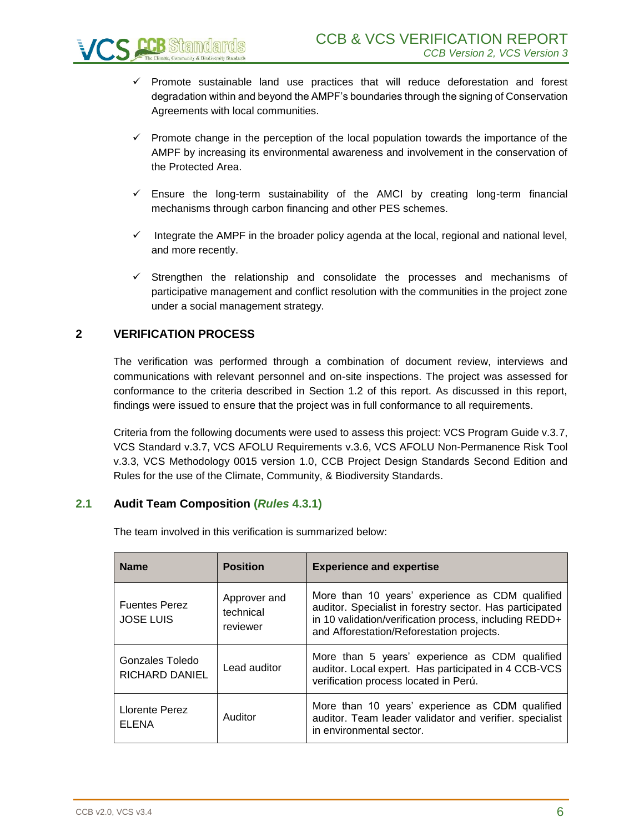

- Promote sustainable land use practices that will reduce deforestation and forest degradation within and beyond the AMPF's boundaries through the signing of Conservation Agreements with local communities.
- $\checkmark$  Promote change in the perception of the local population towards the importance of the AMPF by increasing its environmental awareness and involvement in the conservation of the Protected Area.
- $\checkmark$  Ensure the long-term sustainability of the AMCI by creating long-term financial mechanisms through carbon financing and other PES schemes.
- $\checkmark$  Integrate the AMPF in the broader policy agenda at the local, regional and national level, and more recently.
- ✓ Strengthen the relationship and consolidate the processes and mechanisms of participative management and conflict resolution with the communities in the project zone under a social management strategy.

# <span id="page-5-0"></span>**2 VERIFICATION PROCESS**

The verification was performed through a combination of document review, interviews and communications with relevant personnel and on-site inspections. The project was assessed for conformance to the criteria described in Section 1.2 of this report. As discussed in this report, findings were issued to ensure that the project was in full conformance to all requirements.

Criteria from the following documents were used to assess this project: VCS Program Guide v.3.7, VCS Standard v.3.7, VCS AFOLU Requirements v.3.6, VCS AFOLU Non-Permanence Risk Tool v.3.3, VCS Methodology 0015 version 1.0, CCB Project Design Standards Second Edition and Rules for the use of the Climate, Community, & Biodiversity Standards.

# <span id="page-5-1"></span>**2.1 Audit Team Composition (***Rules* **4.3.1)**

| <b>Name</b>                              | <b>Position</b>                       | <b>Experience and expertise</b>                                                                                                                                                                                    |
|------------------------------------------|---------------------------------------|--------------------------------------------------------------------------------------------------------------------------------------------------------------------------------------------------------------------|
| <b>Fuentes Perez</b><br><b>JOSE LUIS</b> | Approver and<br>technical<br>reviewer | More than 10 years' experience as CDM qualified<br>auditor. Specialist in forestry sector. Has participated<br>in 10 validation/verification process, including REDD+<br>and Afforestation/Reforestation projects. |
| Gonzales Toledo<br><b>RICHARD DANIEL</b> | Lead auditor                          | More than 5 years' experience as CDM qualified<br>auditor. Local expert. Has participated in 4 CCB-VCS<br>verification process located in Perú.                                                                    |
| Llorente Perez<br><b>ELENA</b>           | Auditor                               | More than 10 years' experience as CDM qualified<br>auditor. Team leader validator and verifier. specialist<br>in environmental sector.                                                                             |

The team involved in this verification is summarized below: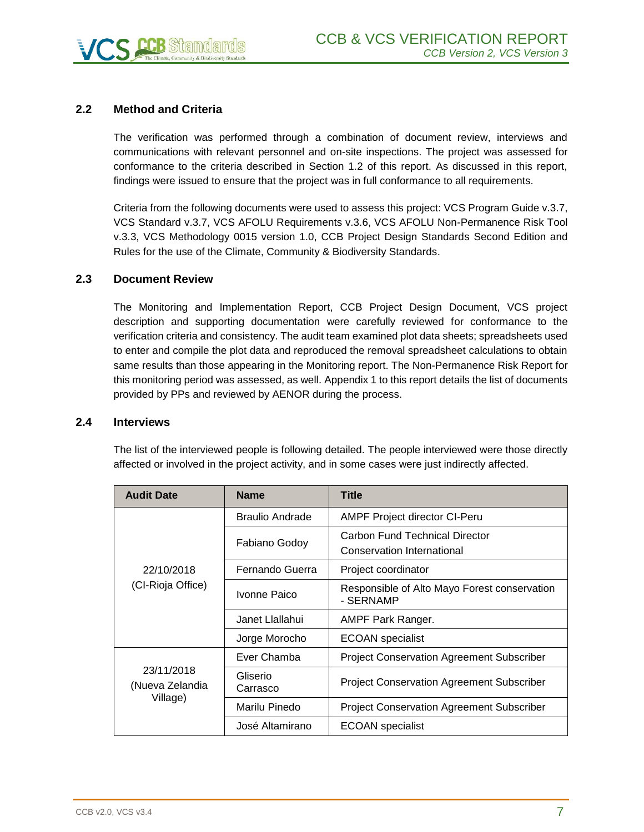# <span id="page-6-0"></span>**2.2 Method and Criteria**

The verification was performed through a combination of document review, interviews and communications with relevant personnel and on-site inspections. The project was assessed for conformance to the criteria described in Section 1.2 of this report. As discussed in this report, findings were issued to ensure that the project was in full conformance to all requirements.

Criteria from the following documents were used to assess this project: VCS Program Guide v.3.7, VCS Standard v.3.7, VCS AFOLU Requirements v.3.6, VCS AFOLU Non-Permanence Risk Tool v.3.3, VCS Methodology 0015 version 1.0, CCB Project Design Standards Second Edition and Rules for the use of the Climate, Community & Biodiversity Standards.

#### <span id="page-6-1"></span>**2.3 Document Review**

The Monitoring and Implementation Report, CCB Project Design Document, VCS project description and supporting documentation were carefully reviewed for conformance to the verification criteria and consistency. The audit team examined plot data sheets; spreadsheets used to enter and compile the plot data and reproduced the removal spreadsheet calculations to obtain same results than those appearing in the Monitoring report. The Non-Permanence Risk Report for this monitoring period was assessed, as well. Appendix 1 to this report details the list of documents provided by PPs and reviewed by AENOR during the process.

#### <span id="page-6-2"></span>**2.4 Interviews**

The list of the interviewed people is following detailed. The people interviewed were those directly affected or involved in the project activity, and in some cases were just indirectly affected.

| <b>Audit Date</b>             | <b>Name</b>            | <b>Title</b>                                                 |
|-------------------------------|------------------------|--------------------------------------------------------------|
|                               | <b>Braulio Andrade</b> | AMPF Project director CI-Peru                                |
|                               | Fabiano Godoy          | Carbon Fund Technical Director<br>Conservation International |
| 22/10/2018                    | Fernando Guerra        | Project coordinator                                          |
| (CI-Rioja Office)             | Ivonne Paico           | Responsible of Alto Mayo Forest conservation<br>- SERNAMP    |
|                               | Janet Llallahui        | AMPF Park Ranger.                                            |
|                               | Jorge Morocho          | <b>ECOAN</b> specialist                                      |
|                               | Ever Chamba            | <b>Project Conservation Agreement Subscriber</b>             |
| 23/11/2018<br>(Nueva Zelandia | Gliserio<br>Carrasco   | <b>Project Conservation Agreement Subscriber</b>             |
| Village)                      | Marilu Pinedo          | <b>Project Conservation Agreement Subscriber</b>             |
|                               | José Altamirano        | <b>ECOAN</b> specialist                                      |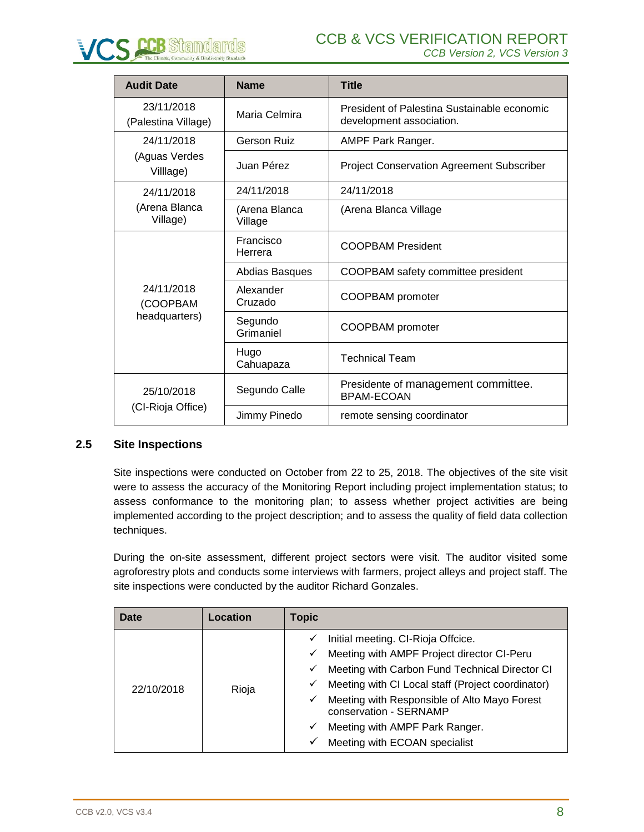

| <b>Audit Date</b>                 | <b>Name</b>              | <b>Title</b>                                                            |
|-----------------------------------|--------------------------|-------------------------------------------------------------------------|
| 23/11/2018<br>(Palestina Village) | Maria Celmira            | President of Palestina Sustainable economic<br>development association. |
| 24/11/2018                        | <b>Gerson Ruiz</b>       | AMPF Park Ranger.                                                       |
| (Aguas Verdes<br>Village)         | Juan Pérez               | <b>Project Conservation Agreement Subscriber</b>                        |
| 24/11/2018                        | 24/11/2018               | 24/11/2018                                                              |
| (Arena Blanca<br>Village)         | (Arena Blanca<br>Village | (Arena Blanca Village                                                   |
|                                   | Francisco<br>Herrera     | <b>COOPBAM President</b>                                                |
|                                   | Abdias Basques           | COOPBAM safety committee president                                      |
| 24/11/2018<br>(COOPBAM            | Alexander<br>Cruzado     | COOPBAM promoter                                                        |
| headquarters)                     | Segundo<br>Grimaniel     | COOPBAM promoter                                                        |
|                                   | Hugo<br>Cahuapaza        | <b>Technical Team</b>                                                   |
| 25/10/2018                        | Segundo Calle            | Presidente of management committee.<br><b>BPAM-ECOAN</b>                |
| (CI-Rioja Office)                 | Jimmy Pinedo             | remote sensing coordinator                                              |

# <span id="page-7-0"></span>**2.5 Site Inspections**

Site inspections were conducted on October from 22 to 25, 2018. The objectives of the site visit were to assess the accuracy of the Monitoring Report including project implementation status; to assess conformance to the monitoring plan; to assess whether project activities are being implemented according to the project description; and to assess the quality of field data collection techniques.

During the on-site assessment, different project sectors were visit. The auditor visited some agroforestry plots and conducts some interviews with farmers, project alleys and project staff. The site inspections were conducted by the auditor Richard Gonzales.

| Date       | Location | <b>Topic</b>                                                                                                                                                                                                                                                                                                                      |
|------------|----------|-----------------------------------------------------------------------------------------------------------------------------------------------------------------------------------------------------------------------------------------------------------------------------------------------------------------------------------|
| 22/10/2018 | Rioja    | Initial meeting. CI-Rioja Offcice.<br>✓<br>Meeting with AMPF Project director CI-Peru<br>✓<br>Meeting with Carbon Fund Technical Director CI<br>✓<br>Meeting with CI Local staff (Project coordinator)<br>✓<br>Meeting with Responsible of Alto Mayo Forest<br>✓<br>conservation - SERNAMP<br>Meeting with AMPF Park Ranger.<br>✓ |
|            |          | Meeting with ECOAN specialist<br>✓                                                                                                                                                                                                                                                                                                |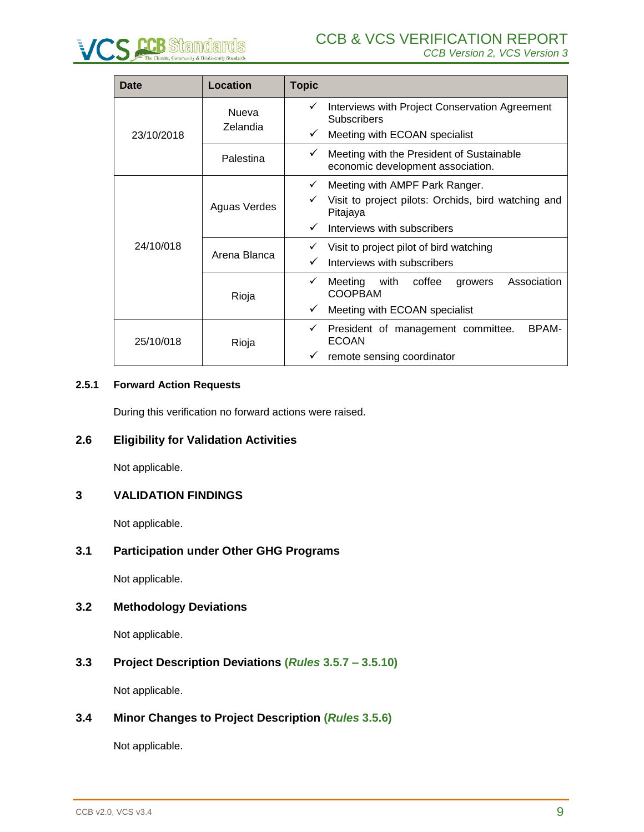

| Date       | Location                 | <b>Topic</b>                                                                        |
|------------|--------------------------|-------------------------------------------------------------------------------------|
|            | <b>Nueva</b><br>Zelandia | Interviews with Project Conservation Agreement<br>✓<br><b>Subscribers</b>           |
| 23/10/2018 |                          | Meeting with ECOAN specialist<br>✓                                                  |
|            | Palestina                | Meeting with the President of Sustainable<br>✓<br>economic development association. |
|            | Aguas Verdes             | Meeting with AMPF Park Ranger.<br>✓                                                 |
|            |                          | Visit to project pilots: Orchids, bird watching and<br>Pitajaya                     |
|            |                          | Interviews with subscribers<br>✓                                                    |
| 24/10/018  | Arena Blanca             | Visit to project pilot of bird watching                                             |
|            |                          | Interviews with subscribers<br>✓                                                    |
|            | Rioja                    | Association<br>Meeting<br>with<br>coffee<br>✓<br>growers<br><b>COOPBAM</b>          |
|            |                          | Meeting with ECOAN specialist<br>✓                                                  |
| 25/10/018  | Rioja                    | BPAM-<br>President of management committee.<br>✓<br><b>ECOAN</b>                    |
|            |                          | remote sensing coordinator<br>✓                                                     |

#### **2.5.1 Forward Action Requests**

During this verification no forward actions were raised.

#### <span id="page-8-0"></span>**2.6 Eligibility for Validation Activities**

Not applicable.

#### <span id="page-8-1"></span>**3 VALIDATION FINDINGS**

Not applicable.

#### <span id="page-8-2"></span>**3.1 Participation under Other GHG Programs**

Not applicable.

### <span id="page-8-3"></span>**3.2 Methodology Deviations**

Not applicable.

# <span id="page-8-4"></span>**3.3 Project Description Deviations (***Rules* **3.5.7 – 3.5.10)**

Not applicable.

# <span id="page-8-5"></span>**3.4 Minor Changes to Project Description (***Rules* **3.5.6)**

Not applicable.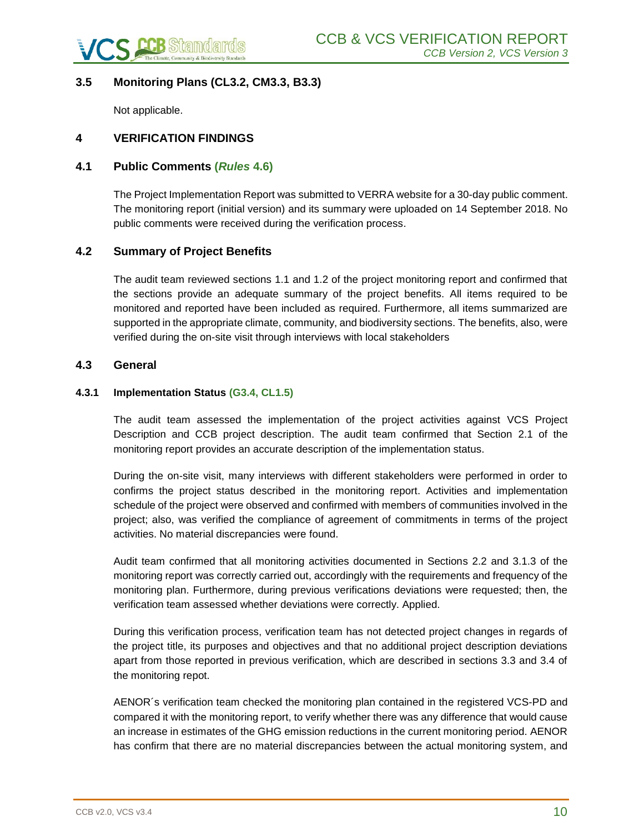

# <span id="page-9-0"></span>**3.5 Monitoring Plans (CL3.2, CM3.3, B3.3)**

Not applicable.

### <span id="page-9-1"></span>**4 VERIFICATION FINDINGS**

#### <span id="page-9-2"></span>**4.1 Public Comments (***Rules* **4.6)**

The Project Implementation Report was submitted to VERRA website for a 30-day public comment. The monitoring report (initial version) and its summary were uploaded on 14 September 2018. No public comments were received during the verification process.

#### <span id="page-9-3"></span>**4.2 Summary of Project Benefits**

The audit team reviewed sections 1.1 and 1.2 of the project monitoring report and confirmed that the sections provide an adequate summary of the project benefits. All items required to be monitored and reported have been included as required. Furthermore, all items summarized are supported in the appropriate climate, community, and biodiversity sections. The benefits, also, were verified during the on-site visit through interviews with local stakeholders

#### <span id="page-9-4"></span>**4.3 General**

#### **4.3.1 Implementation Status (G3.4, CL1.5)**

The audit team assessed the implementation of the project activities against VCS Project Description and CCB project description. The audit team confirmed that Section 2.1 of the monitoring report provides an accurate description of the implementation status.

During the on-site visit, many interviews with different stakeholders were performed in order to confirms the project status described in the monitoring report. Activities and implementation schedule of the project were observed and confirmed with members of communities involved in the project; also, was verified the compliance of agreement of commitments in terms of the project activities. No material discrepancies were found.

Audit team confirmed that all monitoring activities documented in Sections 2.2 and 3.1.3 of the monitoring report was correctly carried out, accordingly with the requirements and frequency of the monitoring plan. Furthermore, during previous verifications deviations were requested; then, the verification team assessed whether deviations were correctly. Applied.

During this verification process, verification team has not detected project changes in regards of the project title, its purposes and objectives and that no additional project description deviations apart from those reported in previous verification, which are described in sections 3.3 and 3.4 of the monitoring repot.

AENOR´s verification team checked the monitoring plan contained in the registered VCS-PD and compared it with the monitoring report, to verify whether there was any difference that would cause an increase in estimates of the GHG emission reductions in the current monitoring period. AENOR has confirm that there are no material discrepancies between the actual monitoring system, and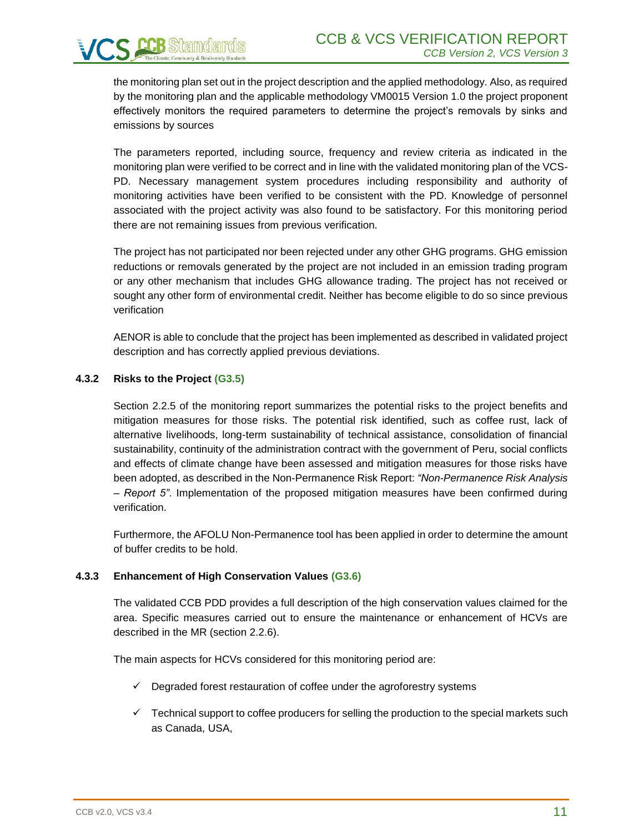the monitoring plan set out in the project description and the applied methodology. Also, as required by the monitoring plan and the applicable methodology VM0015 Version 1.0 the project proponent effectively monitors the required parameters to determine the project's removals by sinks and emissions by sources

The parameters reported, including source, frequency and review criteria as indicated in the monitoring plan were verified to be correct and in line with the validated monitoring plan of the VCS-PD. Necessary management system procedures including responsibility and authority of monitoring activities have been verified to be consistent with the PD. Knowledge of personnel associated with the project activity was also found to be satisfactory. For this monitoring period there are not remaining issues from previous verification.

The project has not participated nor been rejected under any other GHG programs. GHG emission reductions or removals generated by the project are not included in an emission trading program or any other mechanism that includes GHG allowance trading. The project has not received or sought any other form of environmental credit. Neither has become eligible to do so since previous verification

AENOR is able to conclude that the project has been implemented as described in validated project description and has correctly applied previous deviations.

#### **4.3.2 Risks to the Project (G3.5)**

Section 2.2.5 of the monitoring report summarizes the potential risks to the project benefits and mitigation measures for those risks. The potential risk identified, such as coffee rust, lack of alternative livelihoods, long-term sustainability of technical assistance, consolidation of financial sustainability, continuity of the administration contract with the government of Peru, social conflicts and effects of climate change have been assessed and mitigation measures for those risks have been adopted, as described in the Non-Permanence Risk Report: *"Non-Permanence Risk Analysis – Report 5"*. Implementation of the proposed mitigation measures have been confirmed during verification.

Furthermore, the AFOLU Non-Permanence tool has been applied in order to determine the amount of buffer credits to be hold.

#### **4.3.3 Enhancement of High Conservation Values (G3.6)**

The validated CCB PDD provides a full description of the high conservation values claimed for the area. Specific measures carried out to ensure the maintenance or enhancement of HCVs are described in the MR (section 2.2.6).

The main aspects for HCVs considered for this monitoring period are:

- ✓ Degraded forest restauration of coffee under the agroforestry systems
- $\checkmark$  Technical support to coffee producers for selling the production to the special markets such as Canada, USA,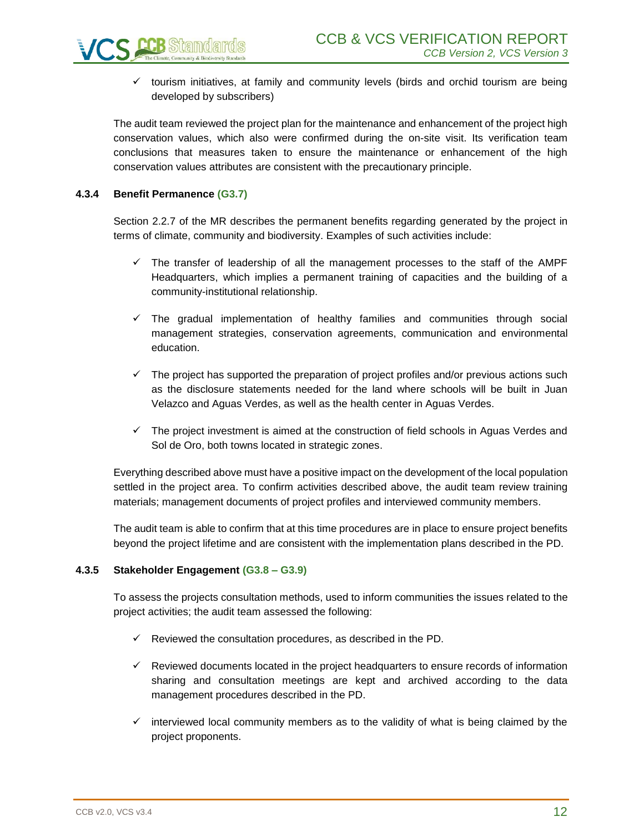$\checkmark$  tourism initiatives, at family and community levels (birds and orchid tourism are being developed by subscribers)

The audit team reviewed the project plan for the maintenance and enhancement of the project high conservation values, which also were confirmed during the on-site visit. Its verification team conclusions that measures taken to ensure the maintenance or enhancement of the high conservation values attributes are consistent with the precautionary principle.

#### **4.3.4 Benefit Permanence (G3.7)**

Section 2.2.7 of the MR describes the permanent benefits regarding generated by the project in terms of climate, community and biodiversity. Examples of such activities include:

- $\checkmark$  The transfer of leadership of all the management processes to the staff of the AMPF Headquarters, which implies a permanent training of capacities and the building of a community-institutional relationship.
- $\checkmark$  The gradual implementation of healthy families and communities through social management strategies, conservation agreements, communication and environmental education.
- $\checkmark$  The project has supported the preparation of project profiles and/or previous actions such as the disclosure statements needed for the land where schools will be built in Juan Velazco and Aguas Verdes, as well as the health center in Aguas Verdes.
- ✓ The project investment is aimed at the construction of field schools in Aguas Verdes and Sol de Oro, both towns located in strategic zones.

Everything described above must have a positive impact on the development of the local population settled in the project area. To confirm activities described above, the audit team review training materials; management documents of project profiles and interviewed community members.

The audit team is able to confirm that at this time procedures are in place to ensure project benefits beyond the project lifetime and are consistent with the implementation plans described in the PD.

#### **4.3.5 Stakeholder Engagement (G3.8 – G3.9)**

To assess the projects consultation methods, used to inform communities the issues related to the project activities; the audit team assessed the following:

- $\checkmark$  Reviewed the consultation procedures, as described in the PD.
- $\checkmark$  Reviewed documents located in the project headquarters to ensure records of information sharing and consultation meetings are kept and archived according to the data management procedures described in the PD.
- $\checkmark$  interviewed local community members as to the validity of what is being claimed by the project proponents.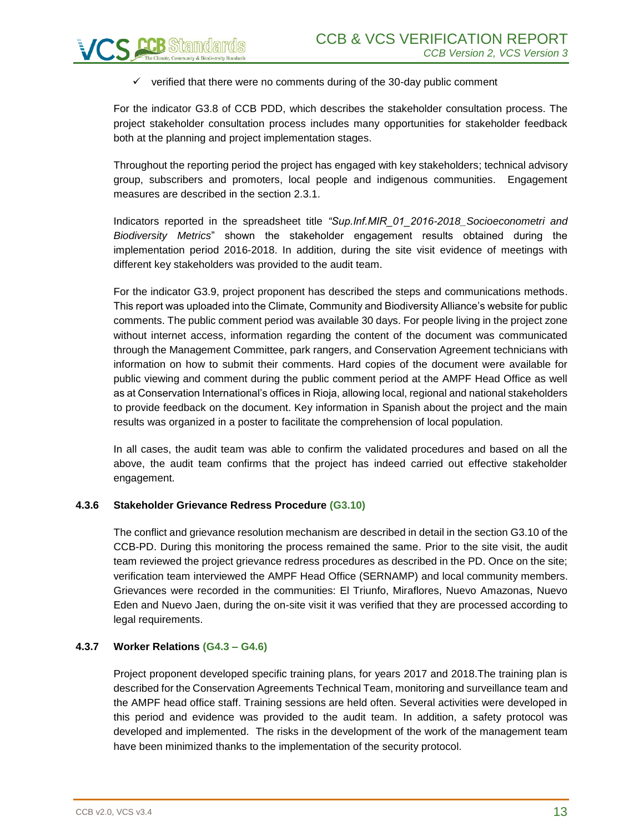

For the indicator G3.8 of CCB PDD, which describes the stakeholder consultation process. The project stakeholder consultation process includes many opportunities for stakeholder feedback both at the planning and project implementation stages.

Throughout the reporting period the project has engaged with key stakeholders; technical advisory group, subscribers and promoters, local people and indigenous communities. Engagement measures are described in the section 2.3.1.

Indicators reported in the spreadsheet title *"Sup.Inf.MIR\_01\_2016-2018\_Socioeconometri and Biodiversity Metrics*" shown the stakeholder engagement results obtained during the implementation period 2016-2018. In addition, during the site visit evidence of meetings with different key stakeholders was provided to the audit team.

For the indicator G3.9, project proponent has described the steps and communications methods. This report was uploaded into the Climate, Community and Biodiversity Alliance's website for public comments. The public comment period was available 30 days. For people living in the project zone without internet access, information regarding the content of the document was communicated through the Management Committee, park rangers, and Conservation Agreement technicians with information on how to submit their comments. Hard copies of the document were available for public viewing and comment during the public comment period at the AMPF Head Office as well as at Conservation International's offices in Rioja, allowing local, regional and national stakeholders to provide feedback on the document. Key information in Spanish about the project and the main results was organized in a poster to facilitate the comprehension of local population.

In all cases, the audit team was able to confirm the validated procedures and based on all the above, the audit team confirms that the project has indeed carried out effective stakeholder engagement.

#### **4.3.6 Stakeholder Grievance Redress Procedure (G3.10)**

The conflict and grievance resolution mechanism are described in detail in the section G3.10 of the CCB-PD. During this monitoring the process remained the same. Prior to the site visit, the audit team reviewed the project grievance redress procedures as described in the PD. Once on the site; verification team interviewed the AMPF Head Office (SERNAMP) and local community members. Grievances were recorded in the communities: El Triunfo, Miraflores, Nuevo Amazonas, Nuevo Eden and Nuevo Jaen, during the on-site visit it was verified that they are processed according to legal requirements.

#### **4.3.7 Worker Relations (G4.3 – G4.6)**

Project proponent developed specific training plans, for years 2017 and 2018.The training plan is described for the Conservation Agreements Technical Team, monitoring and surveillance team and the AMPF head office staff. Training sessions are held often. Several activities were developed in this period and evidence was provided to the audit team. In addition, a safety protocol was developed and implemented. The risks in the development of the work of the management team have been minimized thanks to the implementation of the security protocol.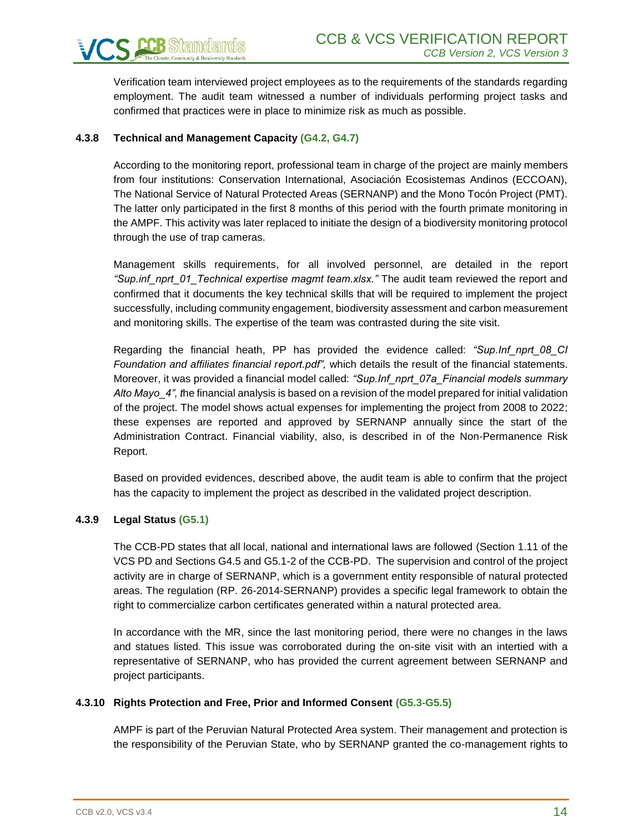Verification team interviewed project employees as to the requirements of the standards regarding employment. The audit team witnessed a number of individuals performing project tasks and confirmed that practices were in place to minimize risk as much as possible.

#### **4.3.8 Technical and Management Capacity (G4.2, G4.7)**

According to the monitoring report, professional team in charge of the project are mainly members from four institutions: Conservation International, Asociación Ecosistemas Andinos (ECCOAN), The National Service of Natural Protected Areas (SERNANP) and the Mono Tocón Project (PMT). The latter only participated in the first 8 months of this period with the fourth primate monitoring in the AMPF. This activity was later replaced to initiate the design of a biodiversity monitoring protocol through the use of trap cameras.

Management skills requirements, for all involved personnel, are detailed in the report *"Sup.inf\_nprt\_01\_Technical expertise magmt team.xlsx."* The audit team reviewed the report and confirmed that it documents the key technical skills that will be required to implement the project successfully, including community engagement, biodiversity assessment and carbon measurement and monitoring skills. The expertise of the team was contrasted during the site visit.

Regarding the financial heath, PP has provided the evidence called: *"Sup.Inf\_nprt\_08\_CI Foundation and affiliates financial report.pdf",* which details the result of the financial statements. Moreover, it was provided a financial model called: *"Sup.Inf\_nprt\_07a\_Financial models summary Alto Mayo\_4", t*he financial analysis is based on a revision of the model prepared for initial validation of the project. The model shows actual expenses for implementing the project from 2008 to 2022; these expenses are reported and approved by SERNANP annually since the start of the Administration Contract. Financial viability, also, is described in of the Non-Permanence Risk Report.

Based on provided evidences, described above, the audit team is able to confirm that the project has the capacity to implement the project as described in the validated project description.

#### **4.3.9 Legal Status (G5.1)**

The CCB-PD states that all local, national and international laws are followed (Section 1.11 of the VCS PD and Sections G4.5 and G5.1-2 of the CCB-PD. The supervision and control of the project activity are in charge of SERNANP, which is a government entity responsible of natural protected areas. The regulation (RP. 26-2014-SERNANP) provides a specific legal framework to obtain the right to commercialize carbon certificates generated within a natural protected area.

In accordance with the MR, since the last monitoring period, there were no changes in the laws and statues listed. This issue was corroborated during the on-site visit with an intertied with a representative of SERNANP, who has provided the current agreement between SERNANP and project participants.

#### **4.3.10 Rights Protection and Free, Prior and Informed Consent (G5.3-G5.5)**

AMPF is part of the Peruvian Natural Protected Area system. Their management and protection is the responsibility of the Peruvian State, who by SERNANP granted the co-management rights to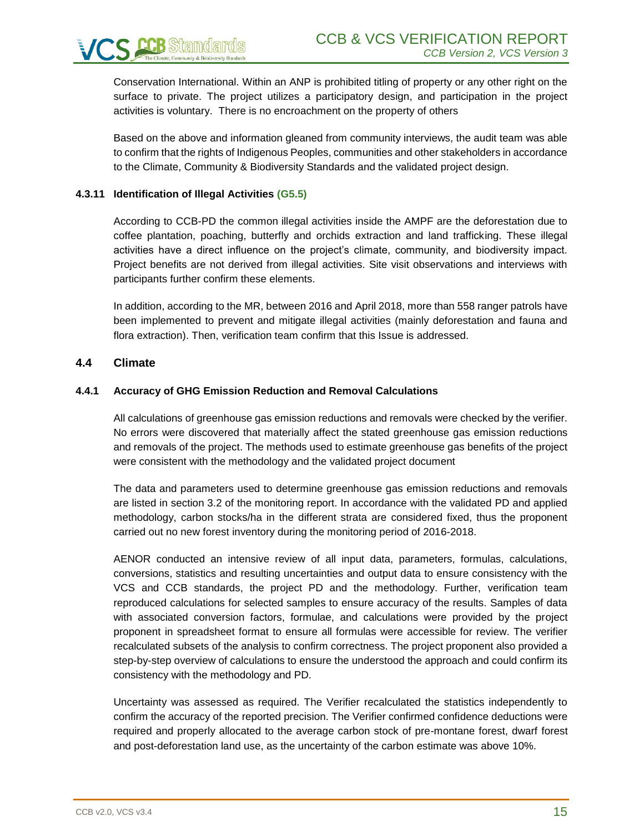

Conservation International. Within an ANP is prohibited titling of property or any other right on the surface to private. The project utilizes a participatory design, and participation in the project activities is voluntary. There is no encroachment on the property of others

Based on the above and information gleaned from community interviews, the audit team was able to confirm that the rights of Indigenous Peoples, communities and other stakeholders in accordance to the Climate, Community & Biodiversity Standards and the validated project design.

#### **4.3.11 Identification of Illegal Activities (G5.5)**

According to CCB-PD the common illegal activities inside the AMPF are the deforestation due to coffee plantation, poaching, butterfly and orchids extraction and land trafficking. These illegal activities have a direct influence on the project's climate, community, and biodiversity impact. Project benefits are not derived from illegal activities. Site visit observations and interviews with participants further confirm these elements.

In addition, according to the MR, between 2016 and April 2018, more than 558 ranger patrols have been implemented to prevent and mitigate illegal activities (mainly deforestation and fauna and flora extraction). Then, verification team confirm that this Issue is addressed.

#### <span id="page-14-0"></span>**4.4 Climate**

#### **4.4.1 Accuracy of GHG Emission Reduction and Removal Calculations**

All calculations of greenhouse gas emission reductions and removals were checked by the verifier. No errors were discovered that materially affect the stated greenhouse gas emission reductions and removals of the project. The methods used to estimate greenhouse gas benefits of the project were consistent with the methodology and the validated project document

The data and parameters used to determine greenhouse gas emission reductions and removals are listed in section 3.2 of the monitoring report. In accordance with the validated PD and applied methodology, carbon stocks/ha in the different strata are considered fixed, thus the proponent carried out no new forest inventory during the monitoring period of 2016-2018.

AENOR conducted an intensive review of all input data, parameters, formulas, calculations, conversions, statistics and resulting uncertainties and output data to ensure consistency with the VCS and CCB standards, the project PD and the methodology. Further, verification team reproduced calculations for selected samples to ensure accuracy of the results. Samples of data with associated conversion factors, formulae, and calculations were provided by the project proponent in spreadsheet format to ensure all formulas were accessible for review. The verifier recalculated subsets of the analysis to confirm correctness. The project proponent also provided a step-by-step overview of calculations to ensure the understood the approach and could confirm its consistency with the methodology and PD.

Uncertainty was assessed as required. The Verifier recalculated the statistics independently to confirm the accuracy of the reported precision. The Verifier confirmed confidence deductions were required and properly allocated to the average carbon stock of pre-montane forest, dwarf forest and post-deforestation land use, as the uncertainty of the carbon estimate was above 10%.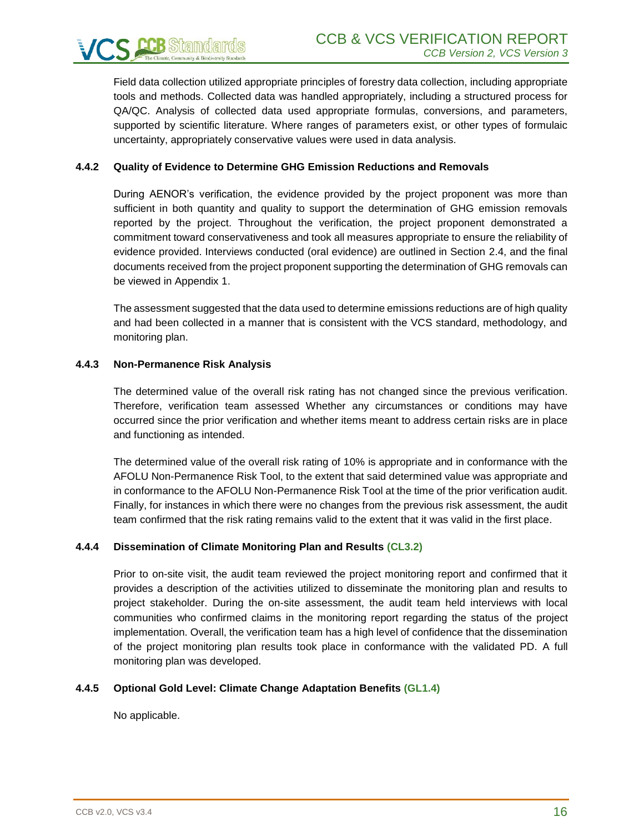

Field data collection utilized appropriate principles of forestry data collection, including appropriate tools and methods. Collected data was handled appropriately, including a structured process for QA/QC. Analysis of collected data used appropriate formulas, conversions, and parameters, supported by scientific literature. Where ranges of parameters exist, or other types of formulaic uncertainty, appropriately conservative values were used in data analysis.

#### **4.4.2 Quality of Evidence to Determine GHG Emission Reductions and Removals**

During AENOR's verification, the evidence provided by the project proponent was more than sufficient in both quantity and quality to support the determination of GHG emission removals reported by the project. Throughout the verification, the project proponent demonstrated a commitment toward conservativeness and took all measures appropriate to ensure the reliability of evidence provided. Interviews conducted (oral evidence) are outlined in Section 2.4, and the final documents received from the project proponent supporting the determination of GHG removals can be viewed in Appendix 1.

The assessment suggested that the data used to determine emissions reductions are of high quality and had been collected in a manner that is consistent with the VCS standard, methodology, and monitoring plan.

#### **4.4.3 Non-Permanence Risk Analysis**

The determined value of the overall risk rating has not changed since the previous verification. Therefore, verification team assessed Whether any circumstances or conditions may have occurred since the prior verification and whether items meant to address certain risks are in place and functioning as intended.

The determined value of the overall risk rating of 10% is appropriate and in conformance with the AFOLU Non-Permanence Risk Tool, to the extent that said determined value was appropriate and in conformance to the AFOLU Non-Permanence Risk Tool at the time of the prior verification audit. Finally, for instances in which there were no changes from the previous risk assessment, the audit team confirmed that the risk rating remains valid to the extent that it was valid in the first place.

#### **4.4.4 Dissemination of Climate Monitoring Plan and Results (CL3.2)**

Prior to on-site visit, the audit team reviewed the project monitoring report and confirmed that it provides a description of the activities utilized to disseminate the monitoring plan and results to project stakeholder. During the on-site assessment, the audit team held interviews with local communities who confirmed claims in the monitoring report regarding the status of the project implementation. Overall, the verification team has a high level of confidence that the dissemination of the project monitoring plan results took place in conformance with the validated PD. A full monitoring plan was developed.

#### **4.4.5 Optional Gold Level: Climate Change Adaptation Benefits (GL1.4)**

No applicable.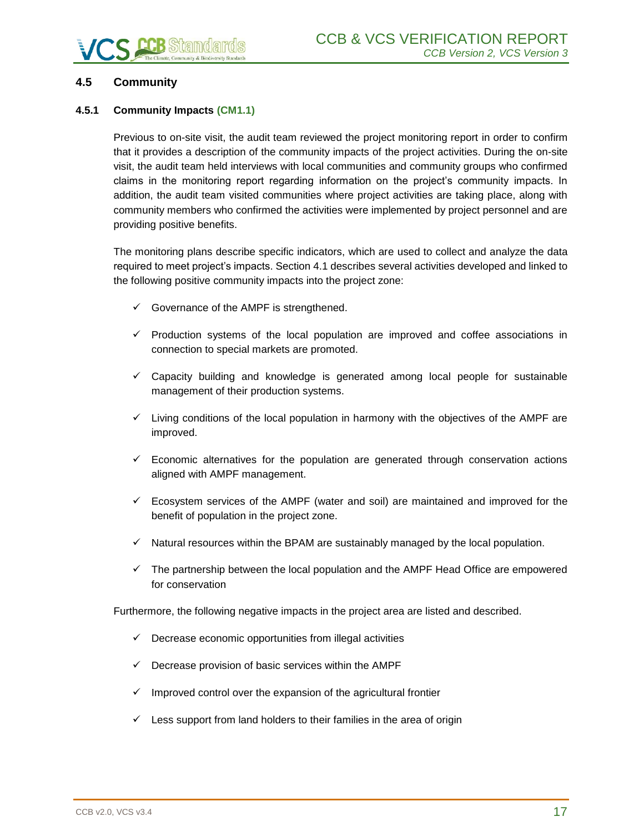### <span id="page-16-0"></span>**4.5 Community**

#### **4.5.1 Community Impacts (CM1.1)**

Previous to on-site visit, the audit team reviewed the project monitoring report in order to confirm that it provides a description of the community impacts of the project activities. During the on-site visit, the audit team held interviews with local communities and community groups who confirmed claims in the monitoring report regarding information on the project's community impacts. In addition, the audit team visited communities where project activities are taking place, along with community members who confirmed the activities were implemented by project personnel and are providing positive benefits.

The monitoring plans describe specific indicators, which are used to collect and analyze the data required to meet project's impacts. Section 4.1 describes several activities developed and linked to the following positive community impacts into the project zone:

- $\checkmark$  Governance of the AMPF is strengthened.
- ✓ Production systems of the local population are improved and coffee associations in connection to special markets are promoted.
- $\checkmark$  Capacity building and knowledge is generated among local people for sustainable management of their production systems.
- $\checkmark$  Living conditions of the local population in harmony with the objectives of the AMPF are improved.
- $\checkmark$  Economic alternatives for the population are generated through conservation actions aligned with AMPF management.
- $\checkmark$  Ecosystem services of the AMPF (water and soil) are maintained and improved for the benefit of population in the project zone.
- $\checkmark$  Natural resources within the BPAM are sustainably managed by the local population.
- $\checkmark$  The partnership between the local population and the AMPF Head Office are empowered for conservation

Furthermore, the following negative impacts in the project area are listed and described.

- $\checkmark$  Decrease economic opportunities from illegal activities
- $\checkmark$  Decrease provision of basic services within the AMPF
- $\checkmark$  Improved control over the expansion of the agricultural frontier
- $\checkmark$  Less support from land holders to their families in the area of origin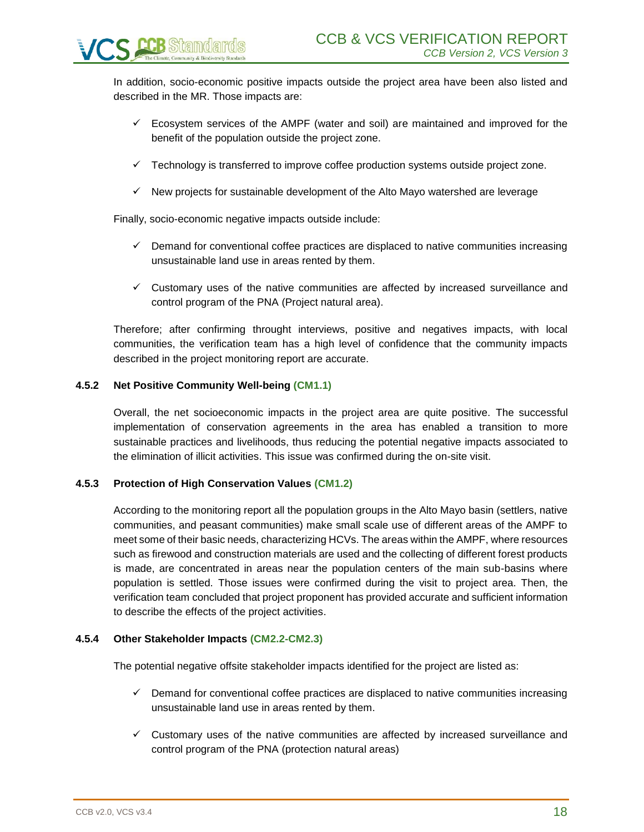In addition, socio-economic positive impacts outside the project area have been also listed and described in the MR. Those impacts are:

- $\checkmark$  Ecosystem services of the AMPF (water and soil) are maintained and improved for the benefit of the population outside the project zone.
- $\checkmark$  Technology is transferred to improve coffee production systems outside project zone.
- $\checkmark$  New projects for sustainable development of the Alto Mayo watershed are leverage

Finally, socio-economic negative impacts outside include:

- $\checkmark$  Demand for conventional coffee practices are displaced to native communities increasing unsustainable land use in areas rented by them.
- $\checkmark$  Customary uses of the native communities are affected by increased surveillance and control program of the PNA (Project natural area).

Therefore; after confirming throught interviews, positive and negatives impacts, with local communities, the verification team has a high level of confidence that the community impacts described in the project monitoring report are accurate.

#### **4.5.2 Net Positive Community Well-being (CM1.1)**

Overall, the net socioeconomic impacts in the project area are quite positive. The successful implementation of conservation agreements in the area has enabled a transition to more sustainable practices and livelihoods, thus reducing the potential negative impacts associated to the elimination of illicit activities. This issue was confirmed during the on-site visit.

#### **4.5.3 Protection of High Conservation Values (CM1.2)**

According to the monitoring report all the population groups in the Alto Mayo basin (settlers, native communities, and peasant communities) make small scale use of different areas of the AMPF to meet some of their basic needs, characterizing HCVs. The areas within the AMPF, where resources such as firewood and construction materials are used and the collecting of different forest products is made, are concentrated in areas near the population centers of the main sub-basins where population is settled. Those issues were confirmed during the visit to project area. Then, the verification team concluded that project proponent has provided accurate and sufficient information to describe the effects of the project activities.

#### **4.5.4 Other Stakeholder Impacts (CM2.2-CM2.3)**

The potential negative offsite stakeholder impacts identified for the project are listed as:

- $\checkmark$  Demand for conventional coffee practices are displaced to native communities increasing unsustainable land use in areas rented by them.
- $\checkmark$  Customary uses of the native communities are affected by increased surveillance and control program of the PNA (protection natural areas)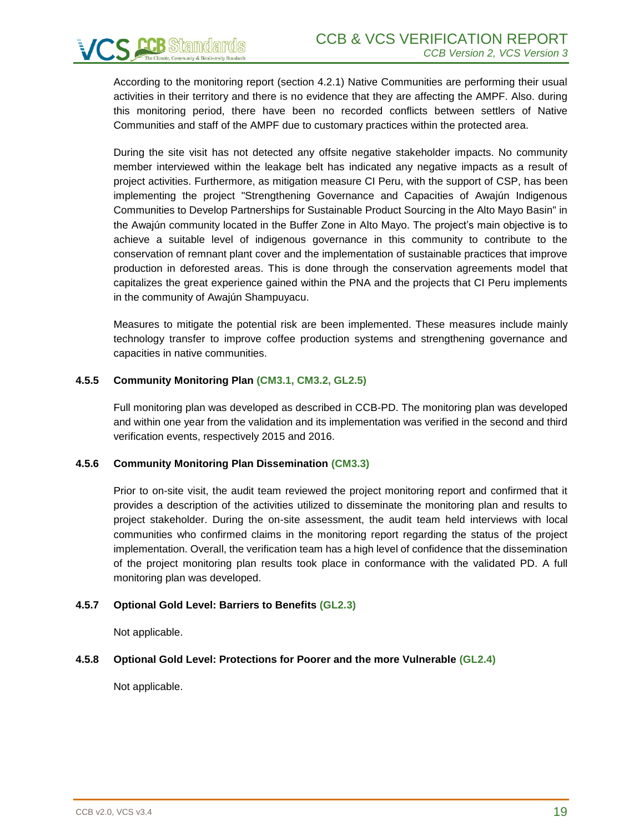According to the monitoring report (section 4.2.1) Native Communities are performing their usual activities in their territory and there is no evidence that they are affecting the AMPF. Also. during this monitoring period, there have been no recorded conflicts between settlers of Native Communities and staff of the AMPF due to customary practices within the protected area.

During the site visit has not detected any offsite negative stakeholder impacts. No community member interviewed within the leakage belt has indicated any negative impacts as a result of project activities. Furthermore, as mitigation measure CI Peru, with the support of CSP, has been implementing the project "Strengthening Governance and Capacities of Awajún Indigenous Communities to Develop Partnerships for Sustainable Product Sourcing in the Alto Mayo Basin" in the Awajún community located in the Buffer Zone in Alto Mayo. The project's main objective is to achieve a suitable level of indigenous governance in this community to contribute to the conservation of remnant plant cover and the implementation of sustainable practices that improve production in deforested areas. This is done through the conservation agreements model that capitalizes the great experience gained within the PNA and the projects that CI Peru implements in the community of Awajún Shampuyacu.

Measures to mitigate the potential risk are been implemented. These measures include mainly technology transfer to improve coffee production systems and strengthening governance and capacities in native communities.

#### **4.5.5 Community Monitoring Plan (CM3.1, CM3.2, GL2.5)**

Full monitoring plan was developed as described in CCB-PD. The monitoring plan was developed and within one year from the validation and its implementation was verified in the second and third verification events, respectively 2015 and 2016.

#### **4.5.6 Community Monitoring Plan Dissemination (CM3.3)**

Prior to on-site visit, the audit team reviewed the project monitoring report and confirmed that it provides a description of the activities utilized to disseminate the monitoring plan and results to project stakeholder. During the on-site assessment, the audit team held interviews with local communities who confirmed claims in the monitoring report regarding the status of the project implementation. Overall, the verification team has a high level of confidence that the dissemination of the project monitoring plan results took place in conformance with the validated PD. A full monitoring plan was developed.

#### **4.5.7 Optional Gold Level: Barriers to Benefits (GL2.3)**

Not applicable.

#### **4.5.8 Optional Gold Level: Protections for Poorer and the more Vulnerable (GL2.4)**

Not applicable.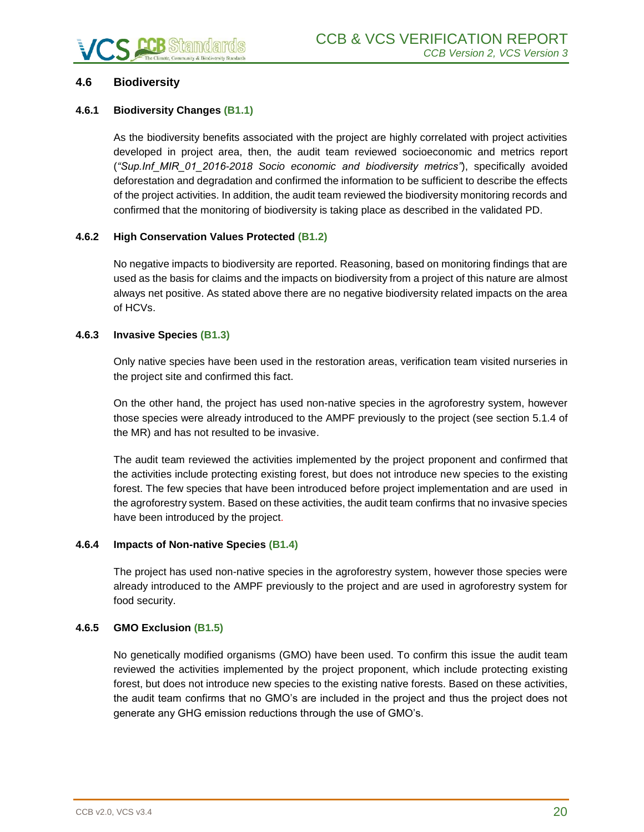#### <span id="page-19-0"></span>**4.6 Biodiversity**

#### **4.6.1 Biodiversity Changes (B1.1)**

As the biodiversity benefits associated with the project are highly correlated with project activities developed in project area, then, the audit team reviewed socioeconomic and metrics report (*"Sup.Inf\_MIR\_01\_2016-2018 Socio economic and biodiversity metrics"*), specifically avoided deforestation and degradation and confirmed the information to be sufficient to describe the effects of the project activities. In addition, the audit team reviewed the biodiversity monitoring records and confirmed that the monitoring of biodiversity is taking place as described in the validated PD.

#### **4.6.2 High Conservation Values Protected (B1.2)**

No negative impacts to biodiversity are reported. Reasoning, based on monitoring findings that are used as the basis for claims and the impacts on biodiversity from a project of this nature are almost always net positive. As stated above there are no negative biodiversity related impacts on the area of HCVs.

#### **4.6.3 Invasive Species (B1.3)**

Only native species have been used in the restoration areas, verification team visited nurseries in the project site and confirmed this fact.

On the other hand, the project has used non-native species in the agroforestry system, however those species were already introduced to the AMPF previously to the project (see section 5.1.4 of the MR) and has not resulted to be invasive.

The audit team reviewed the activities implemented by the project proponent and confirmed that the activities include protecting existing forest, but does not introduce new species to the existing forest. The few species that have been introduced before project implementation and are used in the agroforestry system. Based on these activities, the audit team confirms that no invasive species have been introduced by the project.

#### **4.6.4 Impacts of Non-native Species (B1.4)**

The project has used non-native species in the agroforestry system, however those species were already introduced to the AMPF previously to the project and are used in agroforestry system for food security.

#### **4.6.5 GMO Exclusion (B1.5)**

No genetically modified organisms (GMO) have been used. To confirm this issue the audit team reviewed the activities implemented by the project proponent, which include protecting existing forest, but does not introduce new species to the existing native forests. Based on these activities, the audit team confirms that no GMO's are included in the project and thus the project does not generate any GHG emission reductions through the use of GMO's.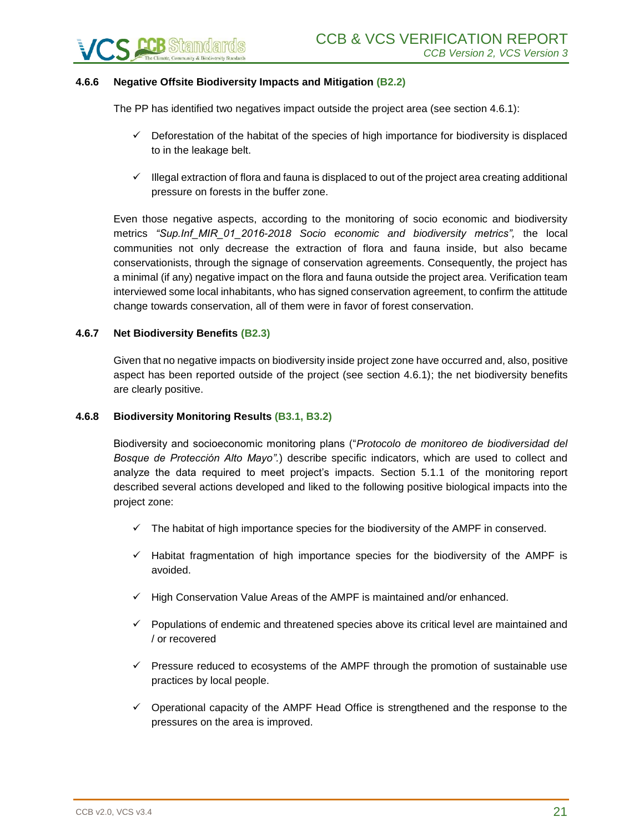

#### **4.6.6 Negative Offsite Biodiversity Impacts and Mitigation (B2.2)**

The PP has identified two negatives impact outside the project area (see section 4.6.1):

- $\checkmark$  Deforestation of the habitat of the species of high importance for biodiversity is displaced to in the leakage belt.
- ✓ Illegal extraction of flora and fauna is displaced to out of the project area creating additional pressure on forests in the buffer zone.

Even those negative aspects, according to the monitoring of socio economic and biodiversity metrics *"Sup.Inf\_MIR\_01\_2016-2018 Socio economic and biodiversity metrics",* the local communities not only decrease the extraction of flora and fauna inside, but also became conservationists, through the signage of conservation agreements. Consequently, the project has a minimal (if any) negative impact on the flora and fauna outside the project area. Verification team interviewed some local inhabitants, who has signed conservation agreement, to confirm the attitude change towards conservation, all of them were in favor of forest conservation.

#### **4.6.7 Net Biodiversity Benefits (B2.3)**

Given that no negative impacts on biodiversity inside project zone have occurred and, also, positive aspect has been reported outside of the project (see section 4.6.1); the net biodiversity benefits are clearly positive.

#### **4.6.8 Biodiversity Monitoring Results (B3.1, B3.2)**

Biodiversity and socioeconomic monitoring plans ("*Protocolo de monitoreo de biodiversidad del Bosque de Protección Alto Mayo".*) describe specific indicators, which are used to collect and analyze the data required to meet project's impacts. Section 5.1.1 of the monitoring report described several actions developed and liked to the following positive biological impacts into the project zone:

- $\checkmark$  The habitat of high importance species for the biodiversity of the AMPF in conserved.
- $\checkmark$  Habitat fragmentation of high importance species for the biodiversity of the AMPF is avoided.
- $\checkmark$  High Conservation Value Areas of the AMPF is maintained and/or enhanced.
- ✓ Populations of endemic and threatened species above its critical level are maintained and / or recovered
- $\checkmark$  Pressure reduced to ecosystems of the AMPF through the promotion of sustainable use practices by local people.
- $\checkmark$  Operational capacity of the AMPF Head Office is strengthened and the response to the pressures on the area is improved.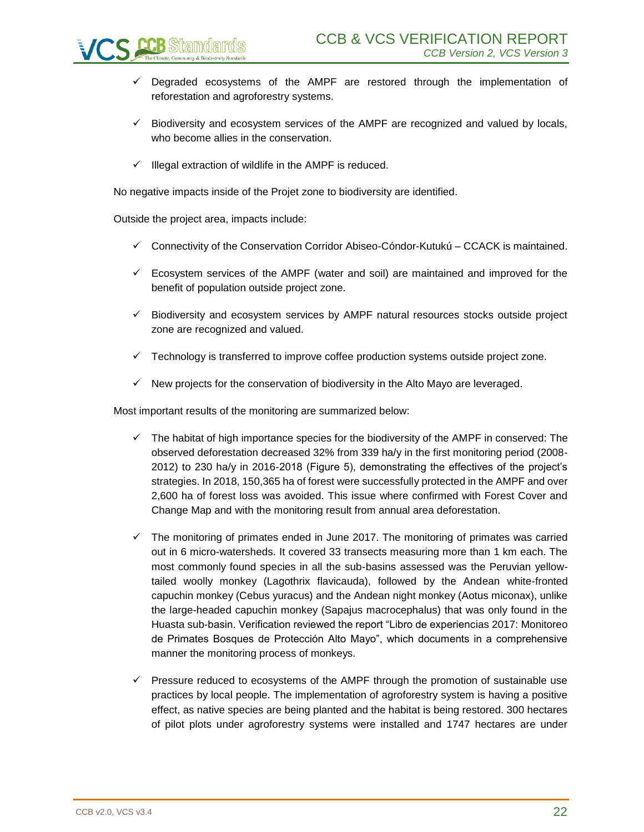

- ✓ Degraded ecosystems of the AMPF are restored through the implementation of reforestation and agroforestry systems.
- $\checkmark$  Biodiversity and ecosystem services of the AMPF are recognized and valued by locals, who become allies in the conservation.
- $\checkmark$  Illegal extraction of wildlife in the AMPF is reduced.

No negative impacts inside of the Projet zone to biodiversity are identified.

Outside the project area, impacts include:

- $\checkmark$  Connectivity of the Conservation Corridor Abiseo-Cóndor-Kutukú CCACK is maintained.
- $\checkmark$  Ecosystem services of the AMPF (water and soil) are maintained and improved for the benefit of population outside project zone.
- $\checkmark$  Biodiversity and ecosystem services by AMPF natural resources stocks outside project zone are recognized and valued.
- $\checkmark$  Technology is transferred to improve coffee production systems outside project zone.
- ✓ New projects for the conservation of biodiversity in the Alto Mayo are leveraged.

Most important results of the monitoring are summarized below:

- $\checkmark$  The habitat of high importance species for the biodiversity of the AMPF in conserved: The observed deforestation decreased 32% from 339 ha/y in the first monitoring period (2008- 2012) to 230 ha/y in 2016-2018 (Figure 5), demonstrating the effectives of the project's strategies. In 2018, 150,365 ha of forest were successfully protected in the AMPF and over 2,600 ha of forest loss was avoided. This issue where confirmed with Forest Cover and Change Map and with the monitoring result from annual area deforestation.
- $\checkmark$  The monitoring of primates ended in June 2017. The monitoring of primates was carried out in 6 micro-watersheds. It covered 33 transects measuring more than 1 km each. The most commonly found species in all the sub-basins assessed was the Peruvian yellowtailed woolly monkey (Lagothrix flavicauda), followed by the Andean white-fronted capuchin monkey (Cebus yuracus) and the Andean night monkey (Aotus miconax), unlike the large-headed capuchin monkey (Sapajus macrocephalus) that was only found in the Huasta sub-basin. Verification reviewed the report "Libro de experiencias 2017: Monitoreo de Primates Bosques de Protección Alto Mayo", which documents in a comprehensive manner the monitoring process of monkeys.
- $\checkmark$  Pressure reduced to ecosystems of the AMPF through the promotion of sustainable use practices by local people. The implementation of agroforestry system is having a positive effect, as native species are being planted and the habitat is being restored. 300 hectares of pilot plots under agroforestry systems were installed and 1747 hectares are under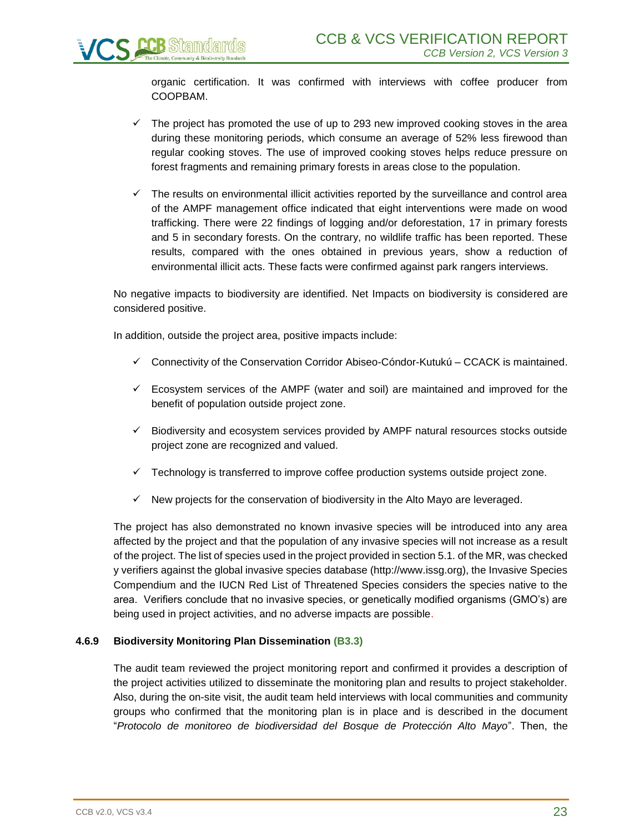organic certification. It was confirmed with interviews with coffee producer from COOPBAM.

- $\checkmark$  The project has promoted the use of up to 293 new improved cooking stoves in the area during these monitoring periods, which consume an average of 52% less firewood than regular cooking stoves. The use of improved cooking stoves helps reduce pressure on forest fragments and remaining primary forests in areas close to the population.
- $\checkmark$  The results on environmental illicit activities reported by the surveillance and control area of the AMPF management office indicated that eight interventions were made on wood trafficking. There were 22 findings of logging and/or deforestation, 17 in primary forests and 5 in secondary forests. On the contrary, no wildlife traffic has been reported. These results, compared with the ones obtained in previous years, show a reduction of environmental illicit acts. These facts were confirmed against park rangers interviews.

No negative impacts to biodiversity are identified. Net Impacts on biodiversity is considered are considered positive.

In addition, outside the project area, positive impacts include:

- ✓ Connectivity of the Conservation Corridor Abiseo-Cóndor-Kutukú CCACK is maintained.
- $\checkmark$  Ecosystem services of the AMPF (water and soil) are maintained and improved for the benefit of population outside project zone.
- ✓ Biodiversity and ecosystem services provided by AMPF natural resources stocks outside project zone are recognized and valued.
- $\checkmark$  Technology is transferred to improve coffee production systems outside project zone.
- $\checkmark$  New projects for the conservation of biodiversity in the Alto Mayo are leveraged.

The project has also demonstrated no known invasive species will be introduced into any area affected by the project and that the population of any invasive species will not increase as a result of the project. The list of species used in the project provided in section 5.1. of the MR, was checked y verifiers against the global invasive species database (http://www.issg.org), the Invasive Species Compendium and the IUCN Red List of Threatened Species considers the species native to the area. Verifiers conclude that no invasive species, or genetically modified organisms (GMO's) are being used in project activities, and no adverse impacts are possible.

#### **4.6.9 Biodiversity Monitoring Plan Dissemination (B3.3)**

The audit team reviewed the project monitoring report and confirmed it provides a description of the project activities utilized to disseminate the monitoring plan and results to project stakeholder. Also, during the on-site visit, the audit team held interviews with local communities and community groups who confirmed that the monitoring plan is in place and is described in the document "*Protocolo de monitoreo de biodiversidad del Bosque de Protección Alto Mayo*". Then, the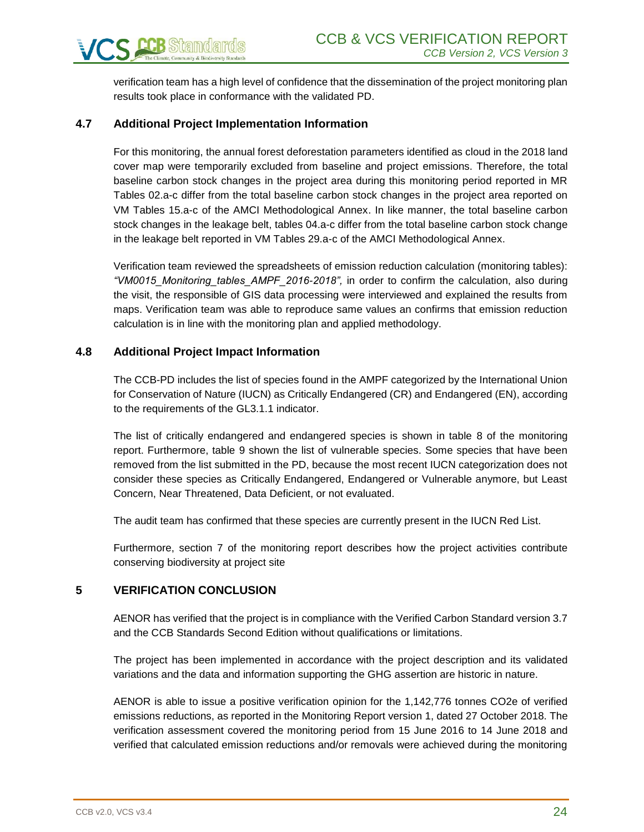verification team has a high level of confidence that the dissemination of the project monitoring plan results took place in conformance with the validated PD.

# <span id="page-23-0"></span>**4.7 Additional Project Implementation Information**

For this monitoring, the annual forest deforestation parameters identified as cloud in the 2018 land cover map were temporarily excluded from baseline and project emissions. Therefore, the total baseline carbon stock changes in the project area during this monitoring period reported in MR Tables 02.a-c differ from the total baseline carbon stock changes in the project area reported on VM Tables 15.a-c of the AMCI Methodological Annex. In like manner, the total baseline carbon stock changes in the leakage belt, tables 04.a-c differ from the total baseline carbon stock change in the leakage belt reported in VM Tables 29.a-c of the AMCI Methodological Annex.

Verification team reviewed the spreadsheets of emission reduction calculation (monitoring tables): *"VM0015\_Monitoring\_tables\_AMPF\_2016-2018",* in order to confirm the calculation, also during the visit, the responsible of GIS data processing were interviewed and explained the results from maps. Verification team was able to reproduce same values an confirms that emission reduction calculation is in line with the monitoring plan and applied methodology.

# <span id="page-23-1"></span>**4.8 Additional Project Impact Information**

The CCB-PD includes the list of species found in the AMPF categorized by the International Union for Conservation of Nature (IUCN) as Critically Endangered (CR) and Endangered (EN), according to the requirements of the GL3.1.1 indicator.

The list of critically endangered and endangered species is shown in table 8 of the monitoring report. Furthermore, table 9 shown the list of vulnerable species. Some species that have been removed from the list submitted in the PD, because the most recent IUCN categorization does not consider these species as Critically Endangered, Endangered or Vulnerable anymore, but Least Concern, Near Threatened, Data Deficient, or not evaluated.

The audit team has confirmed that these species are currently present in the IUCN Red List.

Furthermore, section 7 of the monitoring report describes how the project activities contribute conserving biodiversity at project site

# <span id="page-23-2"></span>**5 VERIFICATION CONCLUSION**

AENOR has verified that the project is in compliance with the Verified Carbon Standard version 3.7 and the CCB Standards Second Edition without qualifications or limitations.

The project has been implemented in accordance with the project description and its validated variations and the data and information supporting the GHG assertion are historic in nature.

AENOR is able to issue a positive verification opinion for the 1,142,776 tonnes CO2e of verified emissions reductions, as reported in the Monitoring Report version 1, dated 27 October 2018. The verification assessment covered the monitoring period from 15 June 2016 to 14 June 2018 and verified that calculated emission reductions and/or removals were achieved during the monitoring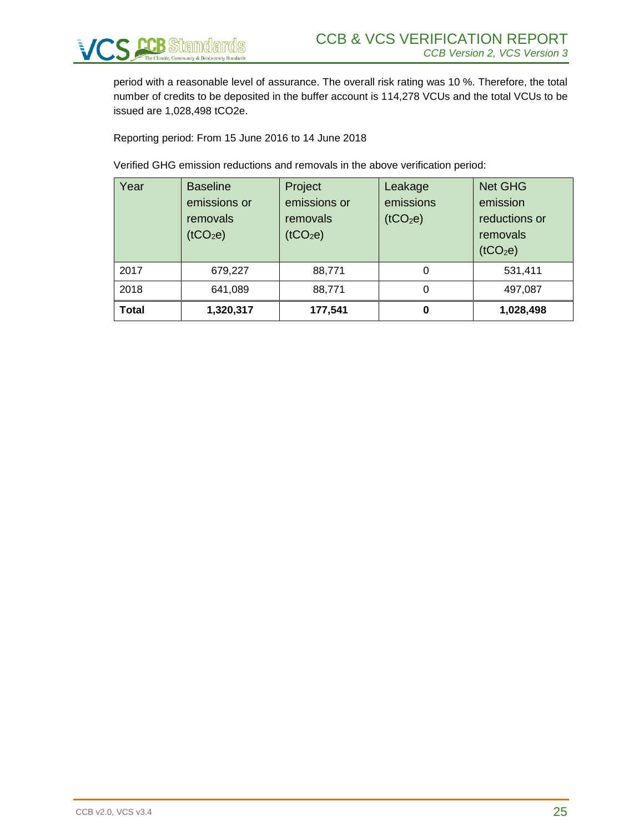

period with a reasonable level of assurance. The overall risk rating was 10 %. Therefore, the total number of credits to be deposited in the buffer account is 114,278 VCUs and the total VCUs to be issued are 1,028,498 tCO2e.

Reporting period: From 15 June 2016 to 14 June 2018

Verified GHG emission reductions and removals in the above verification period:

| Year         | <b>Baseline</b><br>emissions or<br>removals<br>(tCO <sub>2</sub> e) | Project<br>emissions or<br>removals<br>(tCO <sub>2</sub> e) | Leakage<br>emissions<br>(tCO <sub>2</sub> e) | <b>Net GHG</b><br>emission<br>reductions or<br>removals<br>(tCO <sub>2</sub> e) |
|--------------|---------------------------------------------------------------------|-------------------------------------------------------------|----------------------------------------------|---------------------------------------------------------------------------------|
| 2017         | 679,227                                                             | 88,771                                                      | 0                                            | 531,411                                                                         |
| 2018         | 641,089                                                             | 88,771                                                      | 0                                            | 497,087                                                                         |
| <b>Total</b> | 1,320,317                                                           | 177,541                                                     | 0                                            | 1,028,498                                                                       |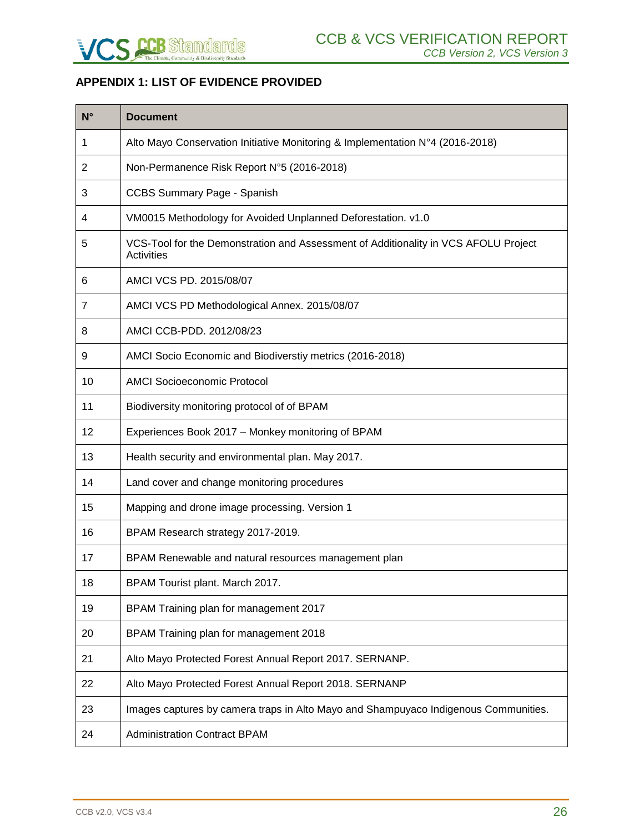

# <span id="page-25-0"></span>**APPENDIX 1: LIST OF EVIDENCE PROVIDED**

| $N^{\circ}$    | <b>Document</b>                                                                                   |
|----------------|---------------------------------------------------------------------------------------------------|
| 1              | Alto Mayo Conservation Initiative Monitoring & Implementation N°4 (2016-2018)                     |
| 2              | Non-Permanence Risk Report N°5 (2016-2018)                                                        |
| 3              | <b>CCBS Summary Page - Spanish</b>                                                                |
| 4              | VM0015 Methodology for Avoided Unplanned Deforestation. v1.0                                      |
| 5              | VCS-Tool for the Demonstration and Assessment of Additionality in VCS AFOLU Project<br>Activities |
| 6              | AMCI VCS PD. 2015/08/07                                                                           |
| $\overline{7}$ | AMCI VCS PD Methodological Annex. 2015/08/07                                                      |
| 8              | AMCI CCB-PDD. 2012/08/23                                                                          |
| 9              | AMCI Socio Economic and Biodiverstiy metrics (2016-2018)                                          |
| 10             | <b>AMCI Socioeconomic Protocol</b>                                                                |
| 11             | Biodiversity monitoring protocol of of BPAM                                                       |
| 12             | Experiences Book 2017 - Monkey monitoring of BPAM                                                 |
| 13             | Health security and environmental plan. May 2017.                                                 |
| 14             | Land cover and change monitoring procedures                                                       |
| 15             | Mapping and drone image processing. Version 1                                                     |
| 16             | BPAM Research strategy 2017-2019.                                                                 |
| 17             | BPAM Renewable and natural resources management plan                                              |
| 18             | BPAM Tourist plant. March 2017.                                                                   |
| 19             | BPAM Training plan for management 2017                                                            |
| 20             | BPAM Training plan for management 2018                                                            |
| 21             | Alto Mayo Protected Forest Annual Report 2017. SERNANP.                                           |
| 22             | Alto Mayo Protected Forest Annual Report 2018. SERNANP                                            |
| 23             | Images captures by camera traps in Alto Mayo and Shampuyaco Indigenous Communities.               |
| 24             | <b>Administration Contract BPAM</b>                                                               |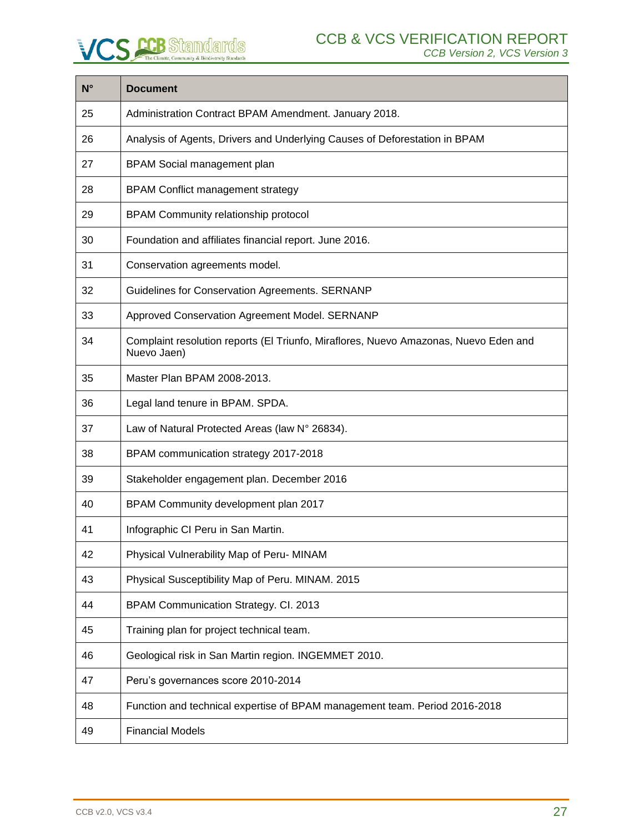| $N^{\circ}$ | <b>Document</b>                                                                                     |
|-------------|-----------------------------------------------------------------------------------------------------|
| 25          | Administration Contract BPAM Amendment. January 2018.                                               |
| 26          | Analysis of Agents, Drivers and Underlying Causes of Deforestation in BPAM                          |
| 27          | BPAM Social management plan                                                                         |
| 28          | <b>BPAM Conflict management strategy</b>                                                            |
| 29          | BPAM Community relationship protocol                                                                |
| 30          | Foundation and affiliates financial report. June 2016.                                              |
| 31          | Conservation agreements model.                                                                      |
| 32          | Guidelines for Conservation Agreements. SERNANP                                                     |
| 33          | Approved Conservation Agreement Model. SERNANP                                                      |
| 34          | Complaint resolution reports (El Triunfo, Miraflores, Nuevo Amazonas, Nuevo Eden and<br>Nuevo Jaen) |
| 35          | Master Plan BPAM 2008-2013.                                                                         |
| 36          | Legal land tenure in BPAM. SPDA.                                                                    |
| 37          | Law of Natural Protected Areas (law N° 26834).                                                      |
| 38          | BPAM communication strategy 2017-2018                                                               |
| 39          | Stakeholder engagement plan. December 2016                                                          |
| 40          | BPAM Community development plan 2017                                                                |
| 41          | Infographic CI Peru in San Martin.                                                                  |
| 42          | Physical Vulnerability Map of Peru- MINAM                                                           |
| 43          | Physical Susceptibility Map of Peru. MINAM. 2015                                                    |
| 44          | BPAM Communication Strategy. Cl. 2013                                                               |
| 45          | Training plan for project technical team.                                                           |
| 46          | Geological risk in San Martin region. INGEMMET 2010.                                                |
| 47          | Peru's governances score 2010-2014                                                                  |
| 48          | Function and technical expertise of BPAM management team. Period 2016-2018                          |
| 49          | <b>Financial Models</b>                                                                             |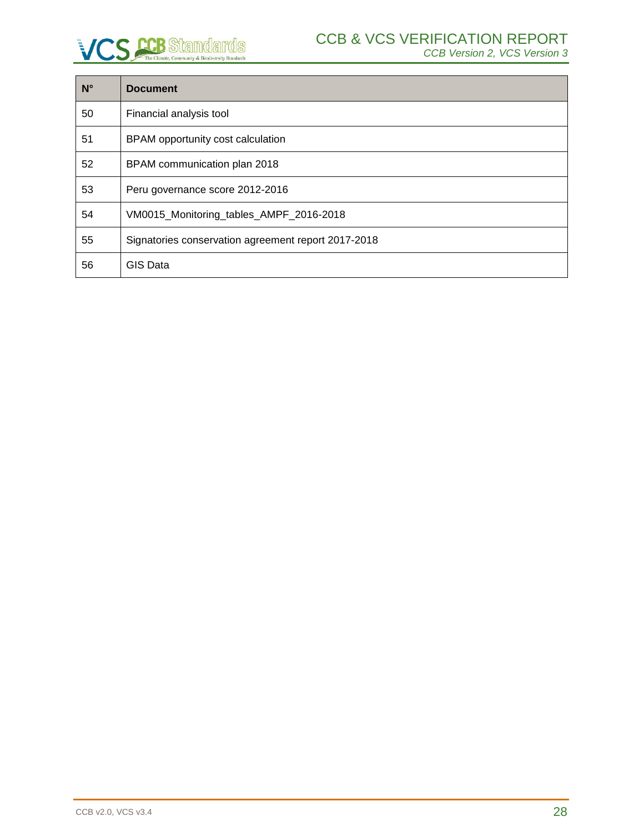| $N^{\circ}$ | <b>Document</b>                                     |
|-------------|-----------------------------------------------------|
| 50          | Financial analysis tool                             |
| 51          | BPAM opportunity cost calculation                   |
| 52          | BPAM communication plan 2018                        |
| 53          | Peru governance score 2012-2016                     |
| 54          | VM0015_Monitoring_tables_AMPF_2016-2018             |
| 55          | Signatories conservation agreement report 2017-2018 |
| 56          | <b>GIS Data</b>                                     |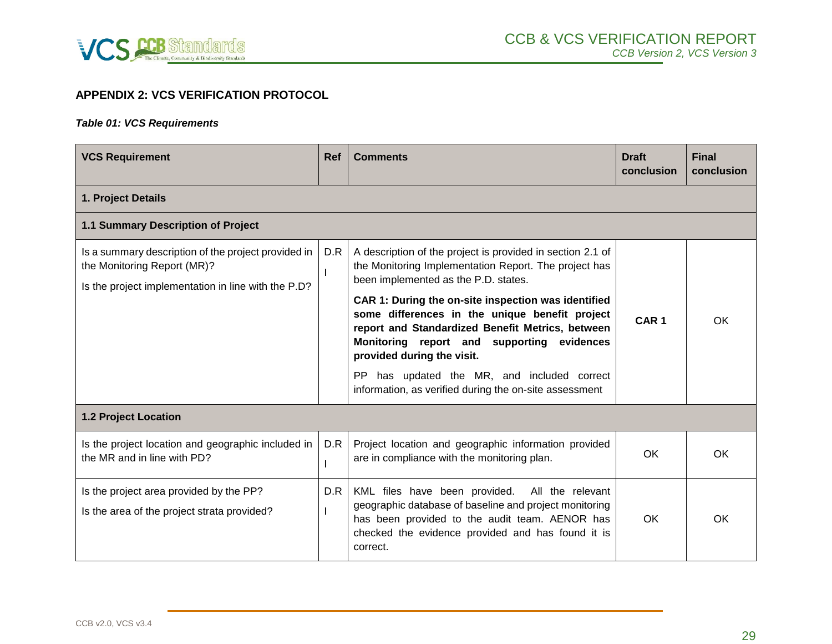

# **APPENDIX 2: VCS VERIFICATION PROTOCOL**

#### *Table 01: VCS Requirements*

<span id="page-28-0"></span>

| <b>VCS Requirement</b>                                                                                                                    | <b>Ref</b> | <b>Comments</b>                                                                                                                                                                                                                       | <b>Draft</b><br>conclusion | <b>Final</b><br>conclusion |  |  |  |
|-------------------------------------------------------------------------------------------------------------------------------------------|------------|---------------------------------------------------------------------------------------------------------------------------------------------------------------------------------------------------------------------------------------|----------------------------|----------------------------|--|--|--|
| 1. Project Details                                                                                                                        |            |                                                                                                                                                                                                                                       |                            |                            |  |  |  |
| 1.1 Summary Description of Project                                                                                                        |            |                                                                                                                                                                                                                                       |                            |                            |  |  |  |
| Is a summary description of the project provided in<br>the Monitoring Report (MR)?<br>Is the project implementation in line with the P.D? | D.R        | A description of the project is provided in section 2.1 of<br>the Monitoring Implementation Report. The project has<br>been implemented as the P.D. states.                                                                           | CAR <sub>1</sub>           |                            |  |  |  |
|                                                                                                                                           |            | CAR 1: During the on-site inspection was identified<br>some differences in the unique benefit project<br>report and Standardized Benefit Metrics, between<br>Monitoring report and supporting evidences<br>provided during the visit. |                            | <b>OK</b>                  |  |  |  |
|                                                                                                                                           |            | has updated the MR, and included correct<br>PP.<br>information, as verified during the on-site assessment                                                                                                                             |                            |                            |  |  |  |
| <b>1.2 Project Location</b>                                                                                                               |            |                                                                                                                                                                                                                                       |                            |                            |  |  |  |
| Is the project location and geographic included in<br>the MR and in line with PD?                                                         | D.R        | Project location and geographic information provided<br>are in compliance with the monitoring plan.                                                                                                                                   | OK.                        | OK.                        |  |  |  |
| Is the project area provided by the PP?<br>Is the area of the project strata provided?                                                    | D.R        | KML files have been provided.<br>All the relevant<br>geographic database of baseline and project monitoring<br>has been provided to the audit team. AENOR has<br>checked the evidence provided and has found it is<br>correct.        | <b>OK</b>                  | OK.                        |  |  |  |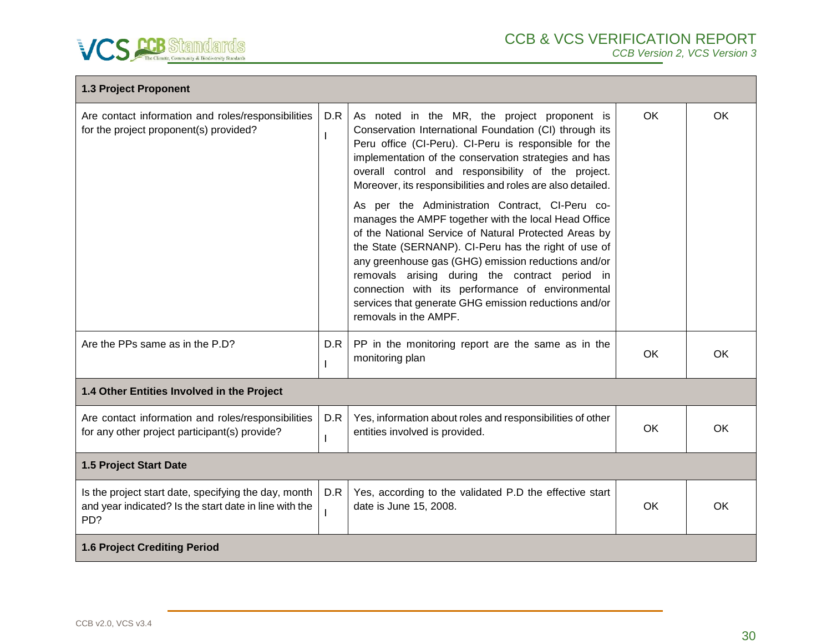

| 1.3 Project Proponent                                                                                                 |     |                                                                                                                                                                                                                                                                                                                                                                                                                                                                                                                                                                                                                                                                                                                                        |           |           |  |
|-----------------------------------------------------------------------------------------------------------------------|-----|----------------------------------------------------------------------------------------------------------------------------------------------------------------------------------------------------------------------------------------------------------------------------------------------------------------------------------------------------------------------------------------------------------------------------------------------------------------------------------------------------------------------------------------------------------------------------------------------------------------------------------------------------------------------------------------------------------------------------------------|-----------|-----------|--|
| Are contact information and roles/responsibilities<br>for the project proponent(s) provided?                          | D.R | As noted in the MR, the project proponent is<br>Conservation International Foundation (CI) through its<br>Peru office (CI-Peru). CI-Peru is responsible for the<br>implementation of the conservation strategies and has<br>overall control and responsibility of the project.<br>Moreover, its responsibilities and roles are also detailed.<br>As per the Administration Contract, CI-Peru co-<br>manages the AMPF together with the local Head Office<br>of the National Service of Natural Protected Areas by<br>the State (SERNANP). CI-Peru has the right of use of<br>any greenhouse gas (GHG) emission reductions and/or<br>removals arising during the contract period in<br>connection with its performance of environmental | <b>OK</b> | <b>OK</b> |  |
|                                                                                                                       |     | services that generate GHG emission reductions and/or<br>removals in the AMPF.                                                                                                                                                                                                                                                                                                                                                                                                                                                                                                                                                                                                                                                         |           |           |  |
| Are the PPs same as in the P.D?                                                                                       | D.R | PP in the monitoring report are the same as in the<br>monitoring plan                                                                                                                                                                                                                                                                                                                                                                                                                                                                                                                                                                                                                                                                  | OK        | OK        |  |
| 1.4 Other Entities Involved in the Project                                                                            |     |                                                                                                                                                                                                                                                                                                                                                                                                                                                                                                                                                                                                                                                                                                                                        |           |           |  |
| Are contact information and roles/responsibilities<br>for any other project participant(s) provide?                   | D.R | Yes, information about roles and responsibilities of other<br>entities involved is provided.                                                                                                                                                                                                                                                                                                                                                                                                                                                                                                                                                                                                                                           | OK        | OK        |  |
| 1.5 Project Start Date                                                                                                |     |                                                                                                                                                                                                                                                                                                                                                                                                                                                                                                                                                                                                                                                                                                                                        |           |           |  |
| Is the project start date, specifying the day, month<br>and year indicated? Is the start date in line with the<br>PD? | D.R | Yes, according to the validated P.D the effective start<br>date is June 15, 2008.                                                                                                                                                                                                                                                                                                                                                                                                                                                                                                                                                                                                                                                      | <b>OK</b> | OK        |  |
| <b>1.6 Project Crediting Period</b>                                                                                   |     |                                                                                                                                                                                                                                                                                                                                                                                                                                                                                                                                                                                                                                                                                                                                        |           |           |  |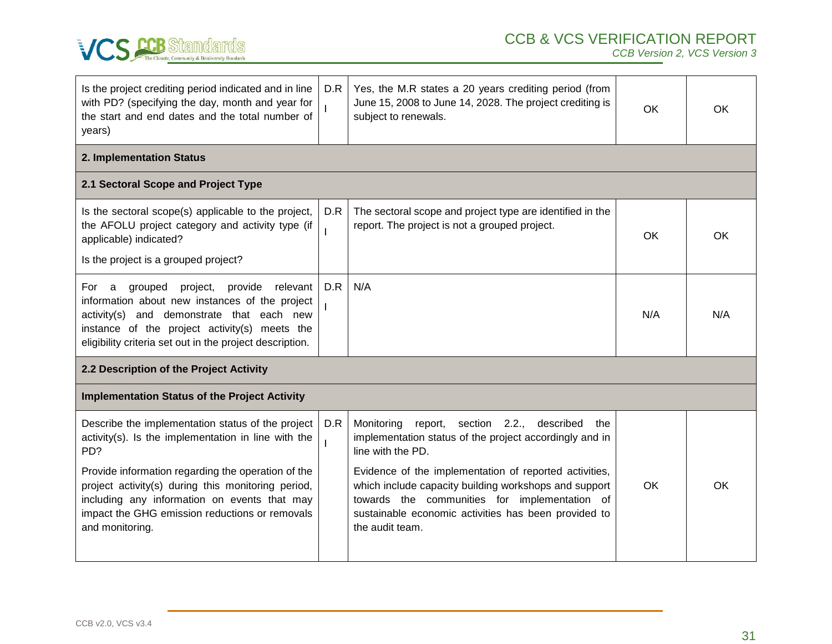

 *CCB Version 2, VCS Version 3*

| Is the project crediting period indicated and in line<br>with PD? (specifying the day, month and year for<br>the start and end dates and the total number of<br>years)                                                                                                                                                                           | D.R | Yes, the M.R states a 20 years crediting period (from<br>June 15, 2008 to June 14, 2028. The project crediting is<br>subject to renewals.                                                                                                                                                                                                                                              | <b>OK</b> | OK  |
|--------------------------------------------------------------------------------------------------------------------------------------------------------------------------------------------------------------------------------------------------------------------------------------------------------------------------------------------------|-----|----------------------------------------------------------------------------------------------------------------------------------------------------------------------------------------------------------------------------------------------------------------------------------------------------------------------------------------------------------------------------------------|-----------|-----|
| 2. Implementation Status                                                                                                                                                                                                                                                                                                                         |     |                                                                                                                                                                                                                                                                                                                                                                                        |           |     |
| 2.1 Sectoral Scope and Project Type                                                                                                                                                                                                                                                                                                              |     |                                                                                                                                                                                                                                                                                                                                                                                        |           |     |
| Is the sectoral scope(s) applicable to the project,<br>the AFOLU project category and activity type (if<br>applicable) indicated?<br>Is the project is a grouped project?                                                                                                                                                                        | D.R | The sectoral scope and project type are identified in the<br>report. The project is not a grouped project.                                                                                                                                                                                                                                                                             | OK        | OK  |
| grouped<br>project,<br>provide<br>relevant<br>For a<br>information about new instances of the project<br>and demonstrate that each new<br>activity(s)<br>instance of the project activity(s) meets the<br>eligibility criteria set out in the project description.                                                                               | D.R | N/A                                                                                                                                                                                                                                                                                                                                                                                    | N/A       | N/A |
| 2.2 Description of the Project Activity                                                                                                                                                                                                                                                                                                          |     |                                                                                                                                                                                                                                                                                                                                                                                        |           |     |
| <b>Implementation Status of the Project Activity</b>                                                                                                                                                                                                                                                                                             |     |                                                                                                                                                                                                                                                                                                                                                                                        |           |     |
| Describe the implementation status of the project<br>activity(s). Is the implementation in line with the<br>PD?<br>Provide information regarding the operation of the<br>project activity(s) during this monitoring period,<br>including any information on events that may<br>impact the GHG emission reductions or removals<br>and monitoring. | D.R | report, section 2.2.,<br>described<br>Monitoring<br>the<br>implementation status of the project accordingly and in<br>line with the PD.<br>Evidence of the implementation of reported activities,<br>which include capacity building workshops and support<br>towards the communities for implementation of<br>sustainable economic activities has been provided to<br>the audit team. | OK        | ОK  |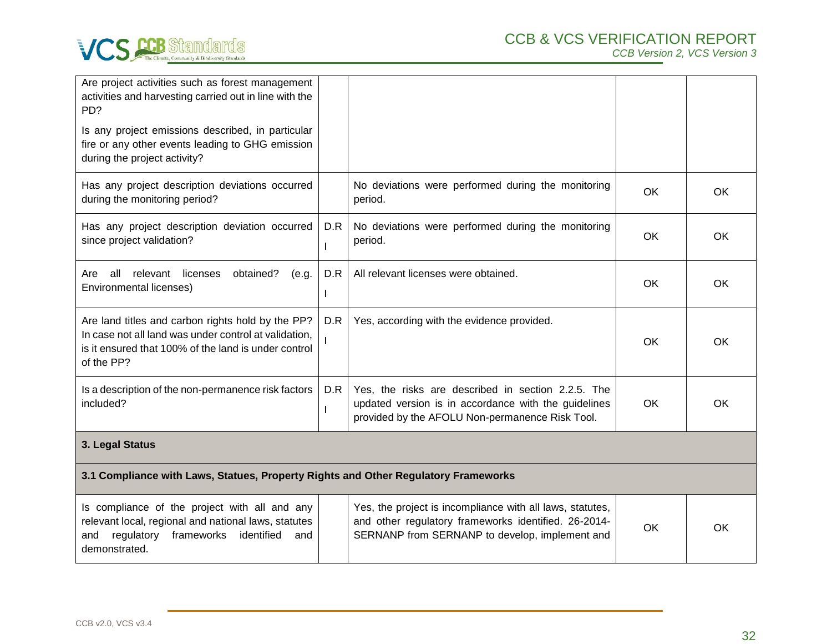

| Are project activities such as forest management<br>activities and harvesting carried out in line with the<br>PD?<br>Is any project emissions described, in particular<br>fire or any other events leading to GHG emission<br>during the project activity? |     |                                                                                                                                                               |           |           |  |  |
|------------------------------------------------------------------------------------------------------------------------------------------------------------------------------------------------------------------------------------------------------------|-----|---------------------------------------------------------------------------------------------------------------------------------------------------------------|-----------|-----------|--|--|
| Has any project description deviations occurred<br>during the monitoring period?                                                                                                                                                                           |     | No deviations were performed during the monitoring<br>period.                                                                                                 | <b>OK</b> | <b>OK</b> |  |  |
| Has any project description deviation occurred<br>since project validation?                                                                                                                                                                                | D.R | No deviations were performed during the monitoring<br>period.                                                                                                 | OK        | OK        |  |  |
| all relevant<br>licenses<br>obtained?<br>(e.g.<br>Are<br>Environmental licenses)                                                                                                                                                                           | D.R | All relevant licenses were obtained.                                                                                                                          | OK.       | OK.       |  |  |
| Are land titles and carbon rights hold by the PP?<br>In case not all land was under control at validation,<br>is it ensured that 100% of the land is under control<br>of the PP?                                                                           | D.R | Yes, according with the evidence provided.                                                                                                                    | <b>OK</b> | <b>OK</b> |  |  |
| Is a description of the non-permanence risk factors<br>included?                                                                                                                                                                                           | D.R | Yes, the risks are described in section 2.2.5. The<br>updated version is in accordance with the guidelines<br>provided by the AFOLU Non-permanence Risk Tool. | <b>OK</b> | OK        |  |  |
| 3. Legal Status                                                                                                                                                                                                                                            |     |                                                                                                                                                               |           |           |  |  |
| 3.1 Compliance with Laws, Statues, Property Rights and Other Regulatory Frameworks                                                                                                                                                                         |     |                                                                                                                                                               |           |           |  |  |

| Is compliance of the project with all and any<br>relevant local, regional and national laws, statutes<br>frameworks<br>identified<br>and<br>regulatory<br>and<br>demonstrated. |  | Yes, the project is incompliance with all laws, statutes,<br>and other regulatory frameworks identified. 26-2014-<br>SERNANP from SERNANP to develop, implement and | ОК | ОK |
|--------------------------------------------------------------------------------------------------------------------------------------------------------------------------------|--|---------------------------------------------------------------------------------------------------------------------------------------------------------------------|----|----|
|--------------------------------------------------------------------------------------------------------------------------------------------------------------------------------|--|---------------------------------------------------------------------------------------------------------------------------------------------------------------------|----|----|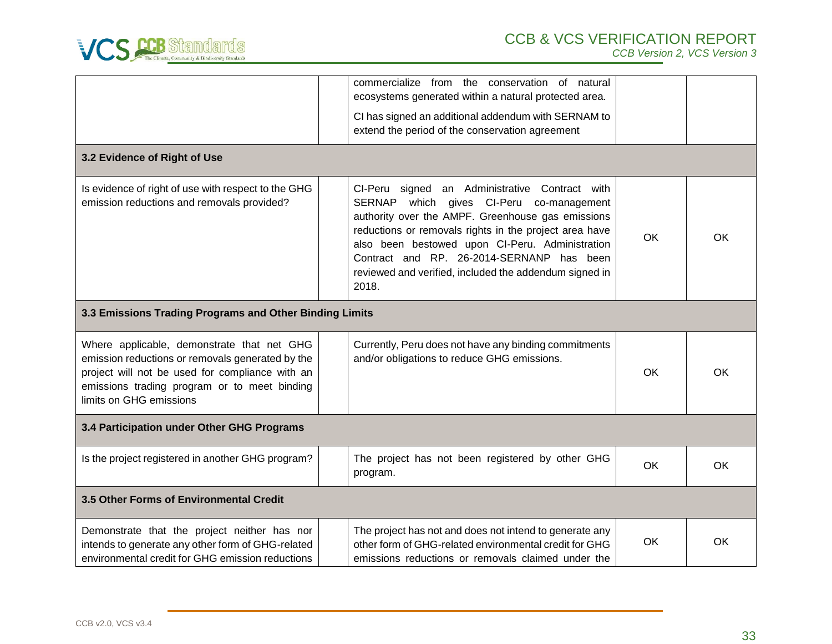

|                                                                                                                                                                                                                              |                                                         | commercialize from the conservation of natural<br>ecosystems generated within a natural protected area.                                                                                                                                                                                                                                                                      |           |           |  |  |
|------------------------------------------------------------------------------------------------------------------------------------------------------------------------------------------------------------------------------|---------------------------------------------------------|------------------------------------------------------------------------------------------------------------------------------------------------------------------------------------------------------------------------------------------------------------------------------------------------------------------------------------------------------------------------------|-----------|-----------|--|--|
|                                                                                                                                                                                                                              |                                                         | CI has signed an additional addendum with SERNAM to<br>extend the period of the conservation agreement                                                                                                                                                                                                                                                                       |           |           |  |  |
| 3.2 Evidence of Right of Use                                                                                                                                                                                                 |                                                         |                                                                                                                                                                                                                                                                                                                                                                              |           |           |  |  |
| Is evidence of right of use with respect to the GHG<br>emission reductions and removals provided?                                                                                                                            |                                                         | CI-Peru signed an Administrative Contract with<br>SERNAP which gives CI-Peru co-management<br>authority over the AMPF. Greenhouse gas emissions<br>reductions or removals rights in the project area have<br>also been bestowed upon CI-Peru. Administration<br>Contract and RP. 26-2014-SERNANP has been<br>reviewed and verified, included the addendum signed in<br>2018. | OK        | OK        |  |  |
|                                                                                                                                                                                                                              | 3.3 Emissions Trading Programs and Other Binding Limits |                                                                                                                                                                                                                                                                                                                                                                              |           |           |  |  |
| Where applicable, demonstrate that net GHG<br>emission reductions or removals generated by the<br>project will not be used for compliance with an<br>emissions trading program or to meet binding<br>limits on GHG emissions |                                                         | Currently, Peru does not have any binding commitments<br>and/or obligations to reduce GHG emissions.                                                                                                                                                                                                                                                                         | OK        | <b>OK</b> |  |  |
| 3.4 Participation under Other GHG Programs                                                                                                                                                                                   |                                                         |                                                                                                                                                                                                                                                                                                                                                                              |           |           |  |  |
| Is the project registered in another GHG program?                                                                                                                                                                            |                                                         | The project has not been registered by other GHG<br>program.                                                                                                                                                                                                                                                                                                                 | <b>OK</b> | <b>OK</b> |  |  |
| 3.5 Other Forms of Environmental Credit                                                                                                                                                                                      |                                                         |                                                                                                                                                                                                                                                                                                                                                                              |           |           |  |  |
| Demonstrate that the project neither has nor<br>intends to generate any other form of GHG-related<br>environmental credit for GHG emission reductions                                                                        |                                                         | The project has not and does not intend to generate any<br>other form of GHG-related environmental credit for GHG<br>emissions reductions or removals claimed under the                                                                                                                                                                                                      | OK        | <b>OK</b> |  |  |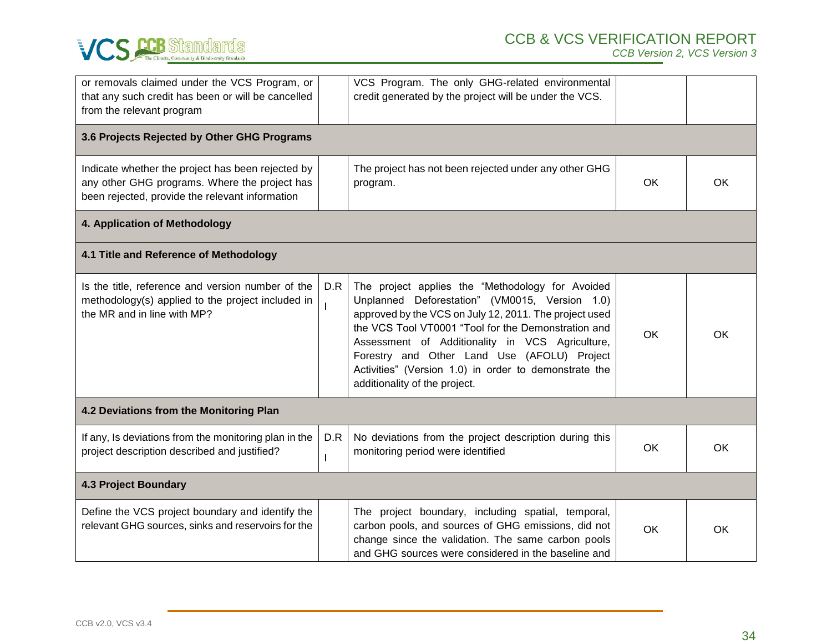

| or removals claimed under the VCS Program, or<br>that any such credit has been or will be cancelled<br>from the relevant program                      |     | VCS Program. The only GHG-related environmental<br>credit generated by the project will be under the VCS.                                                                                                                                                                                                                                                                                                       |    |    |  |  |
|-------------------------------------------------------------------------------------------------------------------------------------------------------|-----|-----------------------------------------------------------------------------------------------------------------------------------------------------------------------------------------------------------------------------------------------------------------------------------------------------------------------------------------------------------------------------------------------------------------|----|----|--|--|
| 3.6 Projects Rejected by Other GHG Programs                                                                                                           |     |                                                                                                                                                                                                                                                                                                                                                                                                                 |    |    |  |  |
| Indicate whether the project has been rejected by<br>any other GHG programs. Where the project has<br>been rejected, provide the relevant information |     | The project has not been rejected under any other GHG<br>program.                                                                                                                                                                                                                                                                                                                                               | OK | OK |  |  |
| 4. Application of Methodology                                                                                                                         |     |                                                                                                                                                                                                                                                                                                                                                                                                                 |    |    |  |  |
| 4.1 Title and Reference of Methodology                                                                                                                |     |                                                                                                                                                                                                                                                                                                                                                                                                                 |    |    |  |  |
| Is the title, reference and version number of the<br>methodology(s) applied to the project included in<br>the MR and in line with MP?                 | D.R | The project applies the "Methodology for Avoided<br>Unplanned Deforestation" (VM0015, Version 1.0)<br>approved by the VCS on July 12, 2011. The project used<br>the VCS Tool VT0001 "Tool for the Demonstration and<br>Assessment of Additionality in VCS Agriculture,<br>Forestry and Other Land Use (AFOLU) Project<br>Activities" (Version 1.0) in order to demonstrate the<br>additionality of the project. | OK | OK |  |  |
| 4.2 Deviations from the Monitoring Plan                                                                                                               |     |                                                                                                                                                                                                                                                                                                                                                                                                                 |    |    |  |  |
| If any, Is deviations from the monitoring plan in the<br>project description described and justified?                                                 | D.R | No deviations from the project description during this<br>monitoring period were identified                                                                                                                                                                                                                                                                                                                     | OK | OK |  |  |
| <b>4.3 Project Boundary</b>                                                                                                                           |     |                                                                                                                                                                                                                                                                                                                                                                                                                 |    |    |  |  |
| Define the VCS project boundary and identify the<br>relevant GHG sources, sinks and reservoirs for the                                                |     | The project boundary, including spatial, temporal,<br>carbon pools, and sources of GHG emissions, did not<br>change since the validation. The same carbon pools<br>and GHG sources were considered in the baseline and                                                                                                                                                                                          | OK | OK |  |  |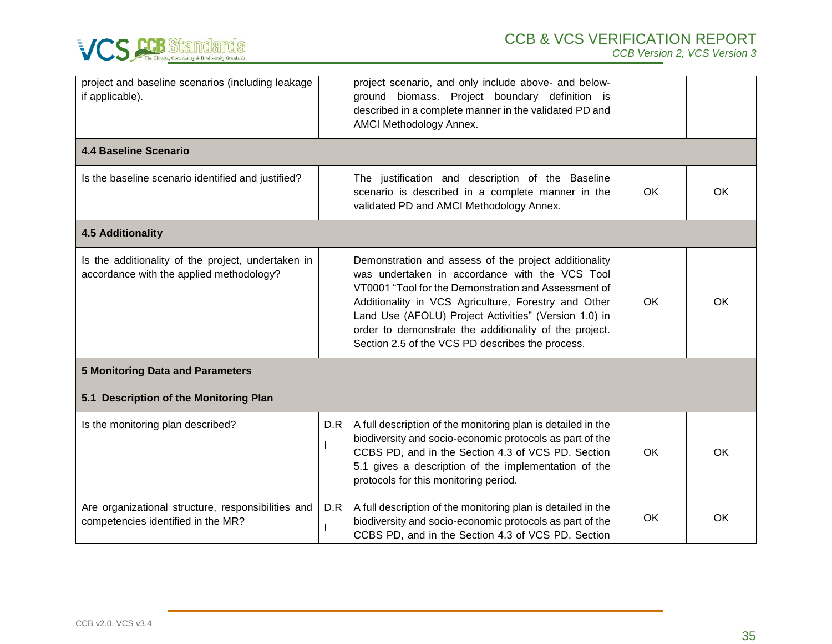

| project and baseline scenarios (including leakage<br>if applicable).                           |     | project scenario, and only include above- and below-<br>ground biomass. Project boundary definition is<br>described in a complete manner in the validated PD and<br>AMCI Methodology Annex.                                                                                                                                                                                                    |           |           |  |
|------------------------------------------------------------------------------------------------|-----|------------------------------------------------------------------------------------------------------------------------------------------------------------------------------------------------------------------------------------------------------------------------------------------------------------------------------------------------------------------------------------------------|-----------|-----------|--|
| <b>4.4 Baseline Scenario</b>                                                                   |     |                                                                                                                                                                                                                                                                                                                                                                                                |           |           |  |
| Is the baseline scenario identified and justified?                                             |     | The justification and description of the Baseline<br>scenario is described in a complete manner in the<br>validated PD and AMCI Methodology Annex.                                                                                                                                                                                                                                             | OK        | <b>OK</b> |  |
| <b>4.5 Additionality</b>                                                                       |     |                                                                                                                                                                                                                                                                                                                                                                                                |           |           |  |
| Is the additionality of the project, undertaken in<br>accordance with the applied methodology? |     | Demonstration and assess of the project additionality<br>was undertaken in accordance with the VCS Tool<br>VT0001 "Tool for the Demonstration and Assessment of<br>Additionality in VCS Agriculture, Forestry and Other<br>Land Use (AFOLU) Project Activities" (Version 1.0) in<br>order to demonstrate the additionality of the project.<br>Section 2.5 of the VCS PD describes the process. | OK        | OK        |  |
| <b>5 Monitoring Data and Parameters</b>                                                        |     |                                                                                                                                                                                                                                                                                                                                                                                                |           |           |  |
| 5.1 Description of the Monitoring Plan                                                         |     |                                                                                                                                                                                                                                                                                                                                                                                                |           |           |  |
| Is the monitoring plan described?                                                              | D.R | A full description of the monitoring plan is detailed in the<br>biodiversity and socio-economic protocols as part of the<br>CCBS PD, and in the Section 4.3 of VCS PD. Section<br>5.1 gives a description of the implementation of the<br>protocols for this monitoring period.                                                                                                                | <b>OK</b> | <b>OK</b> |  |
| Are organizational structure, responsibilities and<br>competencies identified in the MR?       | D.R | A full description of the monitoring plan is detailed in the<br>biodiversity and socio-economic protocols as part of the<br>CCBS PD, and in the Section 4.3 of VCS PD. Section                                                                                                                                                                                                                 | OK        | OK        |  |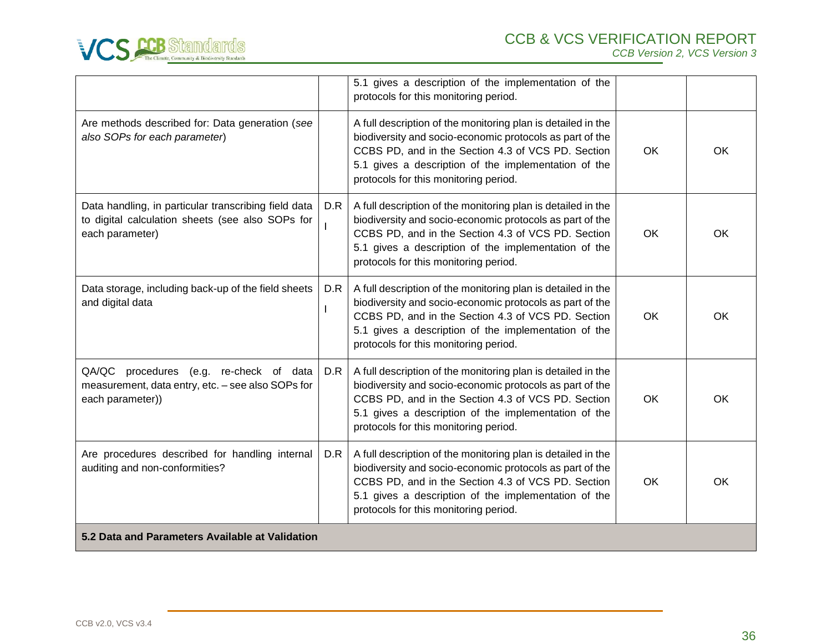

|                                                                                                                             |     | 5.1 gives a description of the implementation of the<br>protocols for this monitoring period.                                                                                                                                                                                   |           |           |
|-----------------------------------------------------------------------------------------------------------------------------|-----|---------------------------------------------------------------------------------------------------------------------------------------------------------------------------------------------------------------------------------------------------------------------------------|-----------|-----------|
| Are methods described for: Data generation (see<br>also SOPs for each parameter)                                            |     | A full description of the monitoring plan is detailed in the<br>biodiversity and socio-economic protocols as part of the<br>CCBS PD, and in the Section 4.3 of VCS PD. Section<br>5.1 gives a description of the implementation of the<br>protocols for this monitoring period. | <b>OK</b> | <b>OK</b> |
| Data handling, in particular transcribing field data<br>to digital calculation sheets (see also SOPs for<br>each parameter) | D.R | A full description of the monitoring plan is detailed in the<br>biodiversity and socio-economic protocols as part of the<br>CCBS PD, and in the Section 4.3 of VCS PD. Section<br>5.1 gives a description of the implementation of the<br>protocols for this monitoring period. | <b>OK</b> | <b>OK</b> |
| Data storage, including back-up of the field sheets<br>and digital data                                                     | D.R | A full description of the monitoring plan is detailed in the<br>biodiversity and socio-economic protocols as part of the<br>CCBS PD, and in the Section 4.3 of VCS PD. Section<br>5.1 gives a description of the implementation of the<br>protocols for this monitoring period. | <b>OK</b> | <b>OK</b> |
| QA/QC procedures (e.g. re-check of data<br>measurement, data entry, etc. - see also SOPs for<br>each parameter))            | D.R | A full description of the monitoring plan is detailed in the<br>biodiversity and socio-economic protocols as part of the<br>CCBS PD, and in the Section 4.3 of VCS PD. Section<br>5.1 gives a description of the implementation of the<br>protocols for this monitoring period. | OK        | OK        |
| Are procedures described for handling internal<br>auditing and non-conformities?                                            | D.R | A full description of the monitoring plan is detailed in the<br>biodiversity and socio-economic protocols as part of the<br>CCBS PD, and in the Section 4.3 of VCS PD. Section<br>5.1 gives a description of the implementation of the<br>protocols for this monitoring period. | OK        | <b>OK</b> |
| 5.2 Data and Parameters Available at Validation                                                                             |     |                                                                                                                                                                                                                                                                                 |           |           |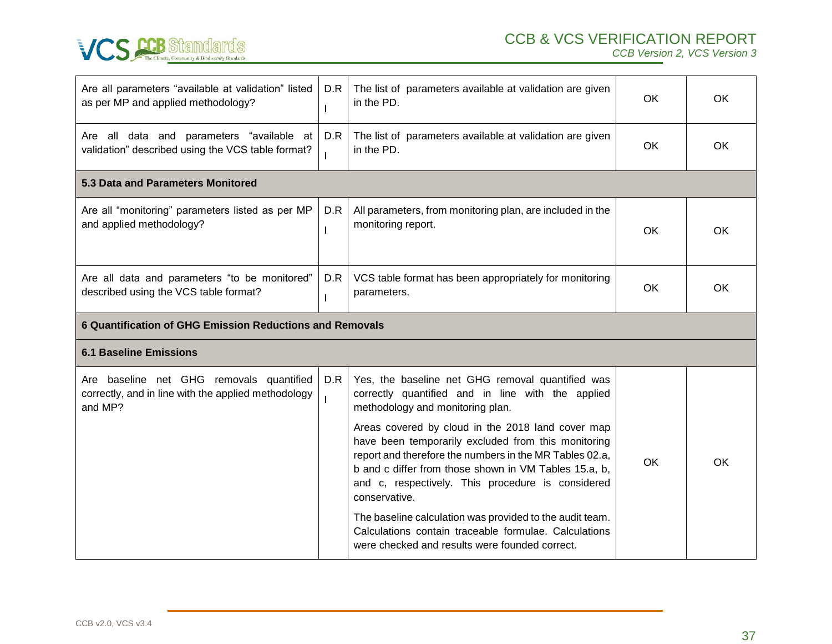

| Are all parameters "available at validation" listed<br>as per MP and applied methodology?                  | D.R      | The list of parameters available at validation are given<br>in the PD.                                                                                                                                                                                                                             | <b>OK</b> | <b>OK</b> |  |  |
|------------------------------------------------------------------------------------------------------------|----------|----------------------------------------------------------------------------------------------------------------------------------------------------------------------------------------------------------------------------------------------------------------------------------------------------|-----------|-----------|--|--|
| Are all data and parameters "available at<br>validation" described using the VCS table format?             | D.R      | The list of parameters available at validation are given<br>in the PD.                                                                                                                                                                                                                             | OK        | OK.       |  |  |
| 5.3 Data and Parameters Monitored                                                                          |          |                                                                                                                                                                                                                                                                                                    |           |           |  |  |
| Are all "monitoring" parameters listed as per MP<br>and applied methodology?                               | D.R<br>I | All parameters, from monitoring plan, are included in the<br>monitoring report.                                                                                                                                                                                                                    | <b>OK</b> | OK.       |  |  |
| Are all data and parameters "to be monitored"<br>described using the VCS table format?                     | D.R      | VCS table format has been appropriately for monitoring<br>parameters.                                                                                                                                                                                                                              | <b>OK</b> | OK.       |  |  |
| 6 Quantification of GHG Emission Reductions and Removals                                                   |          |                                                                                                                                                                                                                                                                                                    |           |           |  |  |
|                                                                                                            |          |                                                                                                                                                                                                                                                                                                    |           |           |  |  |
| <b>6.1 Baseline Emissions</b>                                                                              |          |                                                                                                                                                                                                                                                                                                    |           |           |  |  |
| Are baseline net GHG removals quantified<br>correctly, and in line with the applied methodology<br>and MP? | D.R      | Yes, the baseline net GHG removal quantified was<br>correctly quantified and in line with the applied<br>methodology and monitoring plan.                                                                                                                                                          |           |           |  |  |
|                                                                                                            |          | Areas covered by cloud in the 2018 land cover map<br>have been temporarily excluded from this monitoring<br>report and therefore the numbers in the MR Tables 02.a,<br>b and c differ from those shown in VM Tables 15.a, b,<br>and c, respectively. This procedure is considered<br>conservative. | <b>OK</b> | <b>OK</b> |  |  |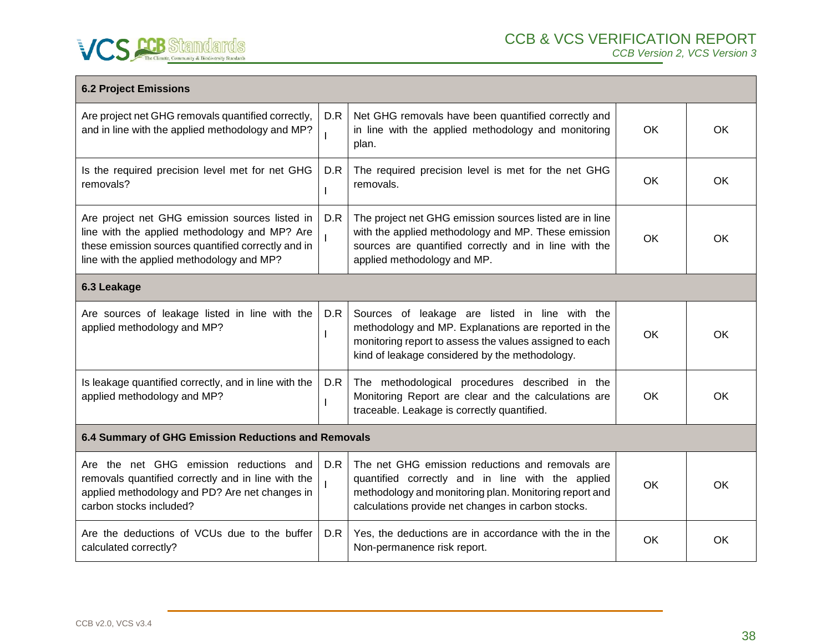

| <b>6.2 Project Emissions</b>                                                                                                                                                                       |     |                                                                                                                                                                                                                       |           |           |  |  |
|----------------------------------------------------------------------------------------------------------------------------------------------------------------------------------------------------|-----|-----------------------------------------------------------------------------------------------------------------------------------------------------------------------------------------------------------------------|-----------|-----------|--|--|
| Are project net GHG removals quantified correctly,<br>and in line with the applied methodology and MP?                                                                                             | D.R | Net GHG removals have been quantified correctly and<br>in line with the applied methodology and monitoring<br>plan.                                                                                                   | OK        | OK        |  |  |
| Is the required precision level met for net GHG<br>removals?                                                                                                                                       | D.R | The required precision level is met for the net GHG<br>removals.                                                                                                                                                      | OK        | OK        |  |  |
| Are project net GHG emission sources listed in<br>line with the applied methodology and MP? Are<br>these emission sources quantified correctly and in<br>line with the applied methodology and MP? | D.R | The project net GHG emission sources listed are in line<br>with the applied methodology and MP. These emission<br>sources are quantified correctly and in line with the<br>applied methodology and MP.                | <b>OK</b> | <b>OK</b> |  |  |
| 6.3 Leakage                                                                                                                                                                                        |     |                                                                                                                                                                                                                       |           |           |  |  |
| Are sources of leakage listed in line with the<br>applied methodology and MP?                                                                                                                      | D.R | Sources of leakage are listed in line with the<br>methodology and MP. Explanations are reported in the<br>monitoring report to assess the values assigned to each<br>kind of leakage considered by the methodology.   | <b>OK</b> | <b>OK</b> |  |  |
| Is leakage quantified correctly, and in line with the<br>applied methodology and MP?                                                                                                               | D.R | The methodological procedures described in the<br>Monitoring Report are clear and the calculations are<br>traceable. Leakage is correctly quantified.                                                                 | OK        | OK        |  |  |
| 6.4 Summary of GHG Emission Reductions and Removals                                                                                                                                                |     |                                                                                                                                                                                                                       |           |           |  |  |
| Are the net GHG emission reductions and<br>removals quantified correctly and in line with the<br>applied methodology and PD? Are net changes in<br>carbon stocks included?                         | D.R | The net GHG emission reductions and removals are<br>quantified correctly and in line with the applied<br>methodology and monitoring plan. Monitoring report and<br>calculations provide net changes in carbon stocks. | OK        | OK.       |  |  |
| Are the deductions of VCUs due to the buffer<br>calculated correctly?                                                                                                                              | D.R | Yes, the deductions are in accordance with the in the<br>Non-permanence risk report.                                                                                                                                  | OK        | <b>OK</b> |  |  |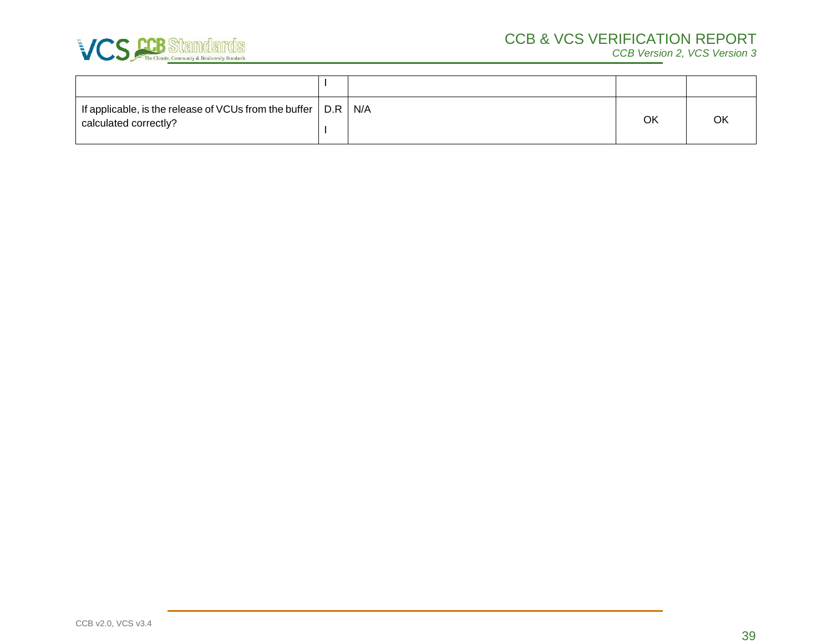

| If applicable, is the release of VCUs from the buffer $\vert$ D.R $\vert$ N/A<br>calculated correctly? |  | OK |  |
|--------------------------------------------------------------------------------------------------------|--|----|--|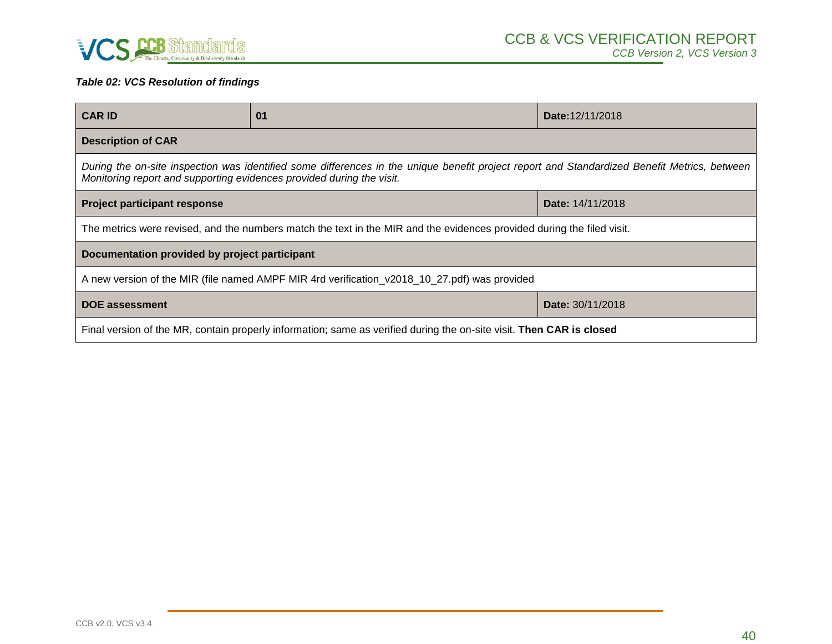

# *Table 02: VCS Resolution of findings*

| <b>CAR ID</b>                                                                                                                                                                                                         | 01 | Date: 12/11/2018 |
|-----------------------------------------------------------------------------------------------------------------------------------------------------------------------------------------------------------------------|----|------------------|
| <b>Description of CAR</b>                                                                                                                                                                                             |    |                  |
| During the on-site inspection was identified some differences in the unique benefit project report and Standardized Benefit Metrics, between<br>Monitoring report and supporting evidences provided during the visit. |    |                  |
| <b>Project participant response</b><br>Date: 14/11/2018                                                                                                                                                               |    |                  |
| The metrics were revised, and the numbers match the text in the MIR and the evidences provided during the filed visit.                                                                                                |    |                  |
| Documentation provided by project participant                                                                                                                                                                         |    |                  |
| A new version of the MIR (file named AMPF MIR 4rd verification_v2018_10_27.pdf) was provided                                                                                                                          |    |                  |
| <b>DOE assessment</b><br><b>Date: 30/11/2018</b>                                                                                                                                                                      |    |                  |
| Final version of the MR, contain properly information; same as verified during the on-site visit. Then CAR is closed                                                                                                  |    |                  |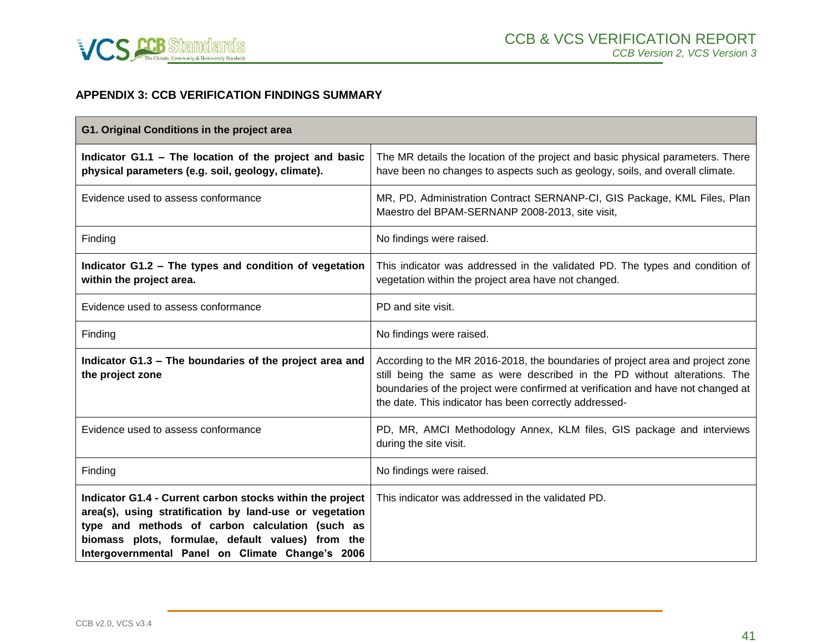

# **APPENDIX 3: CCB VERIFICATION FINDINGS SUMMARY**

<span id="page-40-0"></span>

| G1. Original Conditions in the project area                                                                                                                                                                                                                                      |                                                                                                                                                                                                                                                                                                           |
|----------------------------------------------------------------------------------------------------------------------------------------------------------------------------------------------------------------------------------------------------------------------------------|-----------------------------------------------------------------------------------------------------------------------------------------------------------------------------------------------------------------------------------------------------------------------------------------------------------|
| Indicator G1.1 - The location of the project and basic<br>physical parameters (e.g. soil, geology, climate).                                                                                                                                                                     | The MR details the location of the project and basic physical parameters. There<br>have been no changes to aspects such as geology, soils, and overall climate.                                                                                                                                           |
| Evidence used to assess conformance                                                                                                                                                                                                                                              | MR, PD, Administration Contract SERNANP-CI, GIS Package, KML Files, Plan<br>Maestro del BPAM-SERNANP 2008-2013, site visit,                                                                                                                                                                               |
| Finding                                                                                                                                                                                                                                                                          | No findings were raised.                                                                                                                                                                                                                                                                                  |
| Indicator G1.2 - The types and condition of vegetation<br>within the project area.                                                                                                                                                                                               | This indicator was addressed in the validated PD. The types and condition of<br>vegetation within the project area have not changed.                                                                                                                                                                      |
| Evidence used to assess conformance                                                                                                                                                                                                                                              | PD and site visit.                                                                                                                                                                                                                                                                                        |
| Finding                                                                                                                                                                                                                                                                          | No findings were raised.                                                                                                                                                                                                                                                                                  |
| Indicator G1.3 - The boundaries of the project area and<br>the project zone                                                                                                                                                                                                      | According to the MR 2016-2018, the boundaries of project area and project zone<br>still being the same as were described in the PD without alterations. The<br>boundaries of the project were confirmed at verification and have not changed at<br>the date. This indicator has been correctly addressed- |
| Evidence used to assess conformance                                                                                                                                                                                                                                              | PD, MR, AMCI Methodology Annex, KLM files, GIS package and interviews<br>during the site visit.                                                                                                                                                                                                           |
| Finding                                                                                                                                                                                                                                                                          | No findings were raised.                                                                                                                                                                                                                                                                                  |
| Indicator G1.4 - Current carbon stocks within the project<br>area(s), using stratification by land-use or vegetation<br>type and methods of carbon calculation (such as<br>biomass plots, formulae, default values) from the<br>Intergovernmental Panel on Climate Change's 2006 | This indicator was addressed in the validated PD.                                                                                                                                                                                                                                                         |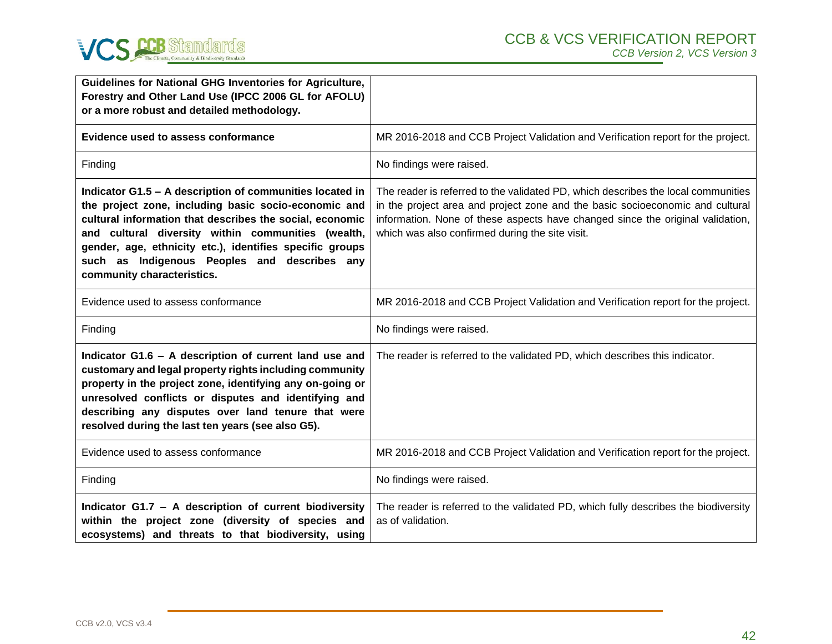

| <b>Guidelines for National GHG Inventories for Agriculture,</b><br>Forestry and Other Land Use (IPCC 2006 GL for AFOLU)<br>or a more robust and detailed methodology.                                                                                                                                                                                                        |                                                                                                                                                                                                                                                                                                         |
|------------------------------------------------------------------------------------------------------------------------------------------------------------------------------------------------------------------------------------------------------------------------------------------------------------------------------------------------------------------------------|---------------------------------------------------------------------------------------------------------------------------------------------------------------------------------------------------------------------------------------------------------------------------------------------------------|
| <b>Evidence used to assess conformance</b>                                                                                                                                                                                                                                                                                                                                   | MR 2016-2018 and CCB Project Validation and Verification report for the project.                                                                                                                                                                                                                        |
| Finding                                                                                                                                                                                                                                                                                                                                                                      | No findings were raised.                                                                                                                                                                                                                                                                                |
| Indicator G1.5 - A description of communities located in<br>the project zone, including basic socio-economic and<br>cultural information that describes the social, economic<br>and cultural diversity within communities (wealth,<br>gender, age, ethnicity etc.), identifies specific groups<br>such as Indigenous Peoples and describes any<br>community characteristics. | The reader is referred to the validated PD, which describes the local communities<br>in the project area and project zone and the basic socioeconomic and cultural<br>information. None of these aspects have changed since the original validation,<br>which was also confirmed during the site visit. |
| Evidence used to assess conformance                                                                                                                                                                                                                                                                                                                                          | MR 2016-2018 and CCB Project Validation and Verification report for the project.                                                                                                                                                                                                                        |
| Finding                                                                                                                                                                                                                                                                                                                                                                      | No findings were raised.                                                                                                                                                                                                                                                                                |
| Indicator G1.6 - A description of current land use and<br>customary and legal property rights including community<br>property in the project zone, identifying any on-going or<br>unresolved conflicts or disputes and identifying and<br>describing any disputes over land tenure that were<br>resolved during the last ten years (see also G5).                            | The reader is referred to the validated PD, which describes this indicator.                                                                                                                                                                                                                             |
| Evidence used to assess conformance                                                                                                                                                                                                                                                                                                                                          | MR 2016-2018 and CCB Project Validation and Verification report for the project.                                                                                                                                                                                                                        |
| Finding                                                                                                                                                                                                                                                                                                                                                                      | No findings were raised.                                                                                                                                                                                                                                                                                |
| Indicator G1.7 - A description of current biodiversity<br>within the project zone (diversity of species and<br>ecosystems) and threats to that biodiversity, using                                                                                                                                                                                                           | The reader is referred to the validated PD, which fully describes the biodiversity<br>as of validation.                                                                                                                                                                                                 |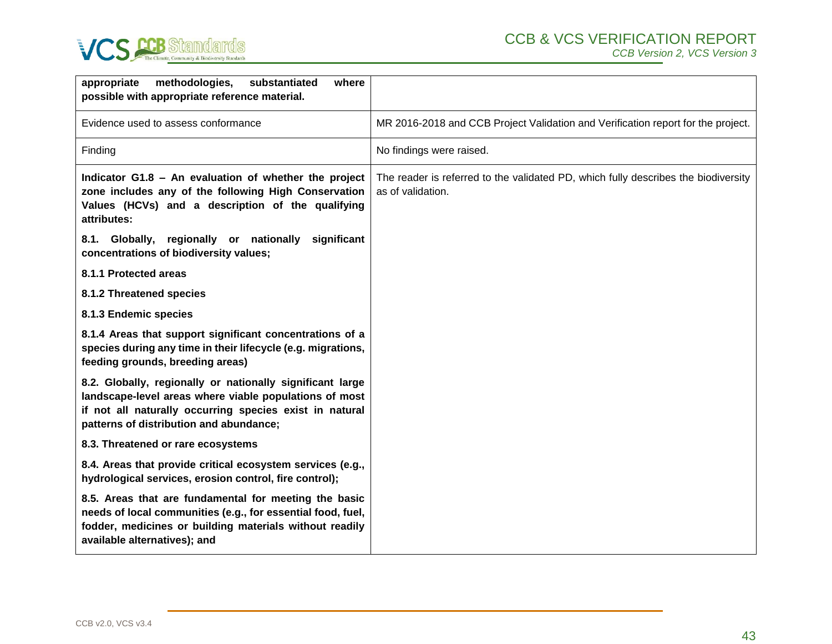

| appropriate<br>methodologies,<br>substantiated<br>where<br>possible with appropriate reference material.                                                                                                                  |                                                                                                         |
|---------------------------------------------------------------------------------------------------------------------------------------------------------------------------------------------------------------------------|---------------------------------------------------------------------------------------------------------|
| Evidence used to assess conformance                                                                                                                                                                                       | MR 2016-2018 and CCB Project Validation and Verification report for the project.                        |
| Finding                                                                                                                                                                                                                   | No findings were raised.                                                                                |
| Indicator G1.8 - An evaluation of whether the project<br>zone includes any of the following High Conservation<br>Values (HCVs) and a description of the qualifying<br>attributes:                                         | The reader is referred to the validated PD, which fully describes the biodiversity<br>as of validation. |
| 8.1. Globally, regionally or nationally<br>significant<br>concentrations of biodiversity values;                                                                                                                          |                                                                                                         |
| 8.1.1 Protected areas                                                                                                                                                                                                     |                                                                                                         |
| 8.1.2 Threatened species                                                                                                                                                                                                  |                                                                                                         |
| 8.1.3 Endemic species                                                                                                                                                                                                     |                                                                                                         |
| 8.1.4 Areas that support significant concentrations of a<br>species during any time in their lifecycle (e.g. migrations,<br>feeding grounds, breeding areas)                                                              |                                                                                                         |
| 8.2. Globally, regionally or nationally significant large<br>landscape-level areas where viable populations of most<br>if not all naturally occurring species exist in natural<br>patterns of distribution and abundance; |                                                                                                         |
| 8.3. Threatened or rare ecosystems                                                                                                                                                                                        |                                                                                                         |
| 8.4. Areas that provide critical ecosystem services (e.g.,<br>hydrological services, erosion control, fire control);                                                                                                      |                                                                                                         |
| 8.5. Areas that are fundamental for meeting the basic<br>needs of local communities (e.g., for essential food, fuel,<br>fodder, medicines or building materials without readily<br>available alternatives); and           |                                                                                                         |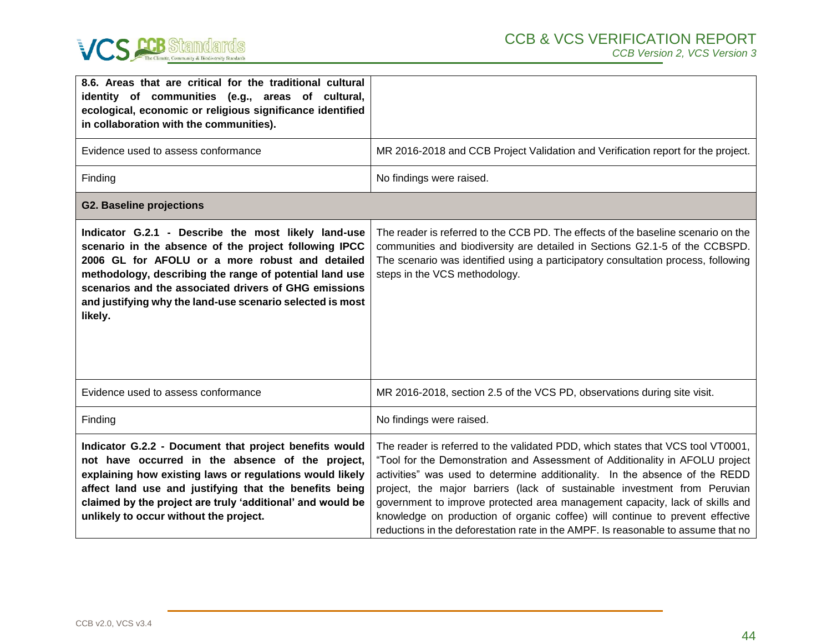

| 8.6. Areas that are critical for the traditional cultural<br>identity of communities (e.g., areas of cultural,<br>ecological, economic or religious significance identified<br>in collaboration with the communities).                                                                                                                                      |                                                                                                                                                                                                                                                                                                                                                                                                                                                                                                                                                                                   |
|-------------------------------------------------------------------------------------------------------------------------------------------------------------------------------------------------------------------------------------------------------------------------------------------------------------------------------------------------------------|-----------------------------------------------------------------------------------------------------------------------------------------------------------------------------------------------------------------------------------------------------------------------------------------------------------------------------------------------------------------------------------------------------------------------------------------------------------------------------------------------------------------------------------------------------------------------------------|
| Evidence used to assess conformance                                                                                                                                                                                                                                                                                                                         | MR 2016-2018 and CCB Project Validation and Verification report for the project.                                                                                                                                                                                                                                                                                                                                                                                                                                                                                                  |
| Finding                                                                                                                                                                                                                                                                                                                                                     | No findings were raised.                                                                                                                                                                                                                                                                                                                                                                                                                                                                                                                                                          |
| <b>G2. Baseline projections</b>                                                                                                                                                                                                                                                                                                                             |                                                                                                                                                                                                                                                                                                                                                                                                                                                                                                                                                                                   |
| Indicator G.2.1 - Describe the most likely land-use<br>scenario in the absence of the project following IPCC<br>2006 GL for AFOLU or a more robust and detailed<br>methodology, describing the range of potential land use<br>scenarios and the associated drivers of GHG emissions<br>and justifying why the land-use scenario selected is most<br>likely. | The reader is referred to the CCB PD. The effects of the baseline scenario on the<br>communities and biodiversity are detailed in Sections G2.1-5 of the CCBSPD.<br>The scenario was identified using a participatory consultation process, following<br>steps in the VCS methodology.                                                                                                                                                                                                                                                                                            |
| Evidence used to assess conformance                                                                                                                                                                                                                                                                                                                         | MR 2016-2018, section 2.5 of the VCS PD, observations during site visit.                                                                                                                                                                                                                                                                                                                                                                                                                                                                                                          |
| Finding                                                                                                                                                                                                                                                                                                                                                     | No findings were raised.                                                                                                                                                                                                                                                                                                                                                                                                                                                                                                                                                          |
| Indicator G.2.2 - Document that project benefits would<br>not have occurred in the absence of the project,<br>explaining how existing laws or regulations would likely<br>affect land use and justifying that the benefits being<br>claimed by the project are truly 'additional' and would be<br>unlikely to occur without the project.                    | The reader is referred to the validated PDD, which states that VCS tool VT0001,<br>"Tool for the Demonstration and Assessment of Additionality in AFOLU project<br>activities" was used to determine additionality. In the absence of the REDD<br>project, the major barriers (lack of sustainable investment from Peruvian<br>government to improve protected area management capacity, lack of skills and<br>knowledge on production of organic coffee) will continue to prevent effective<br>reductions in the deforestation rate in the AMPF. Is reasonable to assume that no |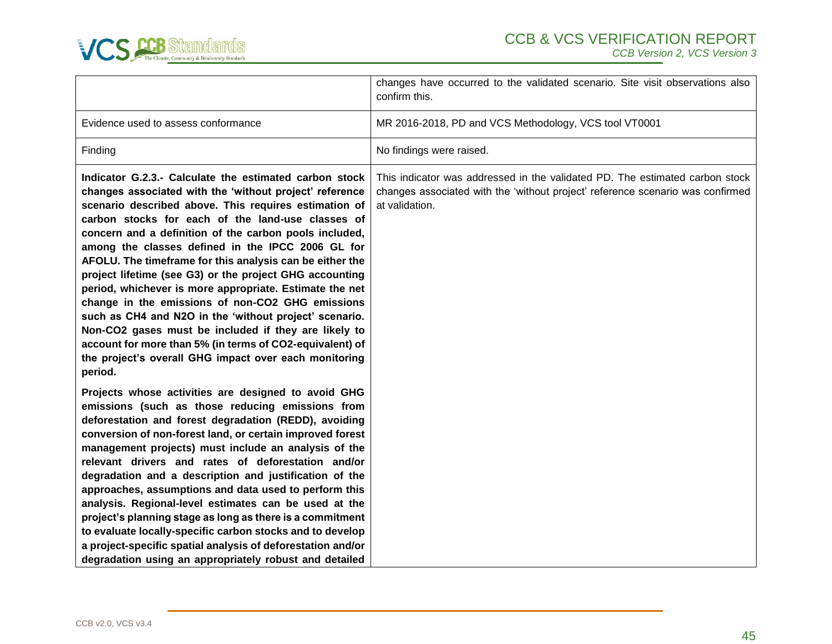

|                                                                                                                                                                                                                                                                                                                                                                                                                                                                                                                                                                                                                                                                                                                                                                                                                                        | changes have occurred to the validated scenario. Site visit observations also<br>confirm this.                                                                                   |
|----------------------------------------------------------------------------------------------------------------------------------------------------------------------------------------------------------------------------------------------------------------------------------------------------------------------------------------------------------------------------------------------------------------------------------------------------------------------------------------------------------------------------------------------------------------------------------------------------------------------------------------------------------------------------------------------------------------------------------------------------------------------------------------------------------------------------------------|----------------------------------------------------------------------------------------------------------------------------------------------------------------------------------|
| Evidence used to assess conformance                                                                                                                                                                                                                                                                                                                                                                                                                                                                                                                                                                                                                                                                                                                                                                                                    | MR 2016-2018, PD and VCS Methodology, VCS tool VT0001                                                                                                                            |
| Finding                                                                                                                                                                                                                                                                                                                                                                                                                                                                                                                                                                                                                                                                                                                                                                                                                                | No findings were raised.                                                                                                                                                         |
| Indicator G.2.3.- Calculate the estimated carbon stock<br>changes associated with the 'without project' reference<br>scenario described above. This requires estimation of<br>carbon stocks for each of the land-use classes of<br>concern and a definition of the carbon pools included,<br>among the classes defined in the IPCC 2006 GL for<br>AFOLU. The timeframe for this analysis can be either the<br>project lifetime (see G3) or the project GHG accounting<br>period, whichever is more appropriate. Estimate the net<br>change in the emissions of non-CO2 GHG emissions<br>such as CH4 and N2O in the 'without project' scenario.<br>Non-CO2 gases must be included if they are likely to<br>account for more than 5% (in terms of CO2-equivalent) of<br>the project's overall GHG impact over each monitoring<br>period. | This indicator was addressed in the validated PD. The estimated carbon stock<br>changes associated with the 'without project' reference scenario was confirmed<br>at validation. |
| Projects whose activities are designed to avoid GHG<br>emissions (such as those reducing emissions from<br>deforestation and forest degradation (REDD), avoiding<br>conversion of non-forest land, or certain improved forest<br>management projects) must include an analysis of the<br>relevant drivers and rates of deforestation and/or<br>degradation and a description and justification of the<br>approaches, assumptions and data used to perform this<br>analysis. Regional-level estimates can be used at the<br>project's planning stage as long as there is a commitment<br>to evaluate locally-specific carbon stocks and to develop<br>a project-specific spatial analysis of deforestation and/or<br>degradation using an appropriately robust and detailed                                                             |                                                                                                                                                                                  |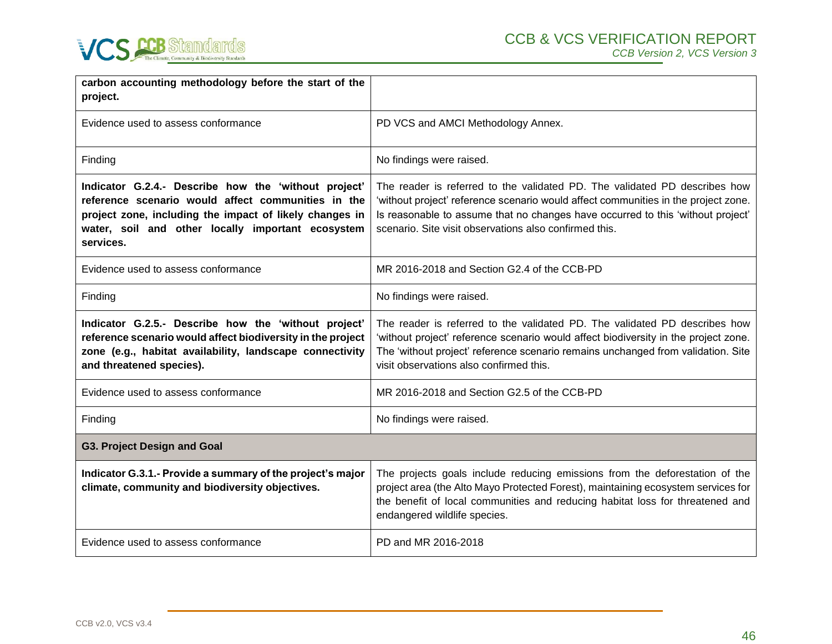

| carbon accounting methodology before the start of the<br>project.                                                                                                                                                                       |                                                                                                                                                                                                                                                                                                               |
|-----------------------------------------------------------------------------------------------------------------------------------------------------------------------------------------------------------------------------------------|---------------------------------------------------------------------------------------------------------------------------------------------------------------------------------------------------------------------------------------------------------------------------------------------------------------|
| Evidence used to assess conformance                                                                                                                                                                                                     | PD VCS and AMCI Methodology Annex.                                                                                                                                                                                                                                                                            |
| Finding                                                                                                                                                                                                                                 | No findings were raised.                                                                                                                                                                                                                                                                                      |
| Indicator G.2.4.- Describe how the 'without project'<br>reference scenario would affect communities in the<br>project zone, including the impact of likely changes in<br>water, soil and other locally important ecosystem<br>services. | The reader is referred to the validated PD. The validated PD describes how<br>'without project' reference scenario would affect communities in the project zone.<br>Is reasonable to assume that no changes have occurred to this 'without project'<br>scenario. Site visit observations also confirmed this. |
| Evidence used to assess conformance                                                                                                                                                                                                     | MR 2016-2018 and Section G2.4 of the CCB-PD                                                                                                                                                                                                                                                                   |
| Finding                                                                                                                                                                                                                                 | No findings were raised.                                                                                                                                                                                                                                                                                      |
| Indicator G.2.5.- Describe how the 'without project'<br>reference scenario would affect biodiversity in the project<br>zone (e.g., habitat availability, landscape connectivity<br>and threatened species).                             | The reader is referred to the validated PD. The validated PD describes how<br>'without project' reference scenario would affect biodiversity in the project zone.<br>The 'without project' reference scenario remains unchanged from validation. Site<br>visit observations also confirmed this.              |
| Evidence used to assess conformance                                                                                                                                                                                                     | MR 2016-2018 and Section G2.5 of the CCB-PD                                                                                                                                                                                                                                                                   |
| Finding                                                                                                                                                                                                                                 | No findings were raised.                                                                                                                                                                                                                                                                                      |
| <b>G3. Project Design and Goal</b>                                                                                                                                                                                                      |                                                                                                                                                                                                                                                                                                               |
| Indicator G.3.1.- Provide a summary of the project's major<br>climate, community and biodiversity objectives.                                                                                                                           | The projects goals include reducing emissions from the deforestation of the<br>project area (the Alto Mayo Protected Forest), maintaining ecosystem services for<br>the benefit of local communities and reducing habitat loss for threatened and<br>endangered wildlife species.                             |
| Evidence used to assess conformance                                                                                                                                                                                                     | PD and MR 2016-2018                                                                                                                                                                                                                                                                                           |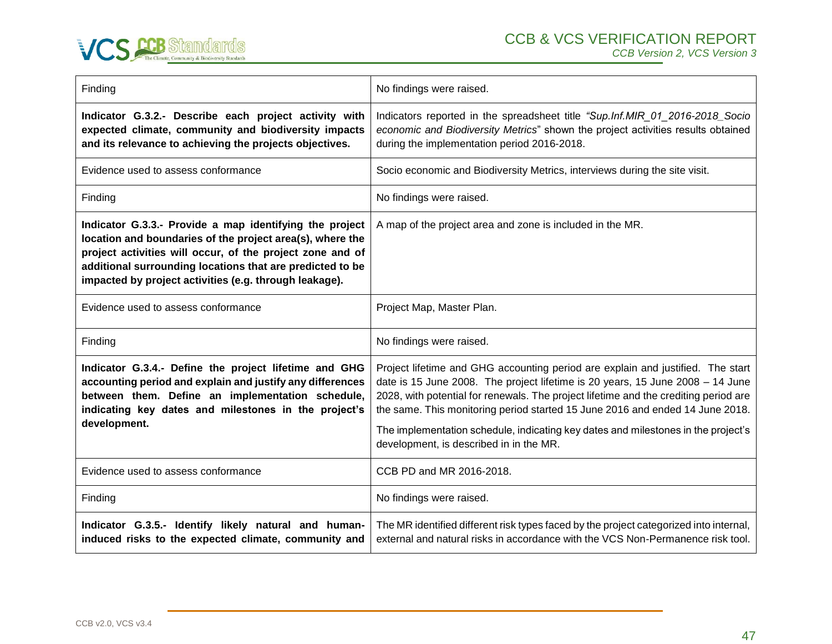

| Finding                                                                                                                                                                                                                                                                                                  | No findings were raised.                                                                                                                                                                                                                                                                                                                                                                                                                                                   |
|----------------------------------------------------------------------------------------------------------------------------------------------------------------------------------------------------------------------------------------------------------------------------------------------------------|----------------------------------------------------------------------------------------------------------------------------------------------------------------------------------------------------------------------------------------------------------------------------------------------------------------------------------------------------------------------------------------------------------------------------------------------------------------------------|
| Indicator G.3.2.- Describe each project activity with<br>expected climate, community and biodiversity impacts<br>and its relevance to achieving the projects objectives.                                                                                                                                 | Indicators reported in the spreadsheet title "Sup.Inf.MIR_01_2016-2018_Socio<br>economic and Biodiversity Metrics" shown the project activities results obtained<br>during the implementation period 2016-2018.                                                                                                                                                                                                                                                            |
| Evidence used to assess conformance                                                                                                                                                                                                                                                                      | Socio economic and Biodiversity Metrics, interviews during the site visit.                                                                                                                                                                                                                                                                                                                                                                                                 |
| Finding                                                                                                                                                                                                                                                                                                  | No findings were raised.                                                                                                                                                                                                                                                                                                                                                                                                                                                   |
| Indicator G.3.3.- Provide a map identifying the project<br>location and boundaries of the project area(s), where the<br>project activities will occur, of the project zone and of<br>additional surrounding locations that are predicted to be<br>impacted by project activities (e.g. through leakage). | A map of the project area and zone is included in the MR.                                                                                                                                                                                                                                                                                                                                                                                                                  |
| Evidence used to assess conformance                                                                                                                                                                                                                                                                      | Project Map, Master Plan.                                                                                                                                                                                                                                                                                                                                                                                                                                                  |
| Finding                                                                                                                                                                                                                                                                                                  | No findings were raised.                                                                                                                                                                                                                                                                                                                                                                                                                                                   |
| Indicator G.3.4.- Define the project lifetime and GHG<br>accounting period and explain and justify any differences<br>between them. Define an implementation schedule,<br>indicating key dates and milestones in the project's<br>development.                                                           | Project lifetime and GHG accounting period are explain and justified. The start<br>date is 15 June 2008. The project lifetime is 20 years, 15 June 2008 - 14 June<br>2028, with potential for renewals. The project lifetime and the crediting period are<br>the same. This monitoring period started 15 June 2016 and ended 14 June 2018.<br>The implementation schedule, indicating key dates and milestones in the project's<br>development, is described in in the MR. |
| Evidence used to assess conformance                                                                                                                                                                                                                                                                      | CCB PD and MR 2016-2018.                                                                                                                                                                                                                                                                                                                                                                                                                                                   |
| Finding                                                                                                                                                                                                                                                                                                  | No findings were raised.                                                                                                                                                                                                                                                                                                                                                                                                                                                   |
| Indicator G.3.5.- Identify likely natural and human-<br>induced risks to the expected climate, community and                                                                                                                                                                                             | The MR identified different risk types faced by the project categorized into internal,<br>external and natural risks in accordance with the VCS Non-Permanence risk tool.                                                                                                                                                                                                                                                                                                  |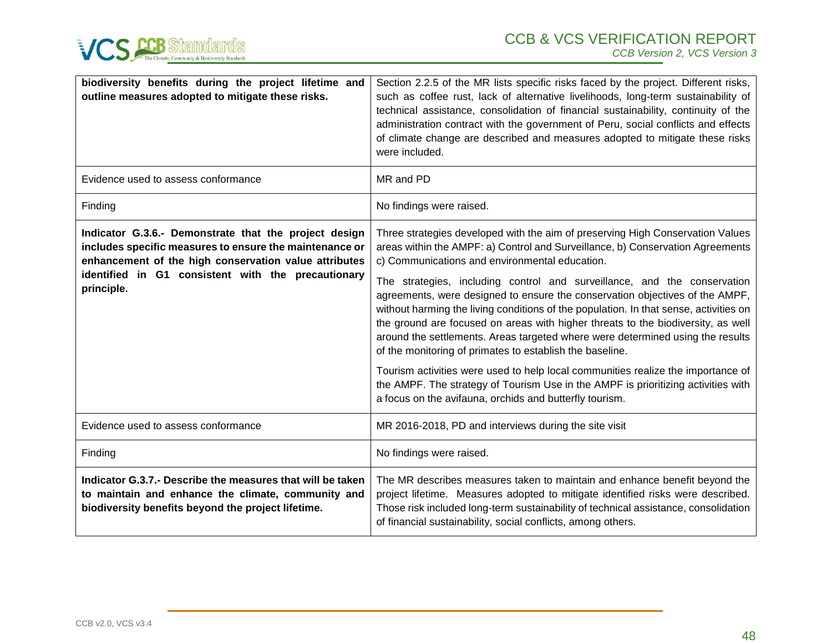

| biodiversity benefits during the project lifetime and<br>outline measures adopted to mitigate these risks.                                                                                                                                    | Section 2.2.5 of the MR lists specific risks faced by the project. Different risks,<br>such as coffee rust, lack of alternative livelihoods, long-term sustainability of<br>technical assistance, consolidation of financial sustainability, continuity of the<br>administration contract with the government of Peru, social conflicts and effects<br>of climate change are described and measures adopted to mitigate these risks<br>were included.                                                                                                                                                                                                                                                                                                                                                                                                                                                                                         |
|-----------------------------------------------------------------------------------------------------------------------------------------------------------------------------------------------------------------------------------------------|-----------------------------------------------------------------------------------------------------------------------------------------------------------------------------------------------------------------------------------------------------------------------------------------------------------------------------------------------------------------------------------------------------------------------------------------------------------------------------------------------------------------------------------------------------------------------------------------------------------------------------------------------------------------------------------------------------------------------------------------------------------------------------------------------------------------------------------------------------------------------------------------------------------------------------------------------|
| Evidence used to assess conformance                                                                                                                                                                                                           | MR and PD                                                                                                                                                                                                                                                                                                                                                                                                                                                                                                                                                                                                                                                                                                                                                                                                                                                                                                                                     |
| Finding                                                                                                                                                                                                                                       | No findings were raised.                                                                                                                                                                                                                                                                                                                                                                                                                                                                                                                                                                                                                                                                                                                                                                                                                                                                                                                      |
| Indicator G.3.6.- Demonstrate that the project design<br>includes specific measures to ensure the maintenance or<br>enhancement of the high conservation value attributes<br>identified in G1 consistent with the precautionary<br>principle. | Three strategies developed with the aim of preserving High Conservation Values<br>areas within the AMPF: a) Control and Surveillance, b) Conservation Agreements<br>c) Communications and environmental education.<br>The strategies, including control and surveillance, and the conservation<br>agreements, were designed to ensure the conservation objectives of the AMPF,<br>without harming the living conditions of the population. In that sense, activities on<br>the ground are focused on areas with higher threats to the biodiversity, as well<br>around the settlements. Areas targeted where were determined using the results<br>of the monitoring of primates to establish the baseline.<br>Tourism activities were used to help local communities realize the importance of<br>the AMPF. The strategy of Tourism Use in the AMPF is prioritizing activities with<br>a focus on the avifauna, orchids and butterfly tourism. |
| Evidence used to assess conformance                                                                                                                                                                                                           | MR 2016-2018, PD and interviews during the site visit                                                                                                                                                                                                                                                                                                                                                                                                                                                                                                                                                                                                                                                                                                                                                                                                                                                                                         |
| Finding                                                                                                                                                                                                                                       | No findings were raised.                                                                                                                                                                                                                                                                                                                                                                                                                                                                                                                                                                                                                                                                                                                                                                                                                                                                                                                      |
| Indicator G.3.7.- Describe the measures that will be taken<br>to maintain and enhance the climate, community and<br>biodiversity benefits beyond the project lifetime.                                                                        | The MR describes measures taken to maintain and enhance benefit beyond the<br>project lifetime. Measures adopted to mitigate identified risks were described.<br>Those risk included long-term sustainability of technical assistance, consolidation<br>of financial sustainability, social conflicts, among others.                                                                                                                                                                                                                                                                                                                                                                                                                                                                                                                                                                                                                          |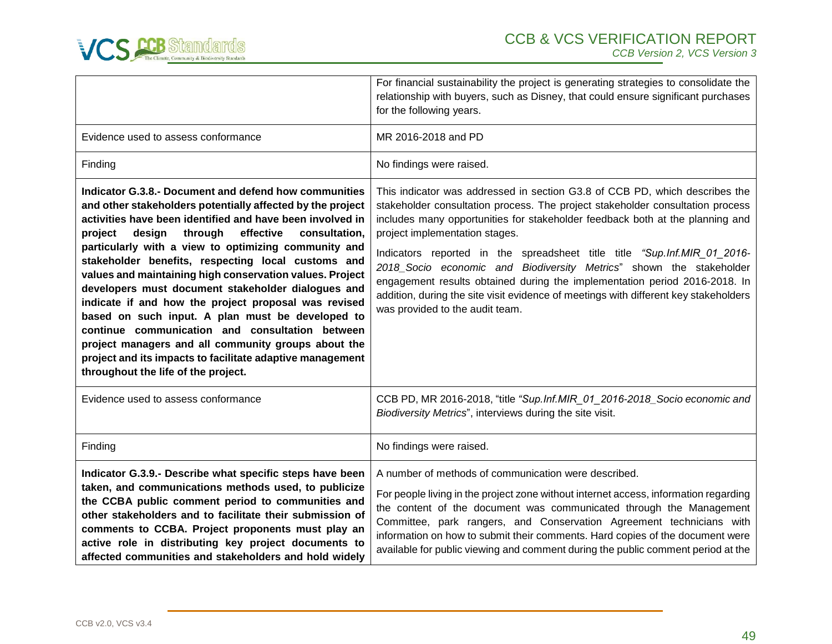

|                                                                                                                                                                                                                                                                                                                                                                                                                                                                                                                                                                                                                                                                                                                                                                                                          | For financial sustainability the project is generating strategies to consolidate the<br>relationship with buyers, such as Disney, that could ensure significant purchases<br>for the following years.                                                                                                                                                                                                                                                                                                                                                                                                                                        |
|----------------------------------------------------------------------------------------------------------------------------------------------------------------------------------------------------------------------------------------------------------------------------------------------------------------------------------------------------------------------------------------------------------------------------------------------------------------------------------------------------------------------------------------------------------------------------------------------------------------------------------------------------------------------------------------------------------------------------------------------------------------------------------------------------------|----------------------------------------------------------------------------------------------------------------------------------------------------------------------------------------------------------------------------------------------------------------------------------------------------------------------------------------------------------------------------------------------------------------------------------------------------------------------------------------------------------------------------------------------------------------------------------------------------------------------------------------------|
| Evidence used to assess conformance                                                                                                                                                                                                                                                                                                                                                                                                                                                                                                                                                                                                                                                                                                                                                                      | MR 2016-2018 and PD                                                                                                                                                                                                                                                                                                                                                                                                                                                                                                                                                                                                                          |
| Finding                                                                                                                                                                                                                                                                                                                                                                                                                                                                                                                                                                                                                                                                                                                                                                                                  | No findings were raised.                                                                                                                                                                                                                                                                                                                                                                                                                                                                                                                                                                                                                     |
| Indicator G.3.8.- Document and defend how communities<br>and other stakeholders potentially affected by the project<br>activities have been identified and have been involved in<br>through<br>effective<br>design<br>consultation,<br>project<br>particularly with a view to optimizing community and<br>stakeholder benefits, respecting local customs and<br>values and maintaining high conservation values. Project<br>developers must document stakeholder dialogues and<br>indicate if and how the project proposal was revised<br>based on such input. A plan must be developed to<br>continue communication and consultation between<br>project managers and all community groups about the<br>project and its impacts to facilitate adaptive management<br>throughout the life of the project. | This indicator was addressed in section G3.8 of CCB PD, which describes the<br>stakeholder consultation process. The project stakeholder consultation process<br>includes many opportunities for stakeholder feedback both at the planning and<br>project implementation stages.<br>Indicators reported in the spreadsheet title title "Sup.Inf.MIR_01_2016-<br>2018_Socio economic and Biodiversity Metrics" shown the stakeholder<br>engagement results obtained during the implementation period 2016-2018. In<br>addition, during the site visit evidence of meetings with different key stakeholders<br>was provided to the audit team. |
| Evidence used to assess conformance                                                                                                                                                                                                                                                                                                                                                                                                                                                                                                                                                                                                                                                                                                                                                                      | CCB PD, MR 2016-2018, "title "Sup.Inf.MIR_01_2016-2018_Socio economic and<br>Biodiversity Metrics", interviews during the site visit.                                                                                                                                                                                                                                                                                                                                                                                                                                                                                                        |
| Finding                                                                                                                                                                                                                                                                                                                                                                                                                                                                                                                                                                                                                                                                                                                                                                                                  | No findings were raised.                                                                                                                                                                                                                                                                                                                                                                                                                                                                                                                                                                                                                     |
| Indicator G.3.9.- Describe what specific steps have been<br>taken, and communications methods used, to publicize<br>the CCBA public comment period to communities and<br>other stakeholders and to facilitate their submission of<br>comments to CCBA. Project proponents must play an<br>active role in distributing key project documents to<br>affected communities and stakeholders and hold widely                                                                                                                                                                                                                                                                                                                                                                                                  | A number of methods of communication were described.<br>For people living in the project zone without internet access, information regarding<br>the content of the document was communicated through the Management<br>Committee, park rangers, and Conservation Agreement technicians with<br>information on how to submit their comments. Hard copies of the document were<br>available for public viewing and comment during the public comment period at the                                                                                                                                                                             |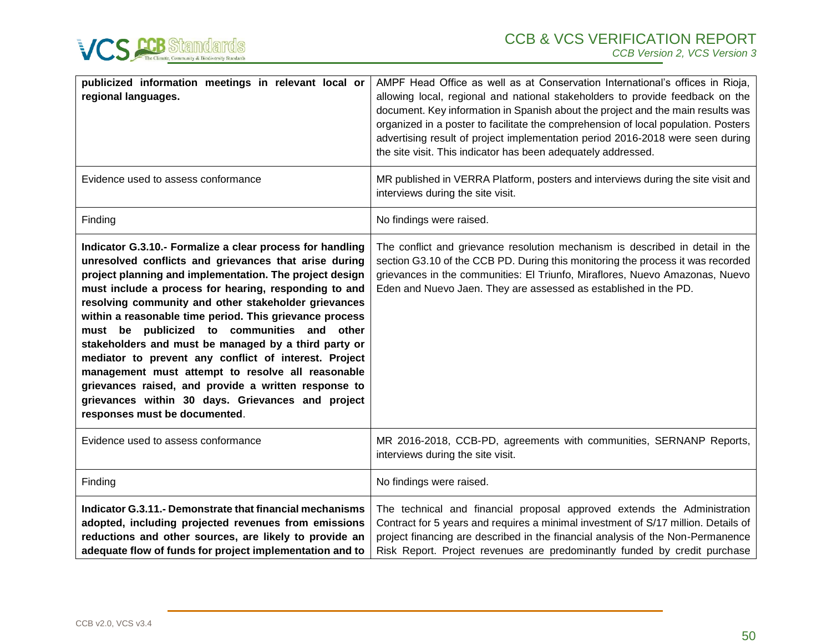



| publicized information meetings in relevant local or<br>regional languages.                                                                                                                                                                                                                                                                                                                                                                                                                                                                                                                                                                                                                                                  | AMPF Head Office as well as at Conservation International's offices in Rioja,<br>allowing local, regional and national stakeholders to provide feedback on the<br>document. Key information in Spanish about the project and the main results was<br>organized in a poster to facilitate the comprehension of local population. Posters<br>advertising result of project implementation period 2016-2018 were seen during<br>the site visit. This indicator has been adequately addressed. |
|------------------------------------------------------------------------------------------------------------------------------------------------------------------------------------------------------------------------------------------------------------------------------------------------------------------------------------------------------------------------------------------------------------------------------------------------------------------------------------------------------------------------------------------------------------------------------------------------------------------------------------------------------------------------------------------------------------------------------|--------------------------------------------------------------------------------------------------------------------------------------------------------------------------------------------------------------------------------------------------------------------------------------------------------------------------------------------------------------------------------------------------------------------------------------------------------------------------------------------|
| Evidence used to assess conformance                                                                                                                                                                                                                                                                                                                                                                                                                                                                                                                                                                                                                                                                                          | MR published in VERRA Platform, posters and interviews during the site visit and<br>interviews during the site visit.                                                                                                                                                                                                                                                                                                                                                                      |
| Finding                                                                                                                                                                                                                                                                                                                                                                                                                                                                                                                                                                                                                                                                                                                      | No findings were raised.                                                                                                                                                                                                                                                                                                                                                                                                                                                                   |
| Indicator G.3.10.- Formalize a clear process for handling<br>unresolved conflicts and grievances that arise during<br>project planning and implementation. The project design<br>must include a process for hearing, responding to and<br>resolving community and other stakeholder grievances<br>within a reasonable time period. This grievance process<br>must be publicized to communities and other<br>stakeholders and must be managed by a third party or<br>mediator to prevent any conflict of interest. Project<br>management must attempt to resolve all reasonable<br>grievances raised, and provide a written response to<br>grievances within 30 days. Grievances and project<br>responses must be documented. | The conflict and grievance resolution mechanism is described in detail in the<br>section G3.10 of the CCB PD. During this monitoring the process it was recorded<br>grievances in the communities: El Triunfo, Miraflores, Nuevo Amazonas, Nuevo<br>Eden and Nuevo Jaen. They are assessed as established in the PD.                                                                                                                                                                       |
| Evidence used to assess conformance                                                                                                                                                                                                                                                                                                                                                                                                                                                                                                                                                                                                                                                                                          | MR 2016-2018, CCB-PD, agreements with communities, SERNANP Reports,<br>interviews during the site visit.                                                                                                                                                                                                                                                                                                                                                                                   |
| Finding                                                                                                                                                                                                                                                                                                                                                                                                                                                                                                                                                                                                                                                                                                                      | No findings were raised.                                                                                                                                                                                                                                                                                                                                                                                                                                                                   |
| Indicator G.3.11.- Demonstrate that financial mechanisms<br>adopted, including projected revenues from emissions<br>reductions and other sources, are likely to provide an<br>adequate flow of funds for project implementation and to                                                                                                                                                                                                                                                                                                                                                                                                                                                                                       | The technical and financial proposal approved extends the Administration<br>Contract for 5 years and requires a minimal investment of S/17 million. Details of<br>project financing are described in the financial analysis of the Non-Permanence<br>Risk Report. Project revenues are predominantly funded by credit purchase                                                                                                                                                             |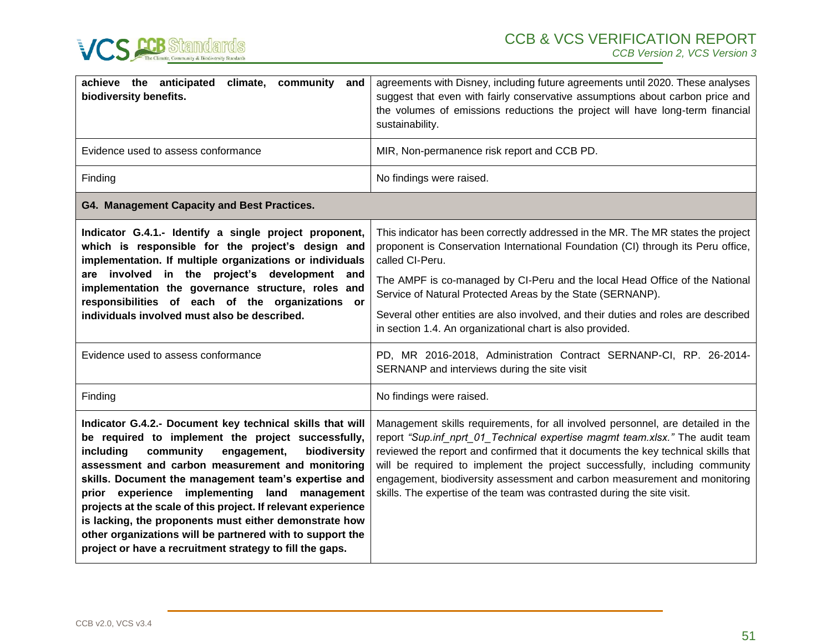



| achieve the anticipated<br>climate, community and<br>biodiversity benefits.                                                                                                                                                                                                                                                                                                                                                                                                                                                                                                               | agreements with Disney, including future agreements until 2020. These analyses<br>suggest that even with fairly conservative assumptions about carbon price and<br>the volumes of emissions reductions the project will have long-term financial<br>sustainability.                                                                                                                                                                                                                         |
|-------------------------------------------------------------------------------------------------------------------------------------------------------------------------------------------------------------------------------------------------------------------------------------------------------------------------------------------------------------------------------------------------------------------------------------------------------------------------------------------------------------------------------------------------------------------------------------------|---------------------------------------------------------------------------------------------------------------------------------------------------------------------------------------------------------------------------------------------------------------------------------------------------------------------------------------------------------------------------------------------------------------------------------------------------------------------------------------------|
| Evidence used to assess conformance                                                                                                                                                                                                                                                                                                                                                                                                                                                                                                                                                       | MIR, Non-permanence risk report and CCB PD.                                                                                                                                                                                                                                                                                                                                                                                                                                                 |
| Finding                                                                                                                                                                                                                                                                                                                                                                                                                                                                                                                                                                                   | No findings were raised.                                                                                                                                                                                                                                                                                                                                                                                                                                                                    |
| G4. Management Capacity and Best Practices.                                                                                                                                                                                                                                                                                                                                                                                                                                                                                                                                               |                                                                                                                                                                                                                                                                                                                                                                                                                                                                                             |
| Indicator G.4.1.- Identify a single project proponent,<br>which is responsible for the project's design and<br>implementation. If multiple organizations or individuals<br>are involved in the project's development and<br>implementation the governance structure, roles and<br>responsibilities of each of the organizations or<br>individuals involved must also be described.                                                                                                                                                                                                        | This indicator has been correctly addressed in the MR. The MR states the project<br>proponent is Conservation International Foundation (CI) through its Peru office,<br>called CI-Peru.                                                                                                                                                                                                                                                                                                     |
|                                                                                                                                                                                                                                                                                                                                                                                                                                                                                                                                                                                           | The AMPF is co-managed by CI-Peru and the local Head Office of the National<br>Service of Natural Protected Areas by the State (SERNANP).                                                                                                                                                                                                                                                                                                                                                   |
|                                                                                                                                                                                                                                                                                                                                                                                                                                                                                                                                                                                           | Several other entities are also involved, and their duties and roles are described<br>in section 1.4. An organizational chart is also provided.                                                                                                                                                                                                                                                                                                                                             |
| Evidence used to assess conformance                                                                                                                                                                                                                                                                                                                                                                                                                                                                                                                                                       | PD, MR 2016-2018, Administration Contract SERNANP-CI, RP. 26-2014-<br>SERNANP and interviews during the site visit                                                                                                                                                                                                                                                                                                                                                                          |
| Finding                                                                                                                                                                                                                                                                                                                                                                                                                                                                                                                                                                                   | No findings were raised.                                                                                                                                                                                                                                                                                                                                                                                                                                                                    |
| Indicator G.4.2.- Document key technical skills that will<br>be required to implement the project successfully,<br>including<br>community<br>engagement,<br>biodiversity<br>assessment and carbon measurement and monitoring<br>skills. Document the management team's expertise and<br>prior experience implementing land management<br>projects at the scale of this project. If relevant experience<br>is lacking, the proponents must either demonstrate how<br>other organizations will be partnered with to support the<br>project or have a recruitment strategy to fill the gaps. | Management skills requirements, for all involved personnel, are detailed in the<br>report "Sup.inf_nprt_01_Technical expertise magmt team.xlsx." The audit team<br>reviewed the report and confirmed that it documents the key technical skills that<br>will be required to implement the project successfully, including community<br>engagement, biodiversity assessment and carbon measurement and monitoring<br>skills. The expertise of the team was contrasted during the site visit. |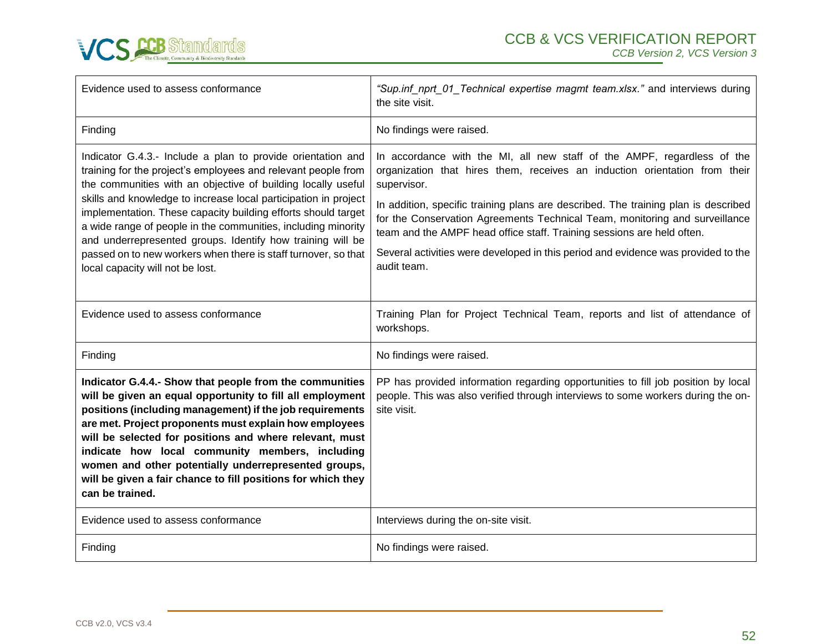

| Evidence used to assess conformance                                                                                                                                                                                                                                                                                                                                                                                                                                                                                                                                   | "Sup.inf_nprt_01_Technical expertise magmt team.xlsx." and interviews during<br>the site visit.                                                                                                                                                                                                                                                                                                                                                                                                                         |
|-----------------------------------------------------------------------------------------------------------------------------------------------------------------------------------------------------------------------------------------------------------------------------------------------------------------------------------------------------------------------------------------------------------------------------------------------------------------------------------------------------------------------------------------------------------------------|-------------------------------------------------------------------------------------------------------------------------------------------------------------------------------------------------------------------------------------------------------------------------------------------------------------------------------------------------------------------------------------------------------------------------------------------------------------------------------------------------------------------------|
| Finding                                                                                                                                                                                                                                                                                                                                                                                                                                                                                                                                                               | No findings were raised.                                                                                                                                                                                                                                                                                                                                                                                                                                                                                                |
| Indicator G.4.3.- Include a plan to provide orientation and<br>training for the project's employees and relevant people from<br>the communities with an objective of building locally useful<br>skills and knowledge to increase local participation in project<br>implementation. These capacity building efforts should target<br>a wide range of people in the communities, including minority<br>and underrepresented groups. Identify how training will be<br>passed on to new workers when there is staff turnover, so that<br>local capacity will not be lost. | In accordance with the MI, all new staff of the AMPF, regardless of the<br>organization that hires them, receives an induction orientation from their<br>supervisor.<br>In addition, specific training plans are described. The training plan is described<br>for the Conservation Agreements Technical Team, monitoring and surveillance<br>team and the AMPF head office staff. Training sessions are held often.<br>Several activities were developed in this period and evidence was provided to the<br>audit team. |
| Evidence used to assess conformance                                                                                                                                                                                                                                                                                                                                                                                                                                                                                                                                   | Training Plan for Project Technical Team, reports and list of attendance of<br>workshops.                                                                                                                                                                                                                                                                                                                                                                                                                               |
| Finding                                                                                                                                                                                                                                                                                                                                                                                                                                                                                                                                                               | No findings were raised.                                                                                                                                                                                                                                                                                                                                                                                                                                                                                                |
| Indicator G.4.4.- Show that people from the communities<br>will be given an equal opportunity to fill all employment<br>positions (including management) if the job requirements<br>are met. Project proponents must explain how employees<br>will be selected for positions and where relevant, must<br>indicate how local community members, including<br>women and other potentially underrepresented groups,<br>will be given a fair chance to fill positions for which they<br>can be trained.                                                                   | PP has provided information regarding opportunities to fill job position by local<br>people. This was also verified through interviews to some workers during the on-<br>site visit.                                                                                                                                                                                                                                                                                                                                    |
| Evidence used to assess conformance                                                                                                                                                                                                                                                                                                                                                                                                                                                                                                                                   | Interviews during the on-site visit.                                                                                                                                                                                                                                                                                                                                                                                                                                                                                    |
| Finding                                                                                                                                                                                                                                                                                                                                                                                                                                                                                                                                                               | No findings were raised.                                                                                                                                                                                                                                                                                                                                                                                                                                                                                                |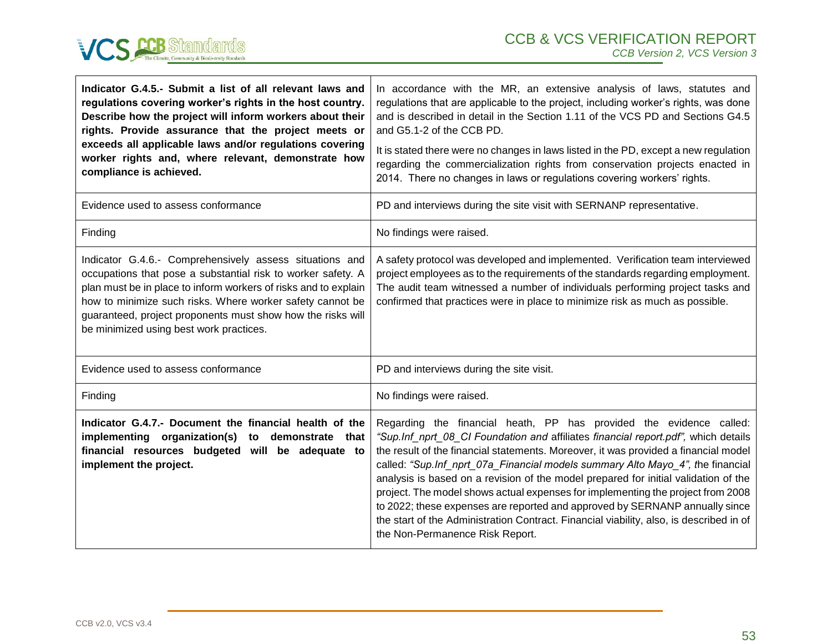

| Indicator G.4.5.- Submit a list of all relevant laws and<br>regulations covering worker's rights in the host country.<br>Describe how the project will inform workers about their<br>rights. Provide assurance that the project meets or<br>exceeds all applicable laws and/or regulations covering<br>worker rights and, where relevant, demonstrate how<br>compliance is achieved. | In accordance with the MR, an extensive analysis of laws, statutes and<br>regulations that are applicable to the project, including worker's rights, was done<br>and is described in detail in the Section 1.11 of the VCS PD and Sections G4.5<br>and G5.1-2 of the CCB PD.<br>It is stated there were no changes in laws listed in the PD, except a new regulation<br>regarding the commercialization rights from conservation projects enacted in<br>2014. There no changes in laws or regulations covering workers' rights.                                                                                                                                                                                           |
|--------------------------------------------------------------------------------------------------------------------------------------------------------------------------------------------------------------------------------------------------------------------------------------------------------------------------------------------------------------------------------------|---------------------------------------------------------------------------------------------------------------------------------------------------------------------------------------------------------------------------------------------------------------------------------------------------------------------------------------------------------------------------------------------------------------------------------------------------------------------------------------------------------------------------------------------------------------------------------------------------------------------------------------------------------------------------------------------------------------------------|
| Evidence used to assess conformance                                                                                                                                                                                                                                                                                                                                                  | PD and interviews during the site visit with SERNANP representative.                                                                                                                                                                                                                                                                                                                                                                                                                                                                                                                                                                                                                                                      |
| Finding                                                                                                                                                                                                                                                                                                                                                                              | No findings were raised.                                                                                                                                                                                                                                                                                                                                                                                                                                                                                                                                                                                                                                                                                                  |
| Indicator G.4.6.- Comprehensively assess situations and<br>occupations that pose a substantial risk to worker safety. A<br>plan must be in place to inform workers of risks and to explain<br>how to minimize such risks. Where worker safety cannot be<br>guaranteed, project proponents must show how the risks will<br>be minimized using best work practices.                    | A safety protocol was developed and implemented. Verification team interviewed<br>project employees as to the requirements of the standards regarding employment.<br>The audit team witnessed a number of individuals performing project tasks and<br>confirmed that practices were in place to minimize risk as much as possible.                                                                                                                                                                                                                                                                                                                                                                                        |
| Evidence used to assess conformance                                                                                                                                                                                                                                                                                                                                                  | PD and interviews during the site visit.                                                                                                                                                                                                                                                                                                                                                                                                                                                                                                                                                                                                                                                                                  |
| Finding                                                                                                                                                                                                                                                                                                                                                                              | No findings were raised.                                                                                                                                                                                                                                                                                                                                                                                                                                                                                                                                                                                                                                                                                                  |
| Indicator G.4.7.- Document the financial health of the<br>implementing organization(s) to demonstrate that<br>financial resources budgeted will be adequate to<br>implement the project.                                                                                                                                                                                             | Regarding the financial heath, PP has provided the evidence called:<br>"Sup.Inf_nprt_08_CI Foundation and affiliates financial report.pdf", which details<br>the result of the financial statements. Moreover, it was provided a financial model<br>called: "Sup.Inf_nprt_07a_Financial models summary Alto Mayo_4", the financial<br>analysis is based on a revision of the model prepared for initial validation of the<br>project. The model shows actual expenses for implementing the project from 2008<br>to 2022; these expenses are reported and approved by SERNANP annually since<br>the start of the Administration Contract. Financial viability, also, is described in of<br>the Non-Permanence Risk Report. |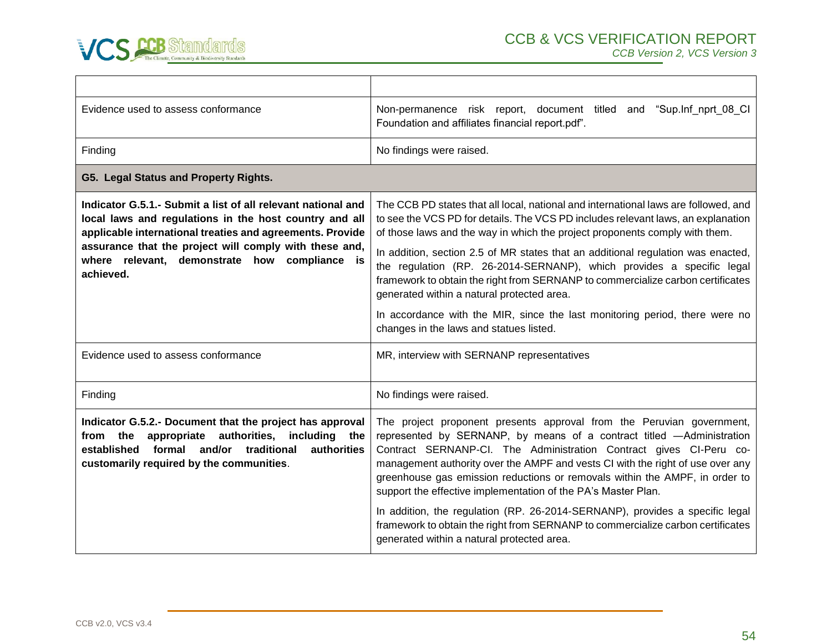

| Non-permanence risk report, document titled<br>and "Sup.Inf_nprt_08_CI<br>Foundation and affiliates financial report.pdf".                                                                                                                                                                                                                                                                                                                                                                                                                                                                                                                                                     |
|--------------------------------------------------------------------------------------------------------------------------------------------------------------------------------------------------------------------------------------------------------------------------------------------------------------------------------------------------------------------------------------------------------------------------------------------------------------------------------------------------------------------------------------------------------------------------------------------------------------------------------------------------------------------------------|
| No findings were raised.                                                                                                                                                                                                                                                                                                                                                                                                                                                                                                                                                                                                                                                       |
|                                                                                                                                                                                                                                                                                                                                                                                                                                                                                                                                                                                                                                                                                |
| The CCB PD states that all local, national and international laws are followed, and<br>to see the VCS PD for details. The VCS PD includes relevant laws, an explanation<br>of those laws and the way in which the project proponents comply with them.<br>In addition, section 2.5 of MR states that an additional regulation was enacted,<br>the regulation (RP. 26-2014-SERNANP), which provides a specific legal<br>framework to obtain the right from SERNANP to commercialize carbon certificates<br>generated within a natural protected area.<br>In accordance with the MIR, since the last monitoring period, there were no<br>changes in the laws and statues listed. |
| MR, interview with SERNANP representatives                                                                                                                                                                                                                                                                                                                                                                                                                                                                                                                                                                                                                                     |
|                                                                                                                                                                                                                                                                                                                                                                                                                                                                                                                                                                                                                                                                                |
| No findings were raised.                                                                                                                                                                                                                                                                                                                                                                                                                                                                                                                                                                                                                                                       |
| The project proponent presents approval from the Peruvian government,<br>represented by SERNANP, by means of a contract titled -Administration<br>Contract SERNANP-CI. The Administration Contract gives CI-Peru co-<br>management authority over the AMPF and vests CI with the right of use over any<br>greenhouse gas emission reductions or removals within the AMPF, in order to<br>support the effective implementation of the PA's Master Plan.<br>In addition, the regulation (RP. 26-2014-SERNANP), provides a specific legal<br>framework to obtain the right from SERNANP to commercialize carbon certificates<br>generated within a natural protected area.        |
|                                                                                                                                                                                                                                                                                                                                                                                                                                                                                                                                                                                                                                                                                |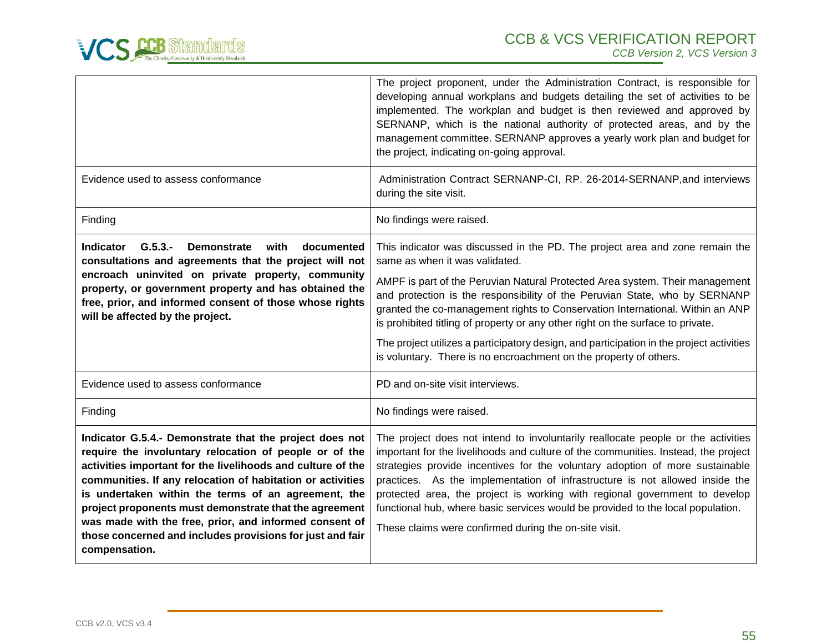

|                                                                                                                                                                                                                                                                                                                                                                                                                                                                                                         | The project proponent, under the Administration Contract, is responsible for<br>developing annual workplans and budgets detailing the set of activities to be<br>implemented. The workplan and budget is then reviewed and approved by<br>SERNANP, which is the national authority of protected areas, and by the<br>management committee. SERNANP approves a yearly work plan and budget for<br>the project, indicating on-going approval.                                                                                                                                                                       |
|---------------------------------------------------------------------------------------------------------------------------------------------------------------------------------------------------------------------------------------------------------------------------------------------------------------------------------------------------------------------------------------------------------------------------------------------------------------------------------------------------------|-------------------------------------------------------------------------------------------------------------------------------------------------------------------------------------------------------------------------------------------------------------------------------------------------------------------------------------------------------------------------------------------------------------------------------------------------------------------------------------------------------------------------------------------------------------------------------------------------------------------|
| Evidence used to assess conformance                                                                                                                                                                                                                                                                                                                                                                                                                                                                     | Administration Contract SERNANP-CI, RP. 26-2014-SERNANP, and interviews<br>during the site visit.                                                                                                                                                                                                                                                                                                                                                                                                                                                                                                                 |
| Finding                                                                                                                                                                                                                                                                                                                                                                                                                                                                                                 | No findings were raised.                                                                                                                                                                                                                                                                                                                                                                                                                                                                                                                                                                                          |
| Indicator<br>$G.5.3 -$<br><b>Demonstrate</b><br>with<br>documented<br>consultations and agreements that the project will not<br>encroach uninvited on private property, community<br>property, or government property and has obtained the<br>free, prior, and informed consent of those whose rights<br>will be affected by the project.                                                                                                                                                               | This indicator was discussed in the PD. The project area and zone remain the<br>same as when it was validated.<br>AMPF is part of the Peruvian Natural Protected Area system. Their management<br>and protection is the responsibility of the Peruvian State, who by SERNANP<br>granted the co-management rights to Conservation International. Within an ANP<br>is prohibited titling of property or any other right on the surface to private.<br>The project utilizes a participatory design, and participation in the project activities<br>is voluntary. There is no encroachment on the property of others. |
| Evidence used to assess conformance                                                                                                                                                                                                                                                                                                                                                                                                                                                                     | PD and on-site visit interviews.                                                                                                                                                                                                                                                                                                                                                                                                                                                                                                                                                                                  |
| Finding                                                                                                                                                                                                                                                                                                                                                                                                                                                                                                 | No findings were raised.                                                                                                                                                                                                                                                                                                                                                                                                                                                                                                                                                                                          |
| Indicator G.5.4.- Demonstrate that the project does not<br>require the involuntary relocation of people or of the<br>activities important for the livelihoods and culture of the<br>communities. If any relocation of habitation or activities<br>is undertaken within the terms of an agreement, the<br>project proponents must demonstrate that the agreement<br>was made with the free, prior, and informed consent of<br>those concerned and includes provisions for just and fair<br>compensation. | The project does not intend to involuntarily reallocate people or the activities<br>important for the livelihoods and culture of the communities. Instead, the project<br>strategies provide incentives for the voluntary adoption of more sustainable<br>practices. As the implementation of infrastructure is not allowed inside the<br>protected area, the project is working with regional government to develop<br>functional hub, where basic services would be provided to the local population.<br>These claims were confirmed during the on-site visit.                                                  |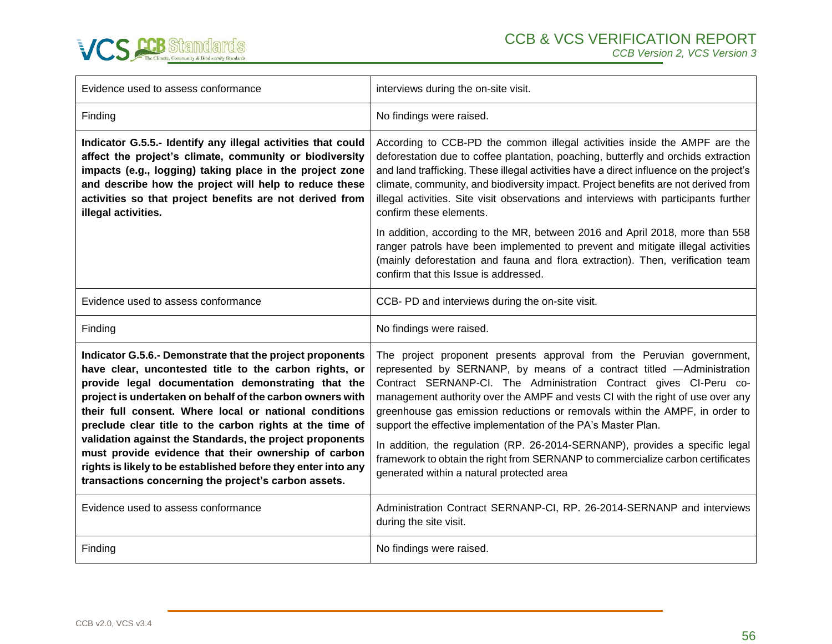

| Evidence used to assess conformance                                                                                                                                                                                                                                                                                                                                                                                                                                                                                                                                                                       | interviews during the on-site visit.                                                                                                                                                                                                                                                                                                                                                                                                                                                                                                                                                                                                                                   |
|-----------------------------------------------------------------------------------------------------------------------------------------------------------------------------------------------------------------------------------------------------------------------------------------------------------------------------------------------------------------------------------------------------------------------------------------------------------------------------------------------------------------------------------------------------------------------------------------------------------|------------------------------------------------------------------------------------------------------------------------------------------------------------------------------------------------------------------------------------------------------------------------------------------------------------------------------------------------------------------------------------------------------------------------------------------------------------------------------------------------------------------------------------------------------------------------------------------------------------------------------------------------------------------------|
| Finding                                                                                                                                                                                                                                                                                                                                                                                                                                                                                                                                                                                                   | No findings were raised.                                                                                                                                                                                                                                                                                                                                                                                                                                                                                                                                                                                                                                               |
| Indicator G.5.5.- Identify any illegal activities that could<br>affect the project's climate, community or biodiversity<br>impacts (e.g., logging) taking place in the project zone<br>and describe how the project will help to reduce these<br>activities so that project benefits are not derived from<br>illegal activities.                                                                                                                                                                                                                                                                          | According to CCB-PD the common illegal activities inside the AMPF are the<br>deforestation due to coffee plantation, poaching, butterfly and orchids extraction<br>and land trafficking. These illegal activities have a direct influence on the project's<br>climate, community, and biodiversity impact. Project benefits are not derived from<br>illegal activities. Site visit observations and interviews with participants further<br>confirm these elements.                                                                                                                                                                                                    |
|                                                                                                                                                                                                                                                                                                                                                                                                                                                                                                                                                                                                           | In addition, according to the MR, between 2016 and April 2018, more than 558<br>ranger patrols have been implemented to prevent and mitigate illegal activities<br>(mainly deforestation and fauna and flora extraction). Then, verification team<br>confirm that this Issue is addressed.                                                                                                                                                                                                                                                                                                                                                                             |
| Evidence used to assess conformance                                                                                                                                                                                                                                                                                                                                                                                                                                                                                                                                                                       | CCB- PD and interviews during the on-site visit.                                                                                                                                                                                                                                                                                                                                                                                                                                                                                                                                                                                                                       |
| Finding                                                                                                                                                                                                                                                                                                                                                                                                                                                                                                                                                                                                   | No findings were raised.                                                                                                                                                                                                                                                                                                                                                                                                                                                                                                                                                                                                                                               |
|                                                                                                                                                                                                                                                                                                                                                                                                                                                                                                                                                                                                           |                                                                                                                                                                                                                                                                                                                                                                                                                                                                                                                                                                                                                                                                        |
| Indicator G.5.6.- Demonstrate that the project proponents<br>have clear, uncontested title to the carbon rights, or<br>provide legal documentation demonstrating that the<br>project is undertaken on behalf of the carbon owners with<br>their full consent. Where local or national conditions<br>preclude clear title to the carbon rights at the time of<br>validation against the Standards, the project proponents<br>must provide evidence that their ownership of carbon<br>rights is likely to be established before they enter into any<br>transactions concerning the project's carbon assets. | The project proponent presents approval from the Peruvian government,<br>represented by SERNANP, by means of a contract titled -Administration<br>Contract SERNANP-CI. The Administration Contract gives CI-Peru co-<br>management authority over the AMPF and vests CI with the right of use over any<br>greenhouse gas emission reductions or removals within the AMPF, in order to<br>support the effective implementation of the PA's Master Plan.<br>In addition, the regulation (RP. 26-2014-SERNANP), provides a specific legal<br>framework to obtain the right from SERNANP to commercialize carbon certificates<br>generated within a natural protected area |
| Evidence used to assess conformance                                                                                                                                                                                                                                                                                                                                                                                                                                                                                                                                                                       | Administration Contract SERNANP-CI, RP. 26-2014-SERNANP and interviews<br>during the site visit.                                                                                                                                                                                                                                                                                                                                                                                                                                                                                                                                                                       |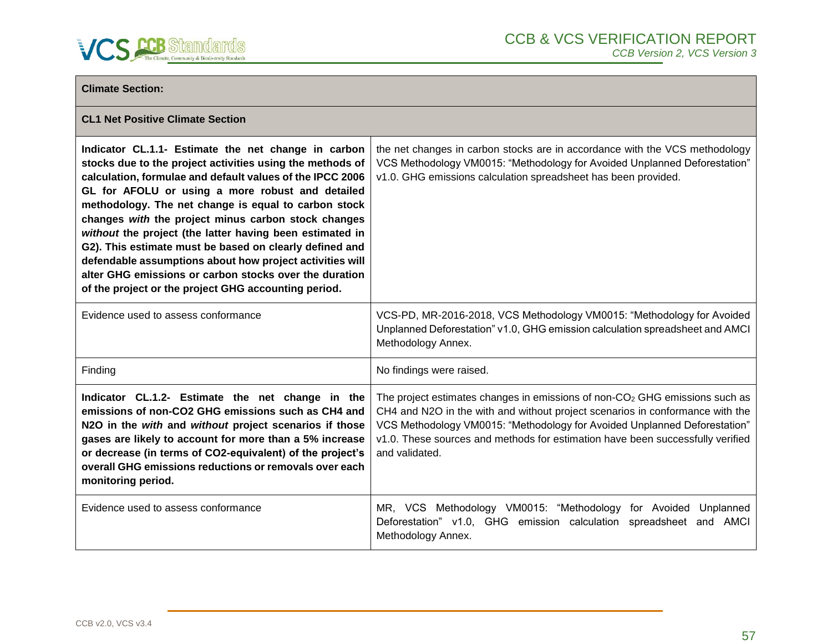

| <b>Climate Section:</b>                                                                                                                                                                                                                                                                                                                                                                                                                                                                                                                                                                                                                               |                                                                                                                                                                                                                                                                                                                                                           |
|-------------------------------------------------------------------------------------------------------------------------------------------------------------------------------------------------------------------------------------------------------------------------------------------------------------------------------------------------------------------------------------------------------------------------------------------------------------------------------------------------------------------------------------------------------------------------------------------------------------------------------------------------------|-----------------------------------------------------------------------------------------------------------------------------------------------------------------------------------------------------------------------------------------------------------------------------------------------------------------------------------------------------------|
| <b>CL1 Net Positive Climate Section</b>                                                                                                                                                                                                                                                                                                                                                                                                                                                                                                                                                                                                               |                                                                                                                                                                                                                                                                                                                                                           |
| Indicator CL.1.1- Estimate the net change in carbon<br>stocks due to the project activities using the methods of<br>calculation, formulae and default values of the IPCC 2006<br>GL for AFOLU or using a more robust and detailed<br>methodology. The net change is equal to carbon stock<br>changes with the project minus carbon stock changes<br>without the project (the latter having been estimated in<br>G2). This estimate must be based on clearly defined and<br>defendable assumptions about how project activities will<br>alter GHG emissions or carbon stocks over the duration<br>of the project or the project GHG accounting period. | the net changes in carbon stocks are in accordance with the VCS methodology<br>VCS Methodology VM0015: "Methodology for Avoided Unplanned Deforestation"<br>v1.0. GHG emissions calculation spreadsheet has been provided.                                                                                                                                |
| Evidence used to assess conformance                                                                                                                                                                                                                                                                                                                                                                                                                                                                                                                                                                                                                   | VCS-PD, MR-2016-2018, VCS Methodology VM0015: "Methodology for Avoided<br>Unplanned Deforestation" v1.0, GHG emission calculation spreadsheet and AMCI<br>Methodology Annex.                                                                                                                                                                              |
| Finding                                                                                                                                                                                                                                                                                                                                                                                                                                                                                                                                                                                                                                               | No findings were raised.                                                                                                                                                                                                                                                                                                                                  |
| Indicator CL.1.2- Estimate the net change in the<br>emissions of non-CO2 GHG emissions such as CH4 and<br>N2O in the with and without project scenarios if those<br>gases are likely to account for more than a 5% increase<br>or decrease (in terms of CO2-equivalent) of the project's<br>overall GHG emissions reductions or removals over each<br>monitoring period.                                                                                                                                                                                                                                                                              | The project estimates changes in emissions of non-CO <sub>2</sub> GHG emissions such as<br>CH4 and N2O in the with and without project scenarios in conformance with the<br>VCS Methodology VM0015: "Methodology for Avoided Unplanned Deforestation"<br>v1.0. These sources and methods for estimation have been successfully verified<br>and validated. |
| Evidence used to assess conformance                                                                                                                                                                                                                                                                                                                                                                                                                                                                                                                                                                                                                   | MR, VCS Methodology VM0015: "Methodology for Avoided<br>Unplanned<br>Deforestation" v1.0, GHG emission calculation spreadsheet and AMCI<br>Methodology Annex.                                                                                                                                                                                             |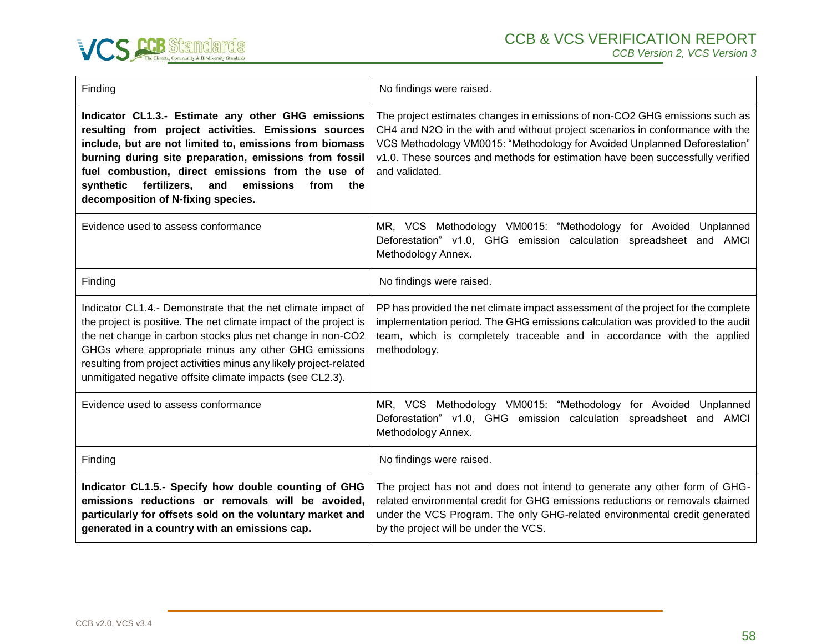

| Finding                                                                                                                                                                                                                                                                                                                                                                                    | No findings were raised.                                                                                                                                                                                                                                                                                                                      |
|--------------------------------------------------------------------------------------------------------------------------------------------------------------------------------------------------------------------------------------------------------------------------------------------------------------------------------------------------------------------------------------------|-----------------------------------------------------------------------------------------------------------------------------------------------------------------------------------------------------------------------------------------------------------------------------------------------------------------------------------------------|
| Indicator CL1.3.- Estimate any other GHG emissions<br>resulting from project activities. Emissions sources<br>include, but are not limited to, emissions from biomass<br>burning during site preparation, emissions from fossil<br>fuel combustion, direct emissions from the use of<br>fertilizers,<br>emissions<br>synthetic<br>and<br>from<br>the<br>decomposition of N-fixing species. | The project estimates changes in emissions of non-CO2 GHG emissions such as<br>CH4 and N2O in the with and without project scenarios in conformance with the<br>VCS Methodology VM0015: "Methodology for Avoided Unplanned Deforestation"<br>v1.0. These sources and methods for estimation have been successfully verified<br>and validated. |
| Evidence used to assess conformance                                                                                                                                                                                                                                                                                                                                                        | MR, VCS Methodology VM0015: "Methodology for Avoided Unplanned<br>Deforestation" v1.0, GHG emission calculation spreadsheet and AMCI<br>Methodology Annex.                                                                                                                                                                                    |
| Finding                                                                                                                                                                                                                                                                                                                                                                                    | No findings were raised.                                                                                                                                                                                                                                                                                                                      |
| Indicator CL1.4.- Demonstrate that the net climate impact of<br>the project is positive. The net climate impact of the project is<br>the net change in carbon stocks plus net change in non-CO2<br>GHGs where appropriate minus any other GHG emissions<br>resulting from project activities minus any likely project-related<br>unmitigated negative offsite climate impacts (see CL2.3). | PP has provided the net climate impact assessment of the project for the complete<br>implementation period. The GHG emissions calculation was provided to the audit<br>team, which is completely traceable and in accordance with the applied<br>methodology.                                                                                 |
| Evidence used to assess conformance                                                                                                                                                                                                                                                                                                                                                        | MR, VCS Methodology VM0015: "Methodology for Avoided Unplanned<br>Deforestation" v1.0, GHG emission calculation spreadsheet and AMCI<br>Methodology Annex.                                                                                                                                                                                    |
| Finding                                                                                                                                                                                                                                                                                                                                                                                    | No findings were raised.                                                                                                                                                                                                                                                                                                                      |
| Indicator CL1.5.- Specify how double counting of GHG<br>emissions reductions or removals will be avoided,<br>particularly for offsets sold on the voluntary market and<br>generated in a country with an emissions cap.                                                                                                                                                                    | The project has not and does not intend to generate any other form of GHG-<br>related environmental credit for GHG emissions reductions or removals claimed<br>under the VCS Program. The only GHG-related environmental credit generated<br>by the project will be under the VCS.                                                            |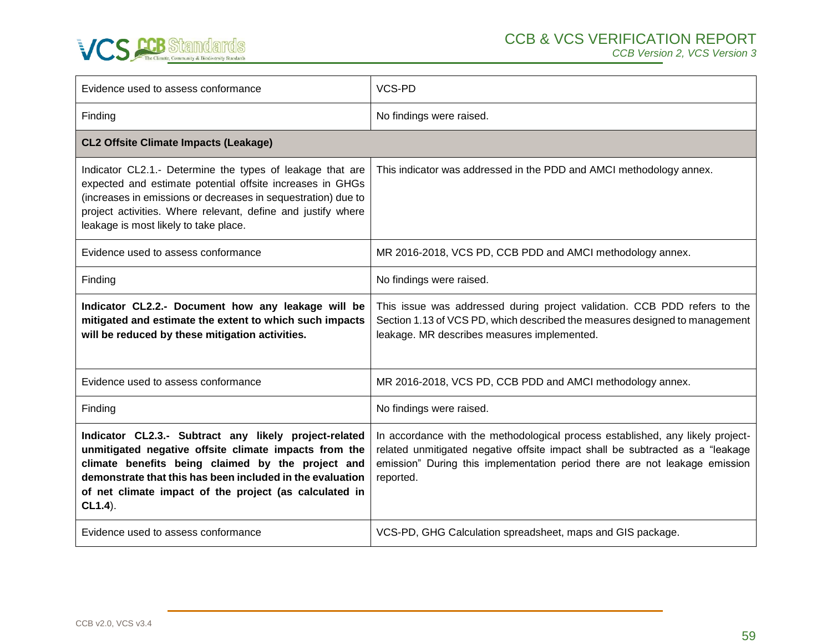

| Evidence used to assess conformance                                                                                                                                                                                                                                                                      | VCS-PD                                                                                                                                                                                                                                                     |
|----------------------------------------------------------------------------------------------------------------------------------------------------------------------------------------------------------------------------------------------------------------------------------------------------------|------------------------------------------------------------------------------------------------------------------------------------------------------------------------------------------------------------------------------------------------------------|
| Finding                                                                                                                                                                                                                                                                                                  | No findings were raised.                                                                                                                                                                                                                                   |
| <b>CL2 Offsite Climate Impacts (Leakage)</b>                                                                                                                                                                                                                                                             |                                                                                                                                                                                                                                                            |
| Indicator CL2.1.- Determine the types of leakage that are<br>expected and estimate potential offsite increases in GHGs<br>(increases in emissions or decreases in sequestration) due to<br>project activities. Where relevant, define and justify where<br>leakage is most likely to take place.         | This indicator was addressed in the PDD and AMCI methodology annex.                                                                                                                                                                                        |
| Evidence used to assess conformance                                                                                                                                                                                                                                                                      | MR 2016-2018, VCS PD, CCB PDD and AMCI methodology annex.                                                                                                                                                                                                  |
| Finding                                                                                                                                                                                                                                                                                                  | No findings were raised.                                                                                                                                                                                                                                   |
| Indicator CL2.2.- Document how any leakage will be<br>mitigated and estimate the extent to which such impacts<br>will be reduced by these mitigation activities.                                                                                                                                         | This issue was addressed during project validation. CCB PDD refers to the<br>Section 1.13 of VCS PD, which described the measures designed to management<br>leakage. MR describes measures implemented.                                                    |
| Evidence used to assess conformance                                                                                                                                                                                                                                                                      | MR 2016-2018, VCS PD, CCB PDD and AMCI methodology annex.                                                                                                                                                                                                  |
| Finding                                                                                                                                                                                                                                                                                                  | No findings were raised.                                                                                                                                                                                                                                   |
| Indicator CL2.3.- Subtract any likely project-related<br>unmitigated negative offsite climate impacts from the<br>climate benefits being claimed by the project and<br>demonstrate that this has been included in the evaluation<br>of net climate impact of the project (as calculated in<br>$CL1.4$ ). | In accordance with the methodological process established, any likely project-<br>related unmitigated negative offsite impact shall be subtracted as a "leakage<br>emission" During this implementation period there are not leakage emission<br>reported. |
| Evidence used to assess conformance                                                                                                                                                                                                                                                                      | VCS-PD, GHG Calculation spreadsheet, maps and GIS package.                                                                                                                                                                                                 |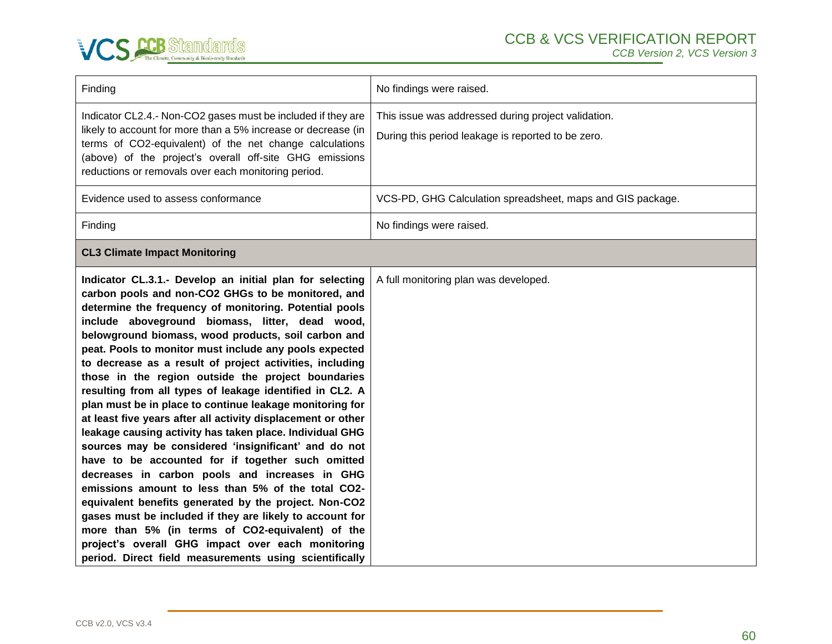

| Finding                                                                                                                                                                                                                                                                                                                                                                                                                                                                                                                                                                                                                                                                                                                                                                                                                                                                                                                                                                                                                                                                                                                                                                                                                         | No findings were raised.                                                                                  |
|---------------------------------------------------------------------------------------------------------------------------------------------------------------------------------------------------------------------------------------------------------------------------------------------------------------------------------------------------------------------------------------------------------------------------------------------------------------------------------------------------------------------------------------------------------------------------------------------------------------------------------------------------------------------------------------------------------------------------------------------------------------------------------------------------------------------------------------------------------------------------------------------------------------------------------------------------------------------------------------------------------------------------------------------------------------------------------------------------------------------------------------------------------------------------------------------------------------------------------|-----------------------------------------------------------------------------------------------------------|
| Indicator CL2.4.- Non-CO2 gases must be included if they are<br>likely to account for more than a 5% increase or decrease (in<br>terms of CO2-equivalent) of the net change calculations<br>(above) of the project's overall off-site GHG emissions<br>reductions or removals over each monitoring period.                                                                                                                                                                                                                                                                                                                                                                                                                                                                                                                                                                                                                                                                                                                                                                                                                                                                                                                      | This issue was addressed during project validation.<br>During this period leakage is reported to be zero. |
| Evidence used to assess conformance                                                                                                                                                                                                                                                                                                                                                                                                                                                                                                                                                                                                                                                                                                                                                                                                                                                                                                                                                                                                                                                                                                                                                                                             | VCS-PD, GHG Calculation spreadsheet, maps and GIS package.                                                |
| Finding                                                                                                                                                                                                                                                                                                                                                                                                                                                                                                                                                                                                                                                                                                                                                                                                                                                                                                                                                                                                                                                                                                                                                                                                                         | No findings were raised.                                                                                  |
| <b>CL3 Climate Impact Monitoring</b>                                                                                                                                                                                                                                                                                                                                                                                                                                                                                                                                                                                                                                                                                                                                                                                                                                                                                                                                                                                                                                                                                                                                                                                            |                                                                                                           |
| Indicator CL.3.1.- Develop an initial plan for selecting<br>carbon pools and non-CO2 GHGs to be monitored, and<br>determine the frequency of monitoring. Potential pools<br>include aboveground biomass, litter, dead wood,<br>belowground biomass, wood products, soil carbon and<br>peat. Pools to monitor must include any pools expected<br>to decrease as a result of project activities, including<br>those in the region outside the project boundaries<br>resulting from all types of leakage identified in CL2. A<br>plan must be in place to continue leakage monitoring for<br>at least five years after all activity displacement or other<br>leakage causing activity has taken place. Individual GHG<br>sources may be considered 'insignificant' and do not<br>have to be accounted for if together such omitted<br>decreases in carbon pools and increases in GHG<br>emissions amount to less than 5% of the total CO2-<br>equivalent benefits generated by the project. Non-CO2<br>gases must be included if they are likely to account for<br>more than 5% (in terms of CO2-equivalent) of the<br>project's overall GHG impact over each monitoring<br>period. Direct field measurements using scientifically | A full monitoring plan was developed.                                                                     |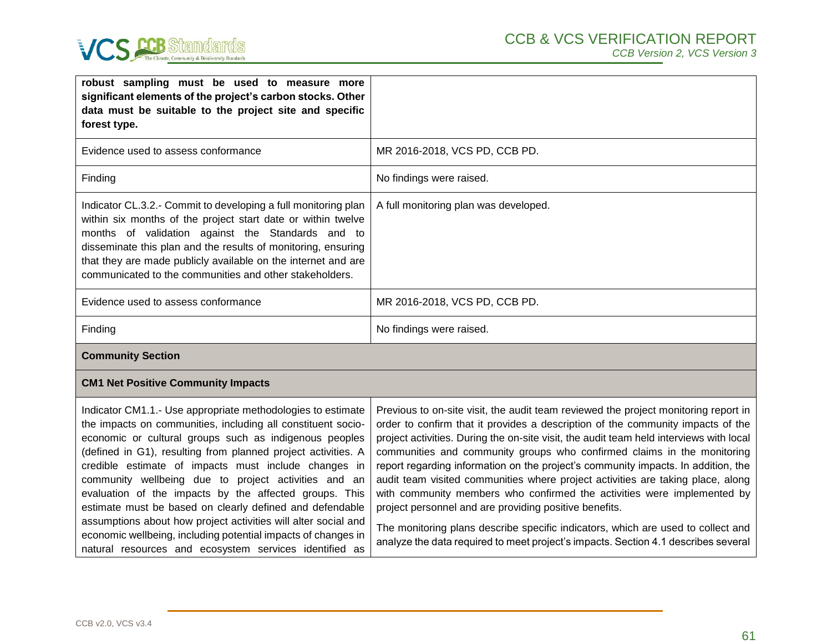

| robust sampling must be used to measure more<br>significant elements of the project's carbon stocks. Other<br>data must be suitable to the project site and specific<br>forest type.                                                                                                                                                                                                                                                                                                                                                                                                                                                                                                      |                                                                                                                                                                                                                                                                                                                                                                                                                                                                                                                                                                                                                                                                                                                                                                                                                                     |
|-------------------------------------------------------------------------------------------------------------------------------------------------------------------------------------------------------------------------------------------------------------------------------------------------------------------------------------------------------------------------------------------------------------------------------------------------------------------------------------------------------------------------------------------------------------------------------------------------------------------------------------------------------------------------------------------|-------------------------------------------------------------------------------------------------------------------------------------------------------------------------------------------------------------------------------------------------------------------------------------------------------------------------------------------------------------------------------------------------------------------------------------------------------------------------------------------------------------------------------------------------------------------------------------------------------------------------------------------------------------------------------------------------------------------------------------------------------------------------------------------------------------------------------------|
| Evidence used to assess conformance                                                                                                                                                                                                                                                                                                                                                                                                                                                                                                                                                                                                                                                       | MR 2016-2018, VCS PD, CCB PD.                                                                                                                                                                                                                                                                                                                                                                                                                                                                                                                                                                                                                                                                                                                                                                                                       |
| Finding                                                                                                                                                                                                                                                                                                                                                                                                                                                                                                                                                                                                                                                                                   | No findings were raised.                                                                                                                                                                                                                                                                                                                                                                                                                                                                                                                                                                                                                                                                                                                                                                                                            |
| Indicator CL.3.2.- Commit to developing a full monitoring plan<br>within six months of the project start date or within twelve<br>months of validation against the Standards and to<br>disseminate this plan and the results of monitoring, ensuring<br>that they are made publicly available on the internet and are<br>communicated to the communities and other stakeholders.                                                                                                                                                                                                                                                                                                          | A full monitoring plan was developed.                                                                                                                                                                                                                                                                                                                                                                                                                                                                                                                                                                                                                                                                                                                                                                                               |
| Evidence used to assess conformance                                                                                                                                                                                                                                                                                                                                                                                                                                                                                                                                                                                                                                                       | MR 2016-2018, VCS PD, CCB PD.                                                                                                                                                                                                                                                                                                                                                                                                                                                                                                                                                                                                                                                                                                                                                                                                       |
| Finding                                                                                                                                                                                                                                                                                                                                                                                                                                                                                                                                                                                                                                                                                   | No findings were raised.                                                                                                                                                                                                                                                                                                                                                                                                                                                                                                                                                                                                                                                                                                                                                                                                            |
| <b>Community Section</b>                                                                                                                                                                                                                                                                                                                                                                                                                                                                                                                                                                                                                                                                  |                                                                                                                                                                                                                                                                                                                                                                                                                                                                                                                                                                                                                                                                                                                                                                                                                                     |
| <b>CM1 Net Positive Community Impacts</b>                                                                                                                                                                                                                                                                                                                                                                                                                                                                                                                                                                                                                                                 |                                                                                                                                                                                                                                                                                                                                                                                                                                                                                                                                                                                                                                                                                                                                                                                                                                     |
| Indicator CM1.1.- Use appropriate methodologies to estimate<br>the impacts on communities, including all constituent socio-<br>economic or cultural groups such as indigenous peoples<br>(defined in G1), resulting from planned project activities. A<br>credible estimate of impacts must include changes in<br>community wellbeing due to project activities and an<br>evaluation of the impacts by the affected groups. This<br>estimate must be based on clearly defined and defendable<br>assumptions about how project activities will alter social and<br>economic wellbeing, including potential impacts of changes in<br>natural resources and ecosystem services identified as | Previous to on-site visit, the audit team reviewed the project monitoring report in<br>order to confirm that it provides a description of the community impacts of the<br>project activities. During the on-site visit, the audit team held interviews with local<br>communities and community groups who confirmed claims in the monitoring<br>report regarding information on the project's community impacts. In addition, the<br>audit team visited communities where project activities are taking place, along<br>with community members who confirmed the activities were implemented by<br>project personnel and are providing positive benefits.<br>The monitoring plans describe specific indicators, which are used to collect and<br>analyze the data required to meet project's impacts. Section 4.1 describes several |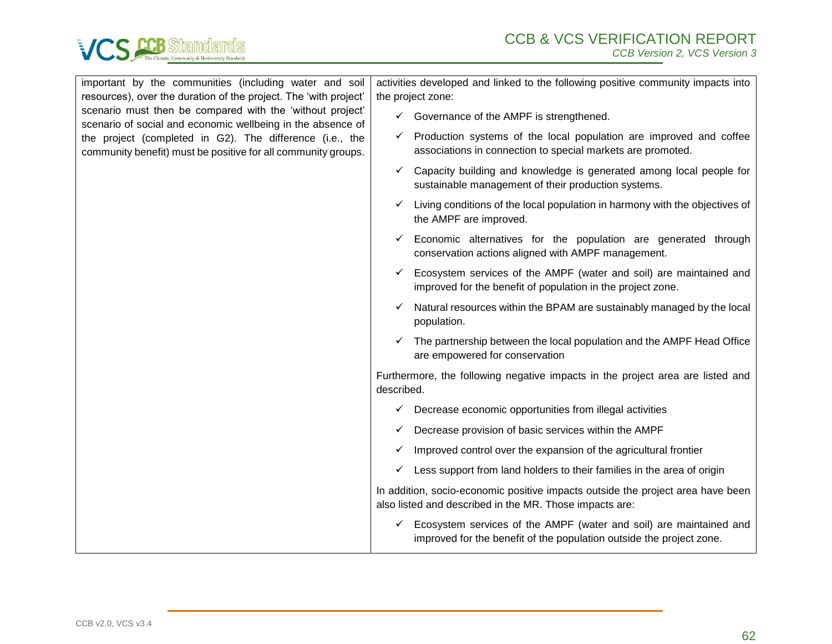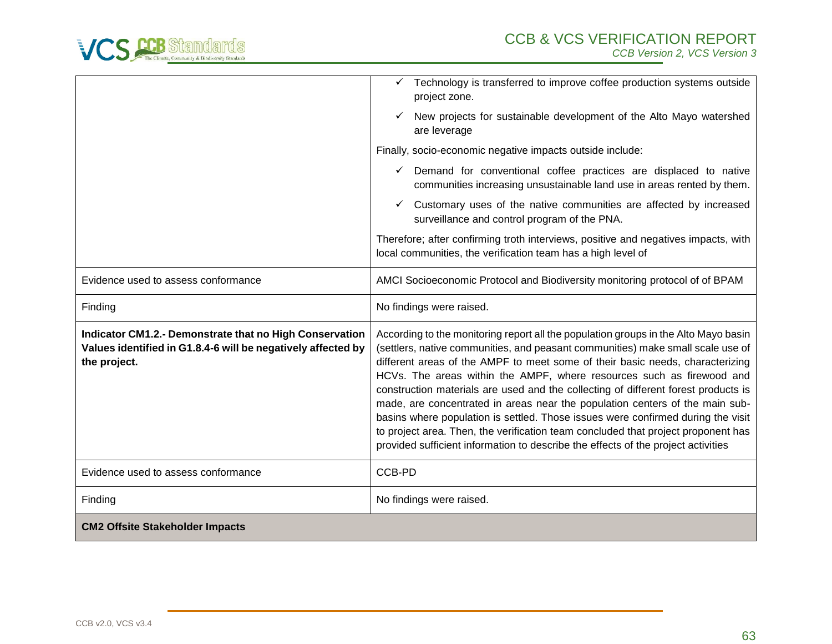

|                                                                                                                                         | $\checkmark$ Technology is transferred to improve coffee production systems outside<br>project zone.                                                                                                                                                                                                                                                                                                                                                                                                                                                                                                                                                                                                                                                                 |
|-----------------------------------------------------------------------------------------------------------------------------------------|----------------------------------------------------------------------------------------------------------------------------------------------------------------------------------------------------------------------------------------------------------------------------------------------------------------------------------------------------------------------------------------------------------------------------------------------------------------------------------------------------------------------------------------------------------------------------------------------------------------------------------------------------------------------------------------------------------------------------------------------------------------------|
|                                                                                                                                         | New projects for sustainable development of the Alto Mayo watershed<br>are leverage                                                                                                                                                                                                                                                                                                                                                                                                                                                                                                                                                                                                                                                                                  |
|                                                                                                                                         | Finally, socio-economic negative impacts outside include:                                                                                                                                                                                                                                                                                                                                                                                                                                                                                                                                                                                                                                                                                                            |
|                                                                                                                                         | Demand for conventional coffee practices are displaced to native<br>$\checkmark$<br>communities increasing unsustainable land use in areas rented by them.                                                                                                                                                                                                                                                                                                                                                                                                                                                                                                                                                                                                           |
|                                                                                                                                         | Customary uses of the native communities are affected by increased<br>✓<br>surveillance and control program of the PNA.                                                                                                                                                                                                                                                                                                                                                                                                                                                                                                                                                                                                                                              |
|                                                                                                                                         | Therefore; after confirming troth interviews, positive and negatives impacts, with<br>local communities, the verification team has a high level of                                                                                                                                                                                                                                                                                                                                                                                                                                                                                                                                                                                                                   |
| Evidence used to assess conformance                                                                                                     | AMCI Socioeconomic Protocol and Biodiversity monitoring protocol of of BPAM                                                                                                                                                                                                                                                                                                                                                                                                                                                                                                                                                                                                                                                                                          |
| Finding                                                                                                                                 | No findings were raised.                                                                                                                                                                                                                                                                                                                                                                                                                                                                                                                                                                                                                                                                                                                                             |
| Indicator CM1.2.- Demonstrate that no High Conservation<br>Values identified in G1.8.4-6 will be negatively affected by<br>the project. | According to the monitoring report all the population groups in the Alto Mayo basin<br>(settlers, native communities, and peasant communities) make small scale use of<br>different areas of the AMPF to meet some of their basic needs, characterizing<br>HCVs. The areas within the AMPF, where resources such as firewood and<br>construction materials are used and the collecting of different forest products is<br>made, are concentrated in areas near the population centers of the main sub-<br>basins where population is settled. Those issues were confirmed during the visit<br>to project area. Then, the verification team concluded that project proponent has<br>provided sufficient information to describe the effects of the project activities |
| Evidence used to assess conformance                                                                                                     | CCB-PD                                                                                                                                                                                                                                                                                                                                                                                                                                                                                                                                                                                                                                                                                                                                                               |
| Finding                                                                                                                                 | No findings were raised.                                                                                                                                                                                                                                                                                                                                                                                                                                                                                                                                                                                                                                                                                                                                             |
| <b>CM2 Offsite Stakeholder Impacts</b>                                                                                                  |                                                                                                                                                                                                                                                                                                                                                                                                                                                                                                                                                                                                                                                                                                                                                                      |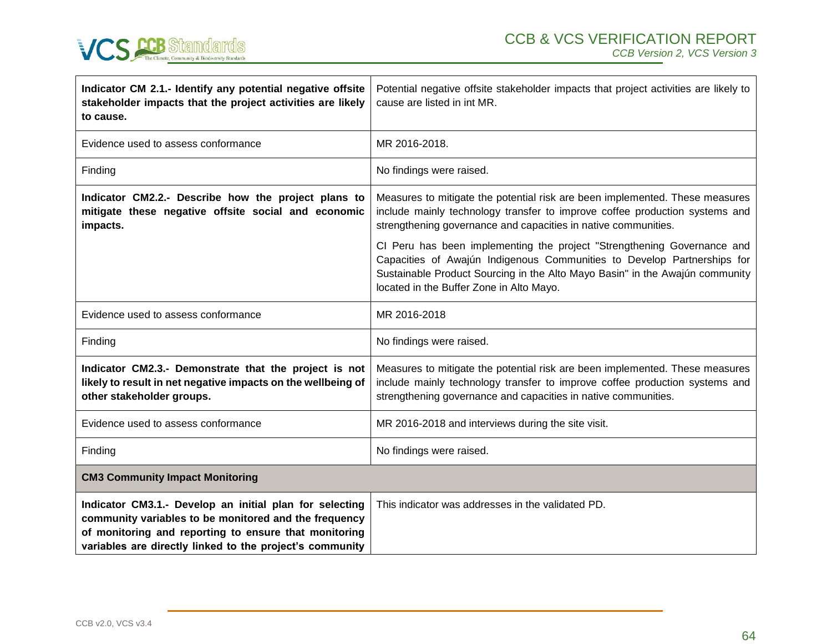

| Indicator CM 2.1.- Identify any potential negative offsite<br>stakeholder impacts that the project activities are likely<br>to cause.                                                                                                 | Potential negative offsite stakeholder impacts that project activities are likely to<br>cause are listed in int MR.                                                                                                                                                            |
|---------------------------------------------------------------------------------------------------------------------------------------------------------------------------------------------------------------------------------------|--------------------------------------------------------------------------------------------------------------------------------------------------------------------------------------------------------------------------------------------------------------------------------|
| Evidence used to assess conformance                                                                                                                                                                                                   | MR 2016-2018.                                                                                                                                                                                                                                                                  |
| Finding                                                                                                                                                                                                                               | No findings were raised.                                                                                                                                                                                                                                                       |
| Indicator CM2.2.- Describe how the project plans to<br>mitigate these negative offsite social and economic<br>impacts.                                                                                                                | Measures to mitigate the potential risk are been implemented. These measures<br>include mainly technology transfer to improve coffee production systems and<br>strengthening governance and capacities in native communities.                                                  |
|                                                                                                                                                                                                                                       | CI Peru has been implementing the project "Strengthening Governance and<br>Capacities of Awajún Indigenous Communities to Develop Partnerships for<br>Sustainable Product Sourcing in the Alto Mayo Basin" in the Awajún community<br>located in the Buffer Zone in Alto Mayo. |
| Evidence used to assess conformance                                                                                                                                                                                                   | MR 2016-2018                                                                                                                                                                                                                                                                   |
| Finding                                                                                                                                                                                                                               | No findings were raised.                                                                                                                                                                                                                                                       |
| Indicator CM2.3.- Demonstrate that the project is not<br>likely to result in net negative impacts on the wellbeing of<br>other stakeholder groups.                                                                                    | Measures to mitigate the potential risk are been implemented. These measures<br>include mainly technology transfer to improve coffee production systems and<br>strengthening governance and capacities in native communities.                                                  |
| Evidence used to assess conformance                                                                                                                                                                                                   | MR 2016-2018 and interviews during the site visit.                                                                                                                                                                                                                             |
| Finding                                                                                                                                                                                                                               | No findings were raised.                                                                                                                                                                                                                                                       |
| <b>CM3 Community Impact Monitoring</b>                                                                                                                                                                                                |                                                                                                                                                                                                                                                                                |
| Indicator CM3.1.- Develop an initial plan for selecting<br>community variables to be monitored and the frequency<br>of monitoring and reporting to ensure that monitoring<br>variables are directly linked to the project's community | This indicator was addresses in the validated PD.                                                                                                                                                                                                                              |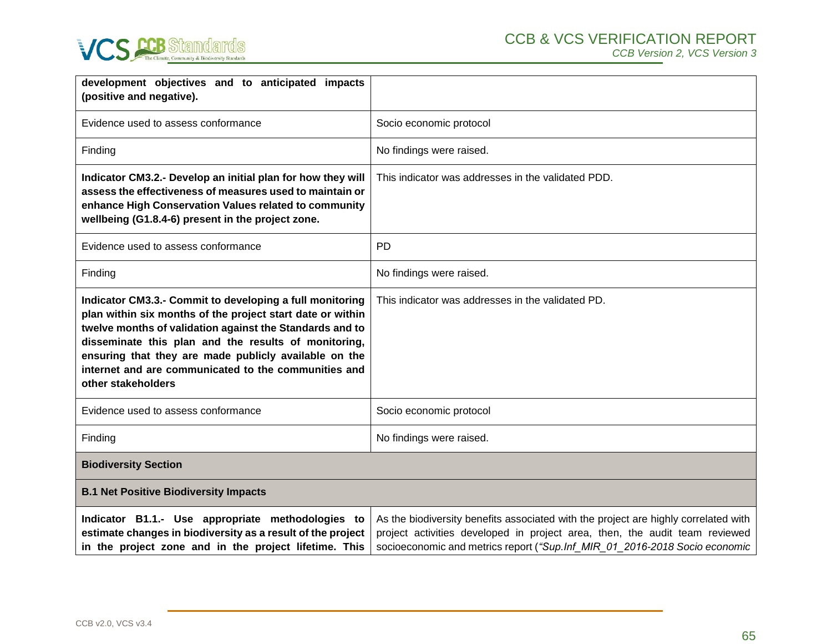

| development objectives and to anticipated impacts<br>(positive and negative).                                                                                                                                                                                                                                                                                                     |                                                                                                                                                                                                                                                  |
|-----------------------------------------------------------------------------------------------------------------------------------------------------------------------------------------------------------------------------------------------------------------------------------------------------------------------------------------------------------------------------------|--------------------------------------------------------------------------------------------------------------------------------------------------------------------------------------------------------------------------------------------------|
| Evidence used to assess conformance                                                                                                                                                                                                                                                                                                                                               | Socio economic protocol                                                                                                                                                                                                                          |
| Finding                                                                                                                                                                                                                                                                                                                                                                           | No findings were raised.                                                                                                                                                                                                                         |
| Indicator CM3.2.- Develop an initial plan for how they will<br>assess the effectiveness of measures used to maintain or<br>enhance High Conservation Values related to community<br>wellbeing (G1.8.4-6) present in the project zone.                                                                                                                                             | This indicator was addresses in the validated PDD.                                                                                                                                                                                               |
| Evidence used to assess conformance                                                                                                                                                                                                                                                                                                                                               | <b>PD</b>                                                                                                                                                                                                                                        |
| Finding                                                                                                                                                                                                                                                                                                                                                                           | No findings were raised.                                                                                                                                                                                                                         |
| Indicator CM3.3.- Commit to developing a full monitoring<br>plan within six months of the project start date or within<br>twelve months of validation against the Standards and to<br>disseminate this plan and the results of monitoring,<br>ensuring that they are made publicly available on the<br>internet and are communicated to the communities and<br>other stakeholders | This indicator was addresses in the validated PD.                                                                                                                                                                                                |
| Evidence used to assess conformance                                                                                                                                                                                                                                                                                                                                               | Socio economic protocol                                                                                                                                                                                                                          |
| Finding                                                                                                                                                                                                                                                                                                                                                                           | No findings were raised.                                                                                                                                                                                                                         |
| <b>Biodiversity Section</b>                                                                                                                                                                                                                                                                                                                                                       |                                                                                                                                                                                                                                                  |
| <b>B.1 Net Positive Biodiversity Impacts</b>                                                                                                                                                                                                                                                                                                                                      |                                                                                                                                                                                                                                                  |
| Indicator B1.1.- Use appropriate methodologies to<br>estimate changes in biodiversity as a result of the project<br>in the project zone and in the project lifetime. This                                                                                                                                                                                                         | As the biodiversity benefits associated with the project are highly correlated with<br>project activities developed in project area, then, the audit team reviewed<br>socioeconomic and metrics report ("Sup.Inf_MIR_01_2016-2018 Socio economic |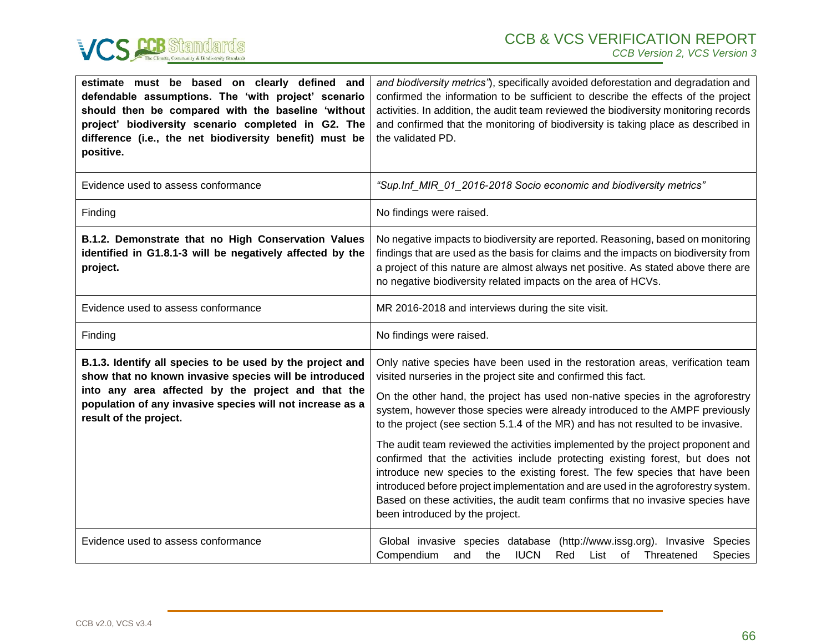

| estimate must be based on clearly defined and<br>defendable assumptions. The 'with project' scenario<br>should then be compared with the baseline 'without<br>project' biodiversity scenario completed in G2. The<br>difference (i.e., the net biodiversity benefit) must be<br>positive. | and biodiversity metrics"), specifically avoided deforestation and degradation and<br>confirmed the information to be sufficient to describe the effects of the project<br>activities. In addition, the audit team reviewed the biodiversity monitoring records<br>and confirmed that the monitoring of biodiversity is taking place as described in<br>the validated PD.                                                                                                                                                                                                                                                                                                                                                                                                                                                                                                |
|-------------------------------------------------------------------------------------------------------------------------------------------------------------------------------------------------------------------------------------------------------------------------------------------|--------------------------------------------------------------------------------------------------------------------------------------------------------------------------------------------------------------------------------------------------------------------------------------------------------------------------------------------------------------------------------------------------------------------------------------------------------------------------------------------------------------------------------------------------------------------------------------------------------------------------------------------------------------------------------------------------------------------------------------------------------------------------------------------------------------------------------------------------------------------------|
| Evidence used to assess conformance                                                                                                                                                                                                                                                       | "Sup.Inf_MIR_01_2016-2018 Socio economic and biodiversity metrics"                                                                                                                                                                                                                                                                                                                                                                                                                                                                                                                                                                                                                                                                                                                                                                                                       |
| Finding                                                                                                                                                                                                                                                                                   | No findings were raised.                                                                                                                                                                                                                                                                                                                                                                                                                                                                                                                                                                                                                                                                                                                                                                                                                                                 |
| B.1.2. Demonstrate that no High Conservation Values<br>identified in G1.8.1-3 will be negatively affected by the<br>project.                                                                                                                                                              | No negative impacts to biodiversity are reported. Reasoning, based on monitoring<br>findings that are used as the basis for claims and the impacts on biodiversity from<br>a project of this nature are almost always net positive. As stated above there are<br>no negative biodiversity related impacts on the area of HCVs.                                                                                                                                                                                                                                                                                                                                                                                                                                                                                                                                           |
| Evidence used to assess conformance                                                                                                                                                                                                                                                       | MR 2016-2018 and interviews during the site visit.                                                                                                                                                                                                                                                                                                                                                                                                                                                                                                                                                                                                                                                                                                                                                                                                                       |
| Finding                                                                                                                                                                                                                                                                                   | No findings were raised.                                                                                                                                                                                                                                                                                                                                                                                                                                                                                                                                                                                                                                                                                                                                                                                                                                                 |
| B.1.3. Identify all species to be used by the project and<br>show that no known invasive species will be introduced<br>into any area affected by the project and that the<br>population of any invasive species will not increase as a<br>result of the project.                          | Only native species have been used in the restoration areas, verification team<br>visited nurseries in the project site and confirmed this fact.<br>On the other hand, the project has used non-native species in the agroforestry<br>system, however those species were already introduced to the AMPF previously<br>to the project (see section 5.1.4 of the MR) and has not resulted to be invasive.<br>The audit team reviewed the activities implemented by the project proponent and<br>confirmed that the activities include protecting existing forest, but does not<br>introduce new species to the existing forest. The few species that have been<br>introduced before project implementation and are used in the agroforestry system.<br>Based on these activities, the audit team confirms that no invasive species have<br>been introduced by the project. |
| Evidence used to assess conformance                                                                                                                                                                                                                                                       | Global invasive species database (http://www.issg.org). Invasive<br>Species<br><b>IUCN</b><br>Compendium<br>Red<br>Threatened<br>Species<br>and<br>the<br>List<br>of                                                                                                                                                                                                                                                                                                                                                                                                                                                                                                                                                                                                                                                                                                     |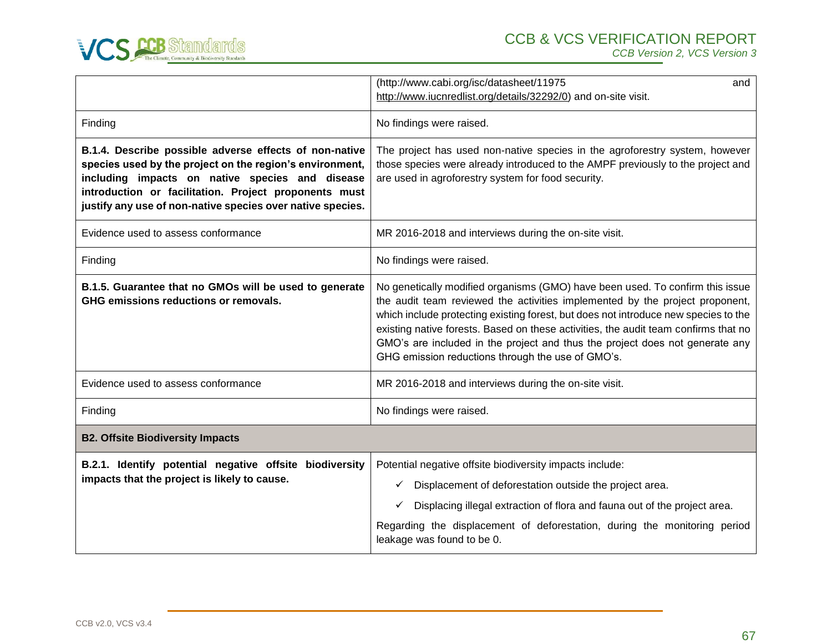

|                                                                                                                                                                                                                                                                                              | (http://www.cabi.org/isc/datasheet/11975<br>and                                                                                                                                                                                                                                                                                                                                                                                                                                  |
|----------------------------------------------------------------------------------------------------------------------------------------------------------------------------------------------------------------------------------------------------------------------------------------------|----------------------------------------------------------------------------------------------------------------------------------------------------------------------------------------------------------------------------------------------------------------------------------------------------------------------------------------------------------------------------------------------------------------------------------------------------------------------------------|
|                                                                                                                                                                                                                                                                                              | http://www.iucnredlist.org/details/32292/0) and on-site visit.                                                                                                                                                                                                                                                                                                                                                                                                                   |
| Finding                                                                                                                                                                                                                                                                                      | No findings were raised.                                                                                                                                                                                                                                                                                                                                                                                                                                                         |
| B.1.4. Describe possible adverse effects of non-native<br>species used by the project on the region's environment,<br>including impacts on native species and disease<br>introduction or facilitation. Project proponents must<br>justify any use of non-native species over native species. | The project has used non-native species in the agroforestry system, however<br>those species were already introduced to the AMPF previously to the project and<br>are used in agroforestry system for food security.                                                                                                                                                                                                                                                             |
| Evidence used to assess conformance                                                                                                                                                                                                                                                          | MR 2016-2018 and interviews during the on-site visit.                                                                                                                                                                                                                                                                                                                                                                                                                            |
| Finding                                                                                                                                                                                                                                                                                      | No findings were raised.                                                                                                                                                                                                                                                                                                                                                                                                                                                         |
| B.1.5. Guarantee that no GMOs will be used to generate<br>GHG emissions reductions or removals.                                                                                                                                                                                              | No genetically modified organisms (GMO) have been used. To confirm this issue<br>the audit team reviewed the activities implemented by the project proponent,<br>which include protecting existing forest, but does not introduce new species to the<br>existing native forests. Based on these activities, the audit team confirms that no<br>GMO's are included in the project and thus the project does not generate any<br>GHG emission reductions through the use of GMO's. |
| Evidence used to assess conformance                                                                                                                                                                                                                                                          | MR 2016-2018 and interviews during the on-site visit.                                                                                                                                                                                                                                                                                                                                                                                                                            |
| Finding                                                                                                                                                                                                                                                                                      | No findings were raised.                                                                                                                                                                                                                                                                                                                                                                                                                                                         |
| <b>B2. Offsite Biodiversity Impacts</b>                                                                                                                                                                                                                                                      |                                                                                                                                                                                                                                                                                                                                                                                                                                                                                  |
| B.2.1. Identify potential negative offsite biodiversity<br>impacts that the project is likely to cause.                                                                                                                                                                                      | Potential negative offsite biodiversity impacts include:<br>Displacement of deforestation outside the project area.<br>✓<br>Displacing illegal extraction of flora and fauna out of the project area.<br>✓<br>Regarding the displacement of deforestation, during the monitoring period<br>leakage was found to be 0.                                                                                                                                                            |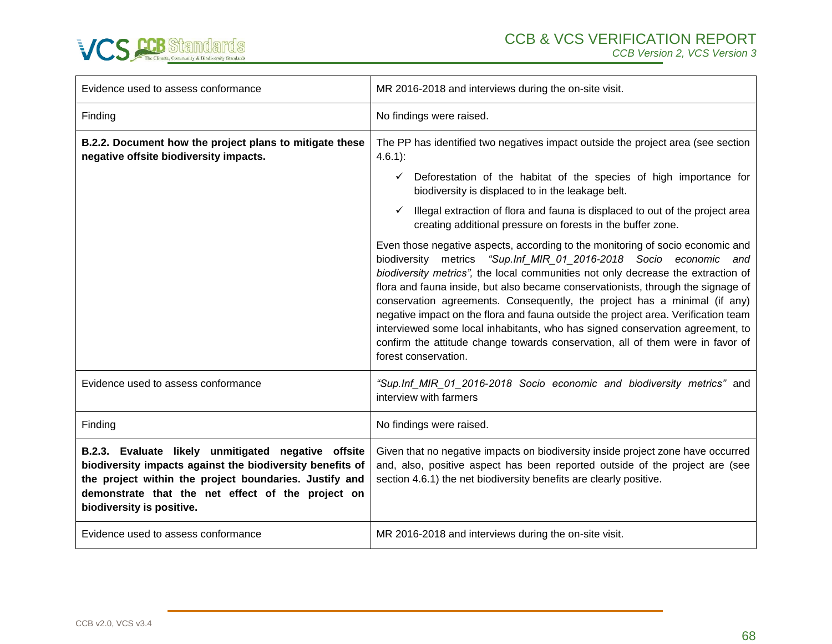

| Evidence used to assess conformance                                                                                                                                                                                                                          | MR 2016-2018 and interviews during the on-site visit.                                                                                                                                                                                                                                                                                                                                                                                                                                                                                                                                                                                                                                     |
|--------------------------------------------------------------------------------------------------------------------------------------------------------------------------------------------------------------------------------------------------------------|-------------------------------------------------------------------------------------------------------------------------------------------------------------------------------------------------------------------------------------------------------------------------------------------------------------------------------------------------------------------------------------------------------------------------------------------------------------------------------------------------------------------------------------------------------------------------------------------------------------------------------------------------------------------------------------------|
| Finding                                                                                                                                                                                                                                                      | No findings were raised.                                                                                                                                                                                                                                                                                                                                                                                                                                                                                                                                                                                                                                                                  |
| B.2.2. Document how the project plans to mitigate these<br>negative offsite biodiversity impacts.                                                                                                                                                            | The PP has identified two negatives impact outside the project area (see section<br>$4.6.1$ :                                                                                                                                                                                                                                                                                                                                                                                                                                                                                                                                                                                             |
|                                                                                                                                                                                                                                                              | Deforestation of the habitat of the species of high importance for<br>✓<br>biodiversity is displaced to in the leakage belt.                                                                                                                                                                                                                                                                                                                                                                                                                                                                                                                                                              |
|                                                                                                                                                                                                                                                              | Illegal extraction of flora and fauna is displaced to out of the project area<br>creating additional pressure on forests in the buffer zone.                                                                                                                                                                                                                                                                                                                                                                                                                                                                                                                                              |
|                                                                                                                                                                                                                                                              | Even those negative aspects, according to the monitoring of socio economic and<br>biodiversity metrics "Sup.Inf_MIR_01_2016-2018 Socio economic and<br>biodiversity metrics", the local communities not only decrease the extraction of<br>flora and fauna inside, but also became conservationists, through the signage of<br>conservation agreements. Consequently, the project has a minimal (if any)<br>negative impact on the flora and fauna outside the project area. Verification team<br>interviewed some local inhabitants, who has signed conservation agreement, to<br>confirm the attitude change towards conservation, all of them were in favor of<br>forest conservation. |
| Evidence used to assess conformance                                                                                                                                                                                                                          | "Sup.Inf_MIR_01_2016-2018 Socio economic and biodiversity metrics" and<br>interview with farmers                                                                                                                                                                                                                                                                                                                                                                                                                                                                                                                                                                                          |
| Finding                                                                                                                                                                                                                                                      | No findings were raised.                                                                                                                                                                                                                                                                                                                                                                                                                                                                                                                                                                                                                                                                  |
| B.2.3. Evaluate likely unmitigated negative offsite<br>biodiversity impacts against the biodiversity benefits of<br>the project within the project boundaries. Justify and<br>demonstrate that the net effect of the project on<br>biodiversity is positive. | Given that no negative impacts on biodiversity inside project zone have occurred<br>and, also, positive aspect has been reported outside of the project are (see<br>section 4.6.1) the net biodiversity benefits are clearly positive.                                                                                                                                                                                                                                                                                                                                                                                                                                                    |
| Evidence used to assess conformance                                                                                                                                                                                                                          | MR 2016-2018 and interviews during the on-site visit.                                                                                                                                                                                                                                                                                                                                                                                                                                                                                                                                                                                                                                     |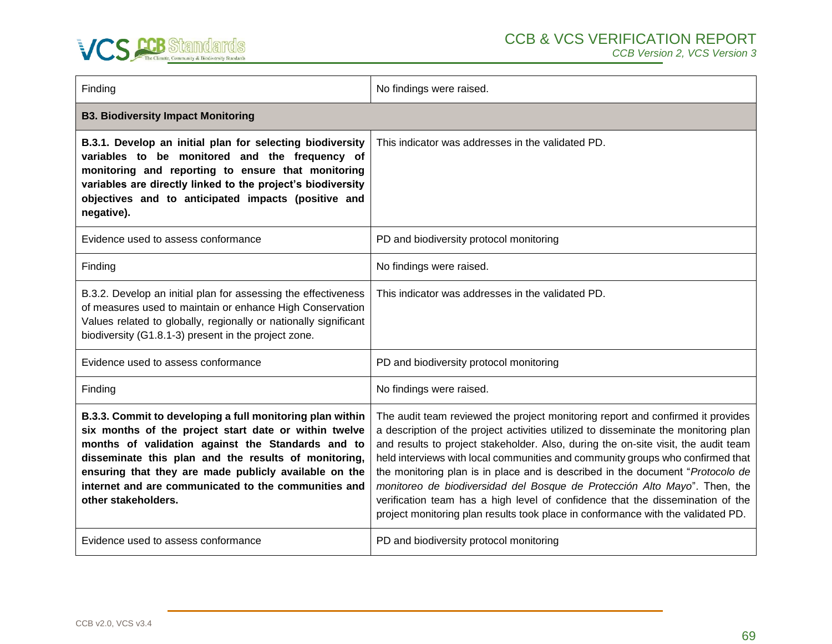

| Finding                                                                                                                                                                                                                                                                                                                                                                 | No findings were raised.                                                                                                                                                                                                                                                                                                                                                                                                                                                                                                                                                                                                                                                            |
|-------------------------------------------------------------------------------------------------------------------------------------------------------------------------------------------------------------------------------------------------------------------------------------------------------------------------------------------------------------------------|-------------------------------------------------------------------------------------------------------------------------------------------------------------------------------------------------------------------------------------------------------------------------------------------------------------------------------------------------------------------------------------------------------------------------------------------------------------------------------------------------------------------------------------------------------------------------------------------------------------------------------------------------------------------------------------|
| <b>B3. Biodiversity Impact Monitoring</b>                                                                                                                                                                                                                                                                                                                               |                                                                                                                                                                                                                                                                                                                                                                                                                                                                                                                                                                                                                                                                                     |
| B.3.1. Develop an initial plan for selecting biodiversity<br>variables to be monitored and the frequency of<br>monitoring and reporting to ensure that monitoring<br>variables are directly linked to the project's biodiversity<br>objectives and to anticipated impacts (positive and<br>negative).                                                                   | This indicator was addresses in the validated PD.                                                                                                                                                                                                                                                                                                                                                                                                                                                                                                                                                                                                                                   |
| Evidence used to assess conformance                                                                                                                                                                                                                                                                                                                                     | PD and biodiversity protocol monitoring                                                                                                                                                                                                                                                                                                                                                                                                                                                                                                                                                                                                                                             |
| Finding                                                                                                                                                                                                                                                                                                                                                                 | No findings were raised.                                                                                                                                                                                                                                                                                                                                                                                                                                                                                                                                                                                                                                                            |
| B.3.2. Develop an initial plan for assessing the effectiveness<br>of measures used to maintain or enhance High Conservation<br>Values related to globally, regionally or nationally significant<br>biodiversity (G1.8.1-3) present in the project zone.                                                                                                                 | This indicator was addresses in the validated PD.                                                                                                                                                                                                                                                                                                                                                                                                                                                                                                                                                                                                                                   |
| Evidence used to assess conformance                                                                                                                                                                                                                                                                                                                                     | PD and biodiversity protocol monitoring                                                                                                                                                                                                                                                                                                                                                                                                                                                                                                                                                                                                                                             |
| Finding                                                                                                                                                                                                                                                                                                                                                                 | No findings were raised.                                                                                                                                                                                                                                                                                                                                                                                                                                                                                                                                                                                                                                                            |
| B.3.3. Commit to developing a full monitoring plan within<br>six months of the project start date or within twelve<br>months of validation against the Standards and to<br>disseminate this plan and the results of monitoring,<br>ensuring that they are made publicly available on the<br>internet and are communicated to the communities and<br>other stakeholders. | The audit team reviewed the project monitoring report and confirmed it provides<br>a description of the project activities utilized to disseminate the monitoring plan<br>and results to project stakeholder. Also, during the on-site visit, the audit team<br>held interviews with local communities and community groups who confirmed that<br>the monitoring plan is in place and is described in the document "Protocolo de<br>monitoreo de biodiversidad del Bosque de Protección Alto Mayo". Then, the<br>verification team has a high level of confidence that the dissemination of the<br>project monitoring plan results took place in conformance with the validated PD. |
| Evidence used to assess conformance                                                                                                                                                                                                                                                                                                                                     | PD and biodiversity protocol monitoring                                                                                                                                                                                                                                                                                                                                                                                                                                                                                                                                                                                                                                             |